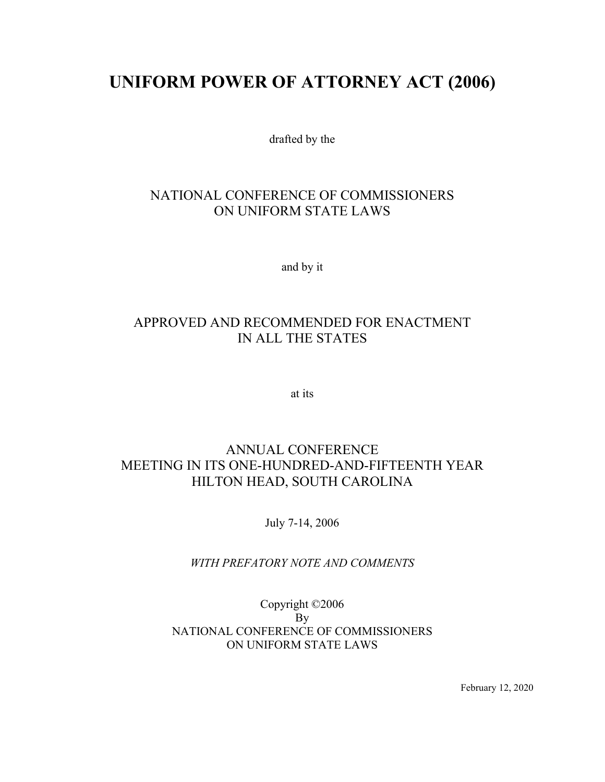# **UNIFORM POWER OF ATTORNEY ACT (2006)**

drafted by the

# NATIONAL CONFERENCE OF COMMISSIONERS ON UNIFORM STATE LAWS

and by it

# APPROVED AND RECOMMENDED FOR ENACTMENT IN ALL THE STATES

at its

# ANNUAL CONFERENCE MEETING IN ITS ONE-HUNDRED-AND-FIFTEENTH YEAR HILTON HEAD, SOUTH CAROLINA

July 7-14, 2006

*WITH PREFATORY NOTE AND COMMENTS*

Copyright ©2006 By NATIONAL CONFERENCE OF COMMISSIONERS ON UNIFORM STATE LAWS

February 12, 2020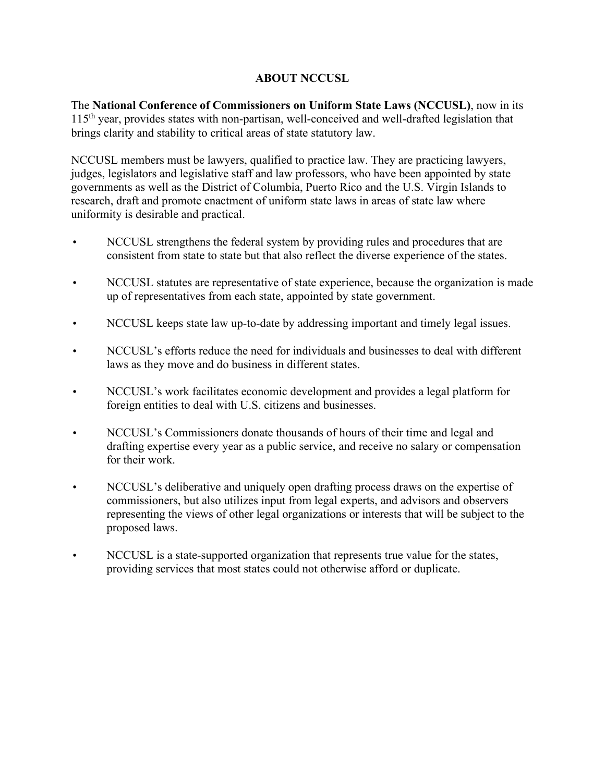# **ABOUT NCCUSL**

The **National Conference of Commissioners on Uniform State Laws (NCCUSL)**, now in its 115<sup>th</sup> year, provides states with non-partisan, well-conceived and well-drafted legislation that brings clarity and stability to critical areas of state statutory law.

NCCUSL members must be lawyers, qualified to practice law. They are practicing lawyers, judges, legislators and legislative staff and law professors, who have been appointed by state governments as well as the District of Columbia, Puerto Rico and the U.S. Virgin Islands to research, draft and promote enactment of uniform state laws in areas of state law where uniformity is desirable and practical.

- NCCUSL strengthens the federal system by providing rules and procedures that are consistent from state to state but that also reflect the diverse experience of the states.
- NCCUSL statutes are representative of state experience, because the organization is made up of representatives from each state, appointed by state government.
- NCCUSL keeps state law up-to-date by addressing important and timely legal issues.
- NCCUSL's efforts reduce the need for individuals and businesses to deal with different laws as they move and do business in different states.
- NCCUSL's work facilitates economic development and provides a legal platform for foreign entities to deal with U.S. citizens and businesses.
- NCCUSL's Commissioners donate thousands of hours of their time and legal and drafting expertise every year as a public service, and receive no salary or compensation for their work.
- NCCUSL's deliberative and uniquely open drafting process draws on the expertise of commissioners, but also utilizes input from legal experts, and advisors and observers representing the views of other legal organizations or interests that will be subject to the proposed laws.
- NCCUSL is a state-supported organization that represents true value for the states, providing services that most states could not otherwise afford or duplicate.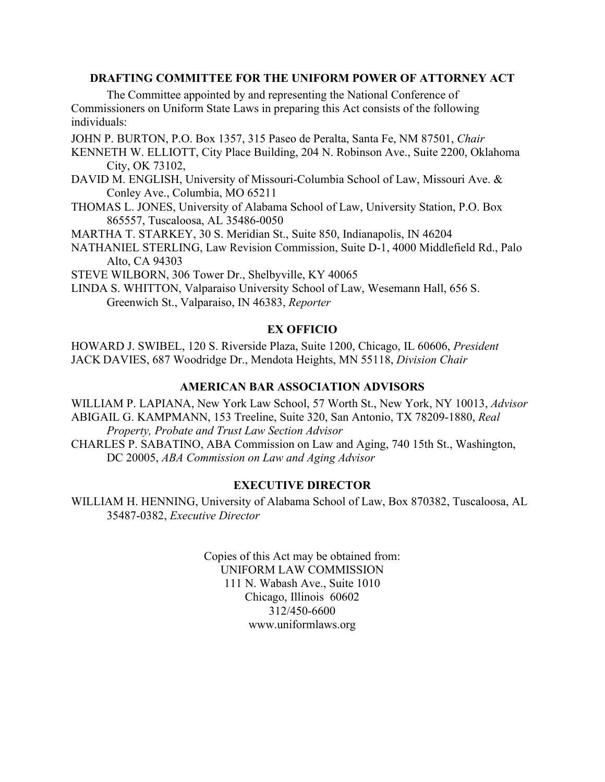# **DRAFTING COMMITTEE FOR THE UNIFORM POWER OF ATTORNEY ACT**

The Committee appointed by and representing the National Conference of Commissioners on Uniform State Laws in preparing this Act consists of the following individuals:

JOHN P. BURTON, P.O. Box 1357, 315 Paseo de Peralta, Santa Fe, NM 87501, *Chair*

KENNETH W. ELLIOTT, City Place Building, 204 N. Robinson Ave., Suite 2200, Oklahoma City, OK 73102,

- DAVID M. ENGLISH, University of Missouri-Columbia School of Law, Missouri Ave. & Conley Ave., Columbia, MO 65211
- THOMAS L. JONES, University of Alabama School of Law, University Station, P.O. Box 865557, Tuscaloosa, AL 35486-0050

MARTHA T. STARKEY, 30 S. Meridian St., Suite 850, Indianapolis, IN 46204

NATHANIEL STERLING, Law Revision Commission, Suite D-1, 4000 Middlefield Rd., Palo Alto, CA 94303

STEVE WILBORN, 306 Tower Dr., Shelbyville, KY 40065

LINDA S. WHITTON, Valparaiso University School of Law, Wesemann Hall, 656 S. Greenwich St., Valparaiso, IN 46383, *Reporter*

# **EX OFFICIO**

HOWARD J. SWIBEL, 120 S. Riverside Plaza, Suite 1200, Chicago, IL 60606, *President* JACK DAVIES, 687 Woodridge Dr., Mendota Heights, MN 55118, *Division Chair*

# **AMERICAN BAR ASSOCIATION ADVISORS**

WILLIAM P. LAPIANA, New York Law School, 57 Worth St., New York, NY 10013, *Advisor* ABIGAIL G. KAMPMANN, 153 Treeline, Suite 320, San Antonio, TX 78209-1880, *Real Property, Probate and Trust Law Section Advisor* CHARLES P. SABATINO, ABA Commission on Law and Aging, 740 15th St., Washington,

DC 20005, *ABA Commission on Law and Aging Advisor*

# **EXECUTIVE DIRECTOR**

WILLIAM H. HENNING, University of Alabama School of Law, Box 870382, Tuscaloosa, AL 35487-0382, *Executive Director*

> Copies of this Act may be obtained from: UNIFORM LAW COMMISSION 111 N. Wabash Ave., Suite 1010 Chicago, Illinois 60602 312/450-6600 www.uniformlaws.org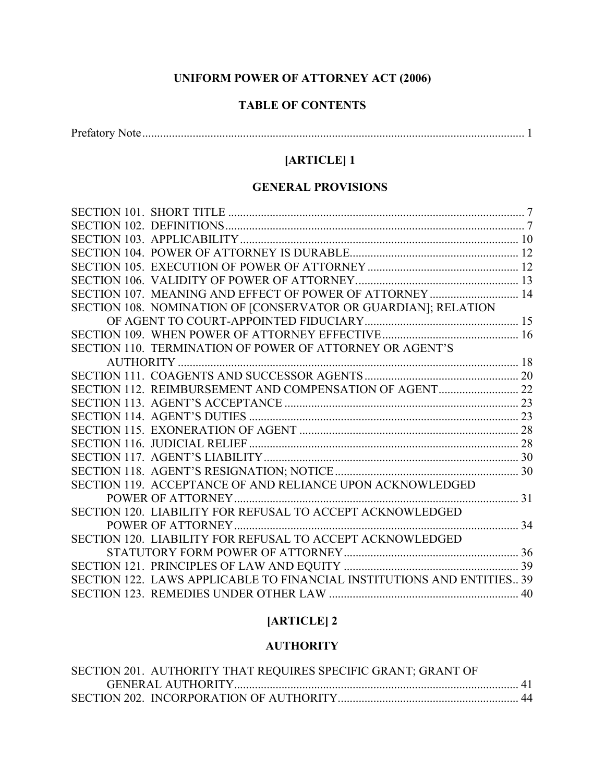# **UNIFORM POWER OF ATTORNEY ACT (2006)**

# **TABLE OF CONTENTS**

# **[ARTICLE] 1**

# **GENERAL PROVISIONS**

# **[ARTICLE] 2**

# **AUTHORITY**

| SECTION 201. AUTHORITY THAT REQUIRES SPECIFIC GRANT; GRANT OF |  |
|---------------------------------------------------------------|--|
|                                                               |  |
|                                                               |  |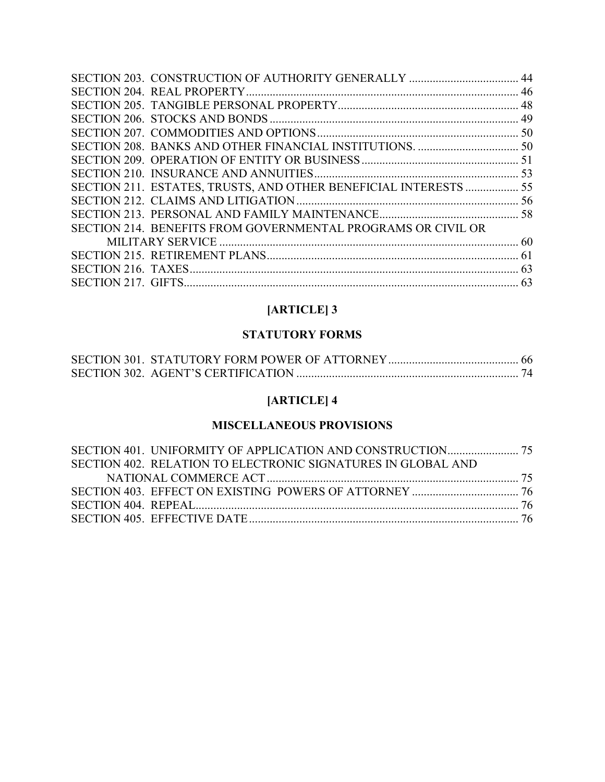| SECTION 211. ESTATES, TRUSTS, AND OTHER BENEFICIAL INTERESTS  55 |  |
|------------------------------------------------------------------|--|
|                                                                  |  |
|                                                                  |  |
| SECTION 214. BENEFITS FROM GOVERNMENTAL PROGRAMS OR CIVIL OR     |  |
|                                                                  |  |
|                                                                  |  |
|                                                                  |  |
|                                                                  |  |
|                                                                  |  |

# **[ARTICLE] 3**

# **STATUTORY FORMS**

# **[ARTICLE] 4**

# **MISCELLANEOUS PROVISIONS**

| SECTION 402. RELATION TO ELECTRONIC SIGNATURES IN GLOBAL AND |  |
|--------------------------------------------------------------|--|
|                                                              |  |
|                                                              |  |
|                                                              |  |
|                                                              |  |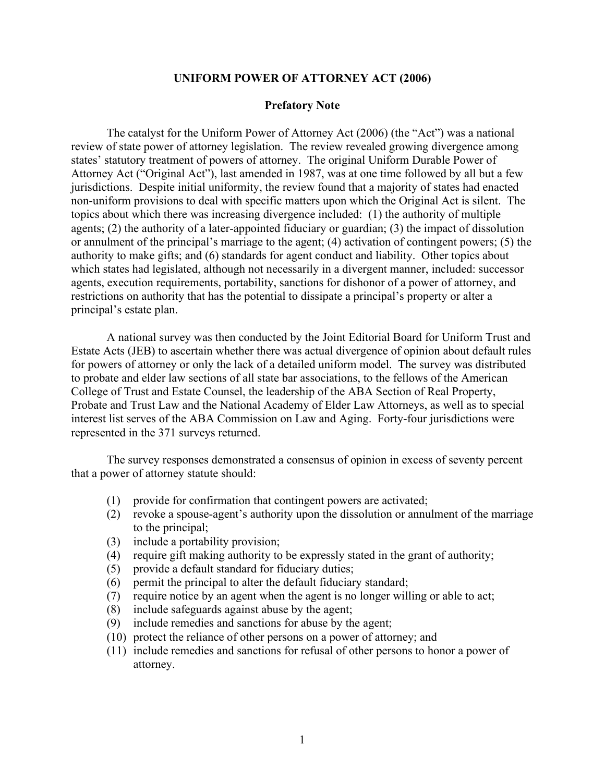#### **UNIFORM POWER OF ATTORNEY ACT (2006)**

#### **Prefatory Note**

The catalyst for the Uniform Power of Attorney Act (2006) (the "Act") was a national review of state power of attorney legislation. The review revealed growing divergence among states' statutory treatment of powers of attorney. The original Uniform Durable Power of Attorney Act ("Original Act"), last amended in 1987, was at one time followed by all but a few jurisdictions. Despite initial uniformity, the review found that a majority of states had enacted non-uniform provisions to deal with specific matters upon which the Original Act is silent. The topics about which there was increasing divergence included: (1) the authority of multiple agents; (2) the authority of a later-appointed fiduciary or guardian; (3) the impact of dissolution or annulment of the principal's marriage to the agent; (4) activation of contingent powers; (5) the authority to make gifts; and (6) standards for agent conduct and liability. Other topics about which states had legislated, although not necessarily in a divergent manner, included: successor agents, execution requirements, portability, sanctions for dishonor of a power of attorney, and restrictions on authority that has the potential to dissipate a principal's property or alter a principal's estate plan.

A national survey was then conducted by the Joint Editorial Board for Uniform Trust and Estate Acts (JEB) to ascertain whether there was actual divergence of opinion about default rules for powers of attorney or only the lack of a detailed uniform model. The survey was distributed to probate and elder law sections of all state bar associations, to the fellows of the American College of Trust and Estate Counsel, the leadership of the ABA Section of Real Property, Probate and Trust Law and the National Academy of Elder Law Attorneys, as well as to special interest list serves of the ABA Commission on Law and Aging. Forty-four jurisdictions were represented in the 371 surveys returned.

The survey responses demonstrated a consensus of opinion in excess of seventy percent that a power of attorney statute should:

- (1) provide for confirmation that contingent powers are activated;
- (2) revoke a spouse-agent's authority upon the dissolution or annulment of the marriage to the principal;
- (3) include a portability provision;
- (4) require gift making authority to be expressly stated in the grant of authority;
- (5) provide a default standard for fiduciary duties;
- (6) permit the principal to alter the default fiduciary standard;
- (7) require notice by an agent when the agent is no longer willing or able to act;
- (8) include safeguards against abuse by the agent;
- (9) include remedies and sanctions for abuse by the agent;
- (10) protect the reliance of other persons on a power of attorney; and
- (11) include remedies and sanctions for refusal of other persons to honor a power of attorney.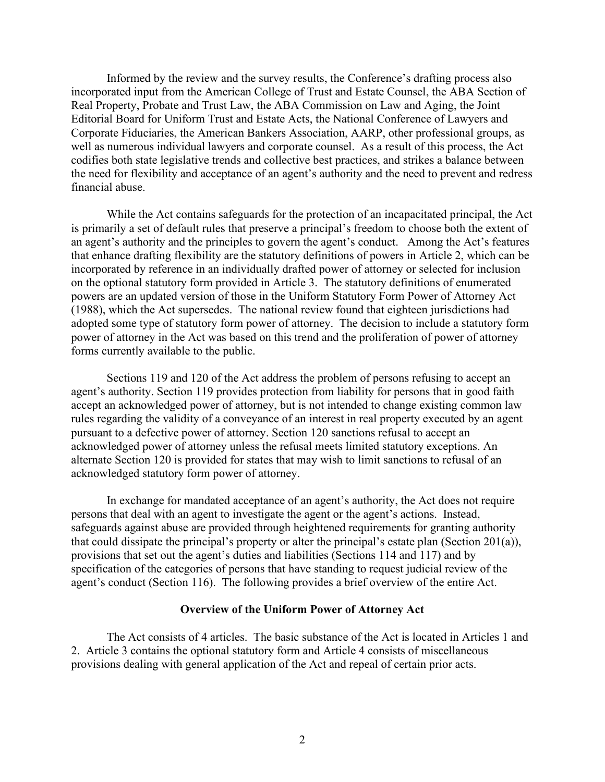Informed by the review and the survey results, the Conference's drafting process also incorporated input from the American College of Trust and Estate Counsel, the ABA Section of Real Property, Probate and Trust Law, the ABA Commission on Law and Aging, the Joint Editorial Board for Uniform Trust and Estate Acts, the National Conference of Lawyers and Corporate Fiduciaries, the American Bankers Association, AARP, other professional groups, as well as numerous individual lawyers and corporate counsel. As a result of this process, the Act codifies both state legislative trends and collective best practices, and strikes a balance between the need for flexibility and acceptance of an agent's authority and the need to prevent and redress financial abuse.

While the Act contains safeguards for the protection of an incapacitated principal, the Act is primarily a set of default rules that preserve a principal's freedom to choose both the extent of an agent's authority and the principles to govern the agent's conduct. Among the Act's features that enhance drafting flexibility are the statutory definitions of powers in Article 2, which can be incorporated by reference in an individually drafted power of attorney or selected for inclusion on the optional statutory form provided in Article 3. The statutory definitions of enumerated powers are an updated version of those in the Uniform Statutory Form Power of Attorney Act (1988), which the Act supersedes. The national review found that eighteen jurisdictions had adopted some type of statutory form power of attorney. The decision to include a statutory form power of attorney in the Act was based on this trend and the proliferation of power of attorney forms currently available to the public.

Sections 119 and 120 of the Act address the problem of persons refusing to accept an agent's authority. Section 119 provides protection from liability for persons that in good faith accept an acknowledged power of attorney, but is not intended to change existing common law rules regarding the validity of a conveyance of an interest in real property executed by an agent pursuant to a defective power of attorney. Section 120 sanctions refusal to accept an acknowledged power of attorney unless the refusal meets limited statutory exceptions. An alternate Section 120 is provided for states that may wish to limit sanctions to refusal of an acknowledged statutory form power of attorney.

In exchange for mandated acceptance of an agent's authority, the Act does not require persons that deal with an agent to investigate the agent or the agent's actions. Instead, safeguards against abuse are provided through heightened requirements for granting authority that could dissipate the principal's property or alter the principal's estate plan (Section 201(a)), provisions that set out the agent's duties and liabilities (Sections 114 and 117) and by specification of the categories of persons that have standing to request judicial review of the agent's conduct (Section 116). The following provides a brief overview of the entire Act.

#### **Overview of the Uniform Power of Attorney Act**

The Act consists of 4 articles. The basic substance of the Act is located in Articles 1 and 2. Article 3 contains the optional statutory form and Article 4 consists of miscellaneous provisions dealing with general application of the Act and repeal of certain prior acts.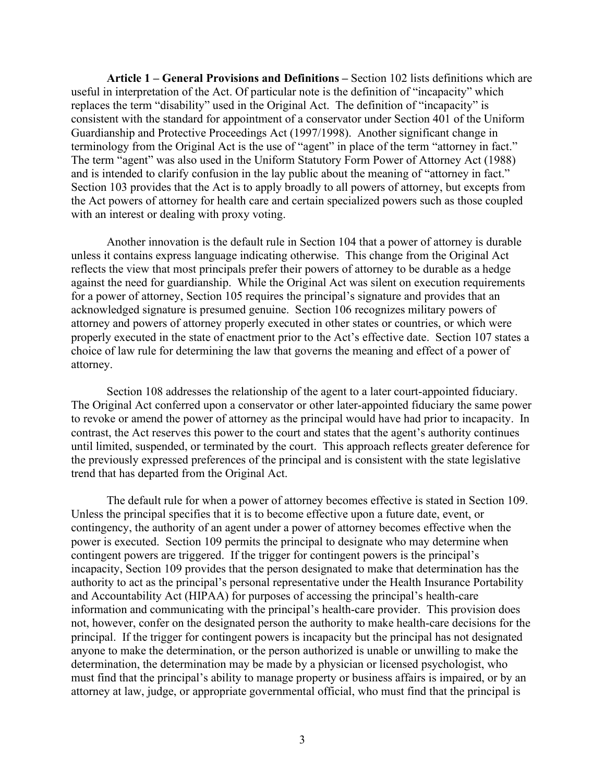**Article 1 – General Provisions and Definitions –** Section 102 lists definitions which are useful in interpretation of the Act. Of particular note is the definition of "incapacity" which replaces the term "disability" used in the Original Act. The definition of "incapacity" is consistent with the standard for appointment of a conservator under Section 401 of the Uniform Guardianship and Protective Proceedings Act (1997/1998). Another significant change in terminology from the Original Act is the use of "agent" in place of the term "attorney in fact." The term "agent" was also used in the Uniform Statutory Form Power of Attorney Act (1988) and is intended to clarify confusion in the lay public about the meaning of "attorney in fact." Section 103 provides that the Act is to apply broadly to all powers of attorney, but excepts from the Act powers of attorney for health care and certain specialized powers such as those coupled with an interest or dealing with proxy voting.

Another innovation is the default rule in Section 104 that a power of attorney is durable unless it contains express language indicating otherwise. This change from the Original Act reflects the view that most principals prefer their powers of attorney to be durable as a hedge against the need for guardianship. While the Original Act was silent on execution requirements for a power of attorney, Section 105 requires the principal's signature and provides that an acknowledged signature is presumed genuine. Section 106 recognizes military powers of attorney and powers of attorney properly executed in other states or countries, or which were properly executed in the state of enactment prior to the Act's effective date. Section 107 states a choice of law rule for determining the law that governs the meaning and effect of a power of attorney.

Section 108 addresses the relationship of the agent to a later court-appointed fiduciary. The Original Act conferred upon a conservator or other later-appointed fiduciary the same power to revoke or amend the power of attorney as the principal would have had prior to incapacity. In contrast, the Act reserves this power to the court and states that the agent's authority continues until limited, suspended, or terminated by the court. This approach reflects greater deference for the previously expressed preferences of the principal and is consistent with the state legislative trend that has departed from the Original Act.

The default rule for when a power of attorney becomes effective is stated in Section 109. Unless the principal specifies that it is to become effective upon a future date, event, or contingency, the authority of an agent under a power of attorney becomes effective when the power is executed. Section 109 permits the principal to designate who may determine when contingent powers are triggered. If the trigger for contingent powers is the principal's incapacity, Section 109 provides that the person designated to make that determination has the authority to act as the principal's personal representative under the Health Insurance Portability and Accountability Act (HIPAA) for purposes of accessing the principal's health-care information and communicating with the principal's health-care provider. This provision does not, however, confer on the designated person the authority to make health-care decisions for the principal. If the trigger for contingent powers is incapacity but the principal has not designated anyone to make the determination, or the person authorized is unable or unwilling to make the determination, the determination may be made by a physician or licensed psychologist, who must find that the principal's ability to manage property or business affairs is impaired, or by an attorney at law, judge, or appropriate governmental official, who must find that the principal is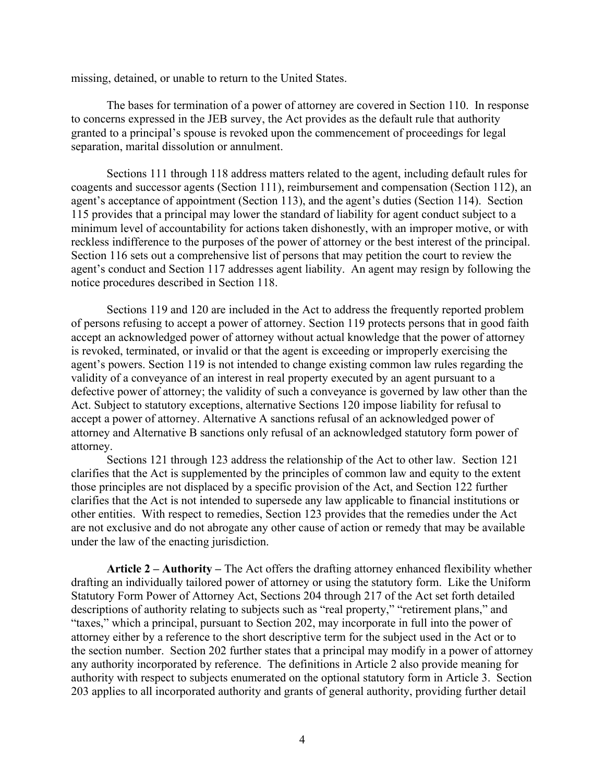missing, detained, or unable to return to the United States.

The bases for termination of a power of attorney are covered in Section 110. In response to concerns expressed in the JEB survey, the Act provides as the default rule that authority granted to a principal's spouse is revoked upon the commencement of proceedings for legal separation, marital dissolution or annulment.

Sections 111 through 118 address matters related to the agent, including default rules for coagents and successor agents (Section 111), reimbursement and compensation (Section 112), an agent's acceptance of appointment (Section 113), and the agent's duties (Section 114). Section 115 provides that a principal may lower the standard of liability for agent conduct subject to a minimum level of accountability for actions taken dishonestly, with an improper motive, or with reckless indifference to the purposes of the power of attorney or the best interest of the principal. Section 116 sets out a comprehensive list of persons that may petition the court to review the agent's conduct and Section 117 addresses agent liability. An agent may resign by following the notice procedures described in Section 118.

Sections 119 and 120 are included in the Act to address the frequently reported problem of persons refusing to accept a power of attorney. Section 119 protects persons that in good faith accept an acknowledged power of attorney without actual knowledge that the power of attorney is revoked, terminated, or invalid or that the agent is exceeding or improperly exercising the agent's powers. Section 119 is not intended to change existing common law rules regarding the validity of a conveyance of an interest in real property executed by an agent pursuant to a defective power of attorney; the validity of such a conveyance is governed by law other than the Act. Subject to statutory exceptions, alternative Sections 120 impose liability for refusal to accept a power of attorney. Alternative A sanctions refusal of an acknowledged power of attorney and Alternative B sanctions only refusal of an acknowledged statutory form power of attorney.

Sections 121 through 123 address the relationship of the Act to other law. Section 121 clarifies that the Act is supplemented by the principles of common law and equity to the extent those principles are not displaced by a specific provision of the Act, and Section 122 further clarifies that the Act is not intended to supersede any law applicable to financial institutions or other entities. With respect to remedies, Section 123 provides that the remedies under the Act are not exclusive and do not abrogate any other cause of action or remedy that may be available under the law of the enacting jurisdiction.

**Article 2 – Authority –** The Act offers the drafting attorney enhanced flexibility whether drafting an individually tailored power of attorney or using the statutory form. Like the Uniform Statutory Form Power of Attorney Act, Sections 204 through 217 of the Act set forth detailed descriptions of authority relating to subjects such as "real property," "retirement plans," and "taxes," which a principal, pursuant to Section 202, may incorporate in full into the power of attorney either by a reference to the short descriptive term for the subject used in the Act or to the section number. Section 202 further states that a principal may modify in a power of attorney any authority incorporated by reference. The definitions in Article 2 also provide meaning for authority with respect to subjects enumerated on the optional statutory form in Article 3. Section 203 applies to all incorporated authority and grants of general authority, providing further detail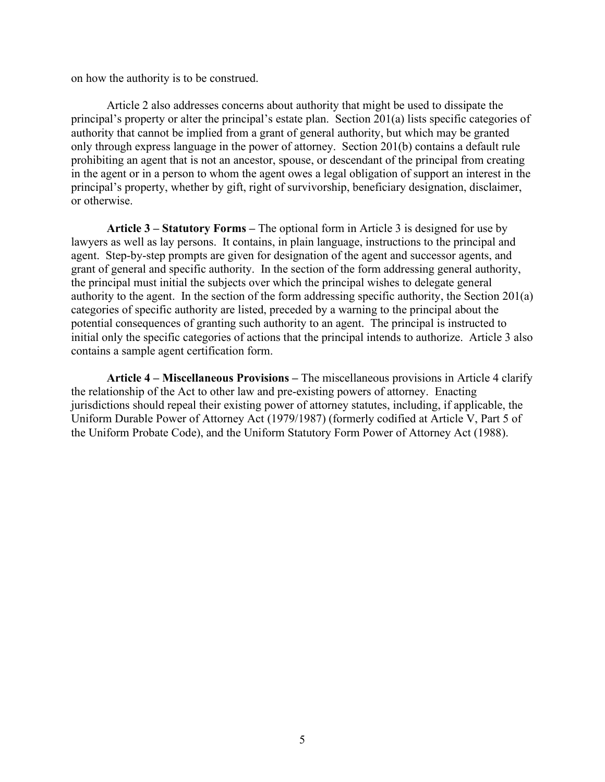on how the authority is to be construed.

Article 2 also addresses concerns about authority that might be used to dissipate the principal's property or alter the principal's estate plan. Section 201(a) lists specific categories of authority that cannot be implied from a grant of general authority, but which may be granted only through express language in the power of attorney. Section 201(b) contains a default rule prohibiting an agent that is not an ancestor, spouse, or descendant of the principal from creating in the agent or in a person to whom the agent owes a legal obligation of support an interest in the principal's property, whether by gift, right of survivorship, beneficiary designation, disclaimer, or otherwise.

**Article 3 – Statutory Forms –** The optional form in Article 3 is designed for use by lawyers as well as lay persons. It contains, in plain language, instructions to the principal and agent. Step-by-step prompts are given for designation of the agent and successor agents, and grant of general and specific authority. In the section of the form addressing general authority, the principal must initial the subjects over which the principal wishes to delegate general authority to the agent. In the section of the form addressing specific authority, the Section 201(a) categories of specific authority are listed, preceded by a warning to the principal about the potential consequences of granting such authority to an agent. The principal is instructed to initial only the specific categories of actions that the principal intends to authorize. Article 3 also contains a sample agent certification form.

**Article 4 – Miscellaneous Provisions –** The miscellaneous provisions in Article 4 clarify the relationship of the Act to other law and pre-existing powers of attorney. Enacting jurisdictions should repeal their existing power of attorney statutes, including, if applicable, the Uniform Durable Power of Attorney Act (1979/1987) (formerly codified at Article V, Part 5 of the Uniform Probate Code), and the Uniform Statutory Form Power of Attorney Act (1988).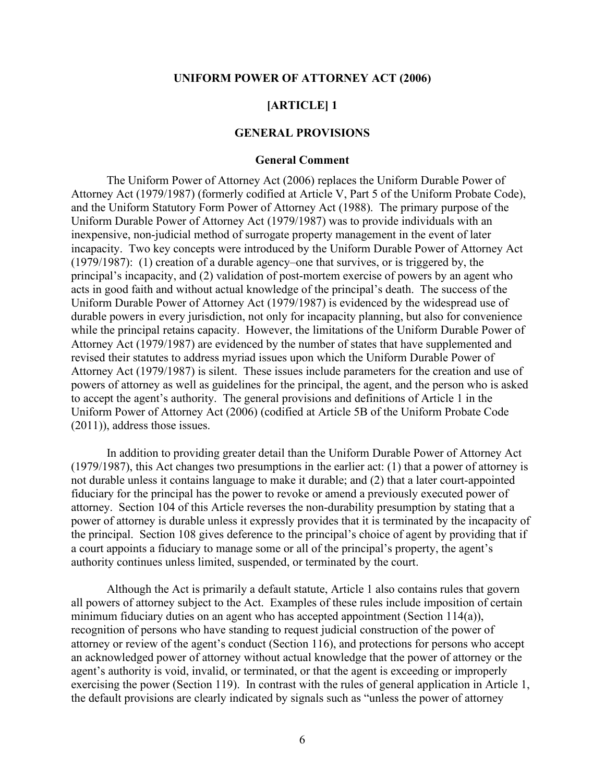#### **UNIFORM POWER OF ATTORNEY ACT (2006)**

## **[ARTICLE] 1**

## **GENERAL PROVISIONS**

#### **General Comment**

The Uniform Power of Attorney Act (2006) replaces the Uniform Durable Power of Attorney Act (1979/1987) (formerly codified at Article V, Part 5 of the Uniform Probate Code), and the Uniform Statutory Form Power of Attorney Act (1988). The primary purpose of the Uniform Durable Power of Attorney Act (1979/1987) was to provide individuals with an inexpensive, non-judicial method of surrogate property management in the event of later incapacity. Two key concepts were introduced by the Uniform Durable Power of Attorney Act (1979/1987): (1) creation of a durable agency–one that survives, or is triggered by, the principal's incapacity, and (2) validation of post-mortem exercise of powers by an agent who acts in good faith and without actual knowledge of the principal's death. The success of the Uniform Durable Power of Attorney Act (1979/1987) is evidenced by the widespread use of durable powers in every jurisdiction, not only for incapacity planning, but also for convenience while the principal retains capacity. However, the limitations of the Uniform Durable Power of Attorney Act (1979/1987) are evidenced by the number of states that have supplemented and revised their statutes to address myriad issues upon which the Uniform Durable Power of Attorney Act (1979/1987) is silent. These issues include parameters for the creation and use of powers of attorney as well as guidelines for the principal, the agent, and the person who is asked to accept the agent's authority. The general provisions and definitions of Article 1 in the Uniform Power of Attorney Act (2006) (codified at Article 5B of the Uniform Probate Code (2011)), address those issues.

In addition to providing greater detail than the Uniform Durable Power of Attorney Act (1979/1987), this Act changes two presumptions in the earlier act: (1) that a power of attorney is not durable unless it contains language to make it durable; and (2) that a later court-appointed fiduciary for the principal has the power to revoke or amend a previously executed power of attorney. Section 104 of this Article reverses the non-durability presumption by stating that a power of attorney is durable unless it expressly provides that it is terminated by the incapacity of the principal. Section 108 gives deference to the principal's choice of agent by providing that if a court appoints a fiduciary to manage some or all of the principal's property, the agent's authority continues unless limited, suspended, or terminated by the court.

Although the Act is primarily a default statute, Article 1 also contains rules that govern all powers of attorney subject to the Act. Examples of these rules include imposition of certain minimum fiduciary duties on an agent who has accepted appointment (Section 114(a)), recognition of persons who have standing to request judicial construction of the power of attorney or review of the agent's conduct (Section 116), and protections for persons who accept an acknowledged power of attorney without actual knowledge that the power of attorney or the agent's authority is void, invalid, or terminated, or that the agent is exceeding or improperly exercising the power (Section 119). In contrast with the rules of general application in Article 1, the default provisions are clearly indicated by signals such as "unless the power of attorney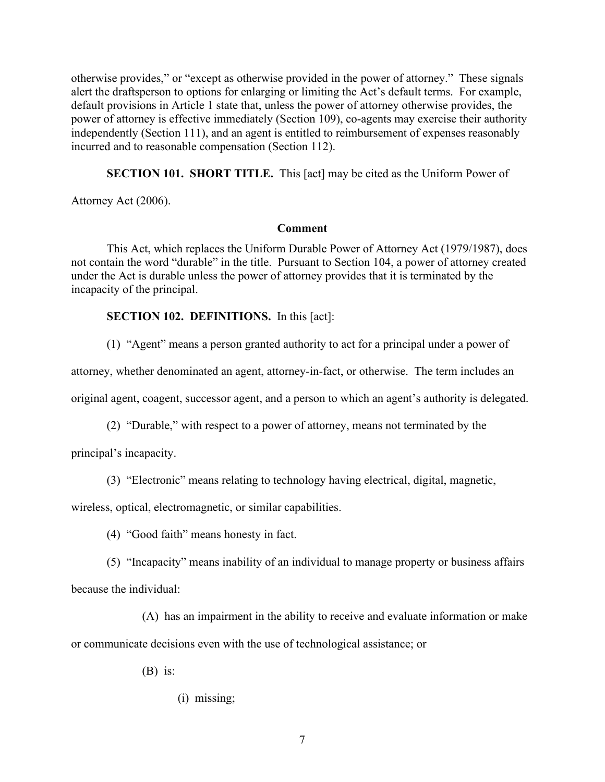otherwise provides," or "except as otherwise provided in the power of attorney." These signals alert the draftsperson to options for enlarging or limiting the Act's default terms. For example, default provisions in Article 1 state that, unless the power of attorney otherwise provides, the power of attorney is effective immediately (Section 109), co-agents may exercise their authority independently (Section 111), and an agent is entitled to reimbursement of expenses reasonably incurred and to reasonable compensation (Section 112).

**SECTION 101. SHORT TITLE.** This [act] may be cited as the Uniform Power of

Attorney Act (2006).

#### **Comment**

This Act, which replaces the Uniform Durable Power of Attorney Act (1979/1987), does not contain the word "durable" in the title. Pursuant to Section 104, a power of attorney created under the Act is durable unless the power of attorney provides that it is terminated by the incapacity of the principal.

**SECTION 102. DEFINITIONS.** In this [act]:

(1) "Agent" means a person granted authority to act for a principal under a power of

attorney, whether denominated an agent, attorney-in-fact, or otherwise. The term includes an

original agent, coagent, successor agent, and a person to which an agent's authority is delegated.

(2) "Durable," with respect to a power of attorney, means not terminated by the

principal's incapacity.

(3) "Electronic" means relating to technology having electrical, digital, magnetic,

wireless, optical, electromagnetic, or similar capabilities.

(4) "Good faith" means honesty in fact.

(5) "Incapacity" means inability of an individual to manage property or business affairs

because the individual:

(A) has an impairment in the ability to receive and evaluate information or make or communicate decisions even with the use of technological assistance; or

 $(B)$  is:

(i) missing;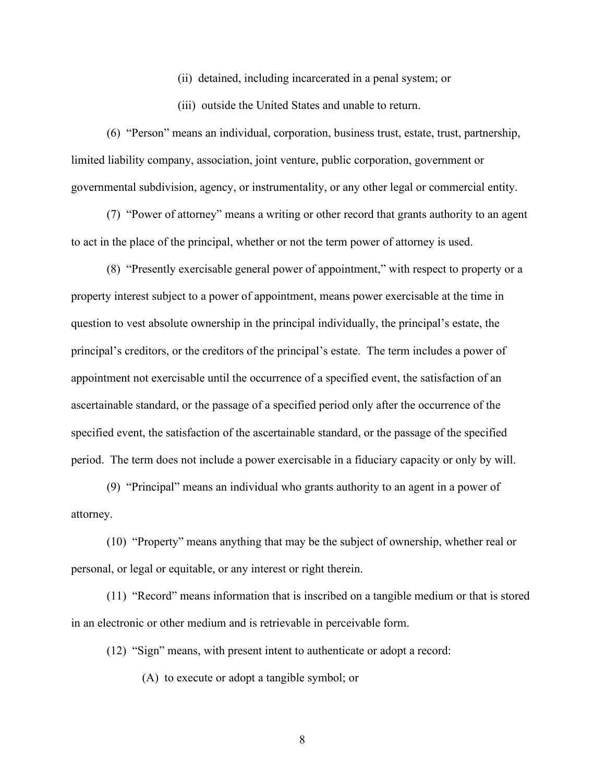(ii) detained, including incarcerated in a penal system; or

(iii) outside the United States and unable to return.

(6) "Person" means an individual, corporation, business trust, estate, trust, partnership, limited liability company, association, joint venture, public corporation, government or governmental subdivision, agency, or instrumentality, or any other legal or commercial entity.

(7) "Power of attorney" means a writing or other record that grants authority to an agent to act in the place of the principal, whether or not the term power of attorney is used.

(8) "Presently exercisable general power of appointment," with respect to property or a property interest subject to a power of appointment, means power exercisable at the time in question to vest absolute ownership in the principal individually, the principal's estate, the principal's creditors, or the creditors of the principal's estate. The term includes a power of appointment not exercisable until the occurrence of a specified event, the satisfaction of an ascertainable standard, or the passage of a specified period only after the occurrence of the specified event, the satisfaction of the ascertainable standard, or the passage of the specified period. The term does not include a power exercisable in a fiduciary capacity or only by will.

(9) "Principal" means an individual who grants authority to an agent in a power of attorney.

(10) "Property" means anything that may be the subject of ownership, whether real or personal, or legal or equitable, or any interest or right therein.

(11) "Record" means information that is inscribed on a tangible medium or that is stored in an electronic or other medium and is retrievable in perceivable form.

(12) "Sign" means, with present intent to authenticate or adopt a record:

(A) to execute or adopt a tangible symbol; or

8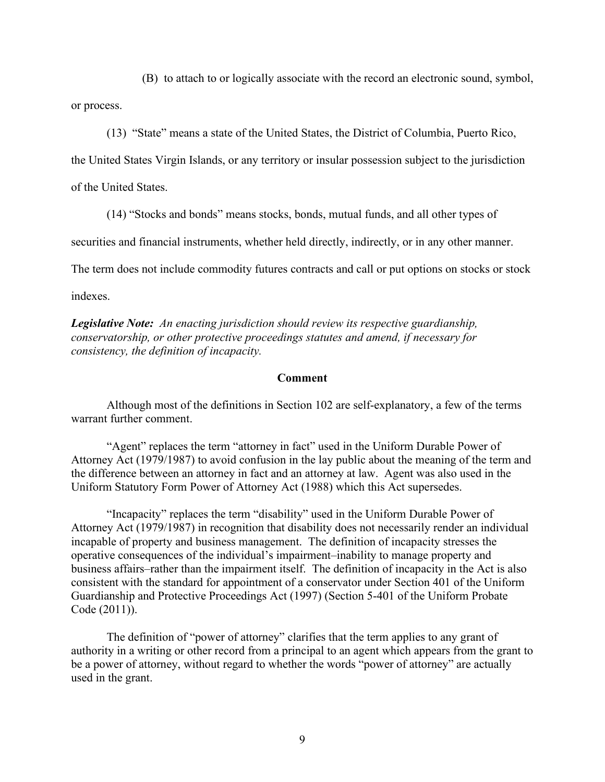(B) to attach to or logically associate with the record an electronic sound, symbol,

or process.

(13) "State" means a state of the United States, the District of Columbia, Puerto Rico,

the United States Virgin Islands, or any territory or insular possession subject to the jurisdiction

of the United States.

(14) "Stocks and bonds" means stocks, bonds, mutual funds, and all other types of

securities and financial instruments, whether held directly, indirectly, or in any other manner.

The term does not include commodity futures contracts and call or put options on stocks or stock

indexes.

*Legislative Note: An enacting jurisdiction should review its respective guardianship, conservatorship, or other protective proceedings statutes and amend, if necessary for consistency, the definition of incapacity.*

#### **Comment**

Although most of the definitions in Section 102 are self-explanatory, a few of the terms warrant further comment.

"Agent" replaces the term "attorney in fact" used in the Uniform Durable Power of Attorney Act (1979/1987) to avoid confusion in the lay public about the meaning of the term and the difference between an attorney in fact and an attorney at law. Agent was also used in the Uniform Statutory Form Power of Attorney Act (1988) which this Act supersedes.

"Incapacity" replaces the term "disability" used in the Uniform Durable Power of Attorney Act (1979/1987) in recognition that disability does not necessarily render an individual incapable of property and business management. The definition of incapacity stresses the operative consequences of the individual's impairment–inability to manage property and business affairs–rather than the impairment itself. The definition of incapacity in the Act is also consistent with the standard for appointment of a conservator under Section 401 of the Uniform Guardianship and Protective Proceedings Act (1997) (Section 5-401 of the Uniform Probate Code (2011)).

The definition of "power of attorney" clarifies that the term applies to any grant of authority in a writing or other record from a principal to an agent which appears from the grant to be a power of attorney, without regard to whether the words "power of attorney" are actually used in the grant.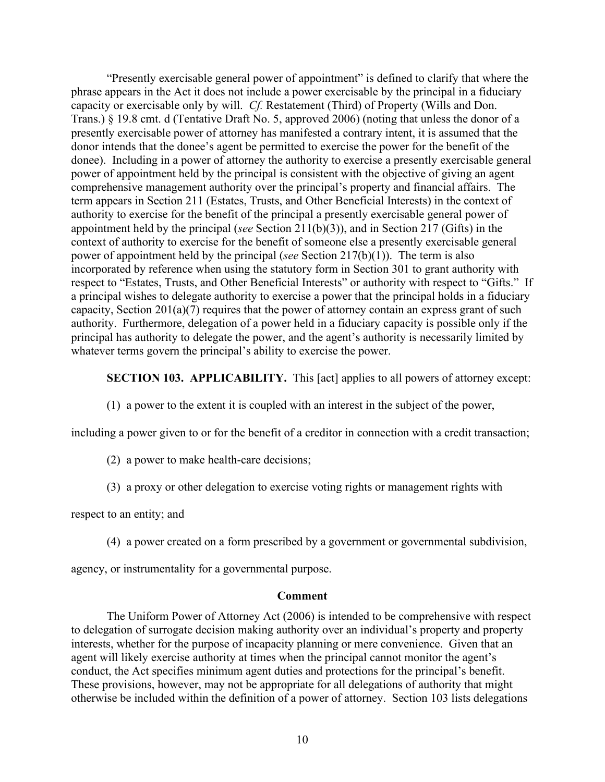"Presently exercisable general power of appointment" is defined to clarify that where the phrase appears in the Act it does not include a power exercisable by the principal in a fiduciary capacity or exercisable only by will. *Cf.* Restatement (Third) of Property (Wills and Don. Trans.) § 19.8 cmt. d (Tentative Draft No. 5, approved 2006) (noting that unless the donor of a presently exercisable power of attorney has manifested a contrary intent, it is assumed that the donor intends that the donee's agent be permitted to exercise the power for the benefit of the donee). Including in a power of attorney the authority to exercise a presently exercisable general power of appointment held by the principal is consistent with the objective of giving an agent comprehensive management authority over the principal's property and financial affairs. The term appears in Section 211 (Estates, Trusts, and Other Beneficial Interests) in the context of authority to exercise for the benefit of the principal a presently exercisable general power of appointment held by the principal (*see* Section 211(b)(3)), and in Section 217 (Gifts) in the context of authority to exercise for the benefit of someone else a presently exercisable general power of appointment held by the principal (*see* Section 217(b)(1)). The term is also incorporated by reference when using the statutory form in Section 301 to grant authority with respect to "Estates, Trusts, and Other Beneficial Interests" or authority with respect to "Gifts." If a principal wishes to delegate authority to exercise a power that the principal holds in a fiduciary capacity, Section 201(a)(7) requires that the power of attorney contain an express grant of such authority. Furthermore, delegation of a power held in a fiduciary capacity is possible only if the principal has authority to delegate the power, and the agent's authority is necessarily limited by whatever terms govern the principal's ability to exercise the power.

**SECTION 103. APPLICABILITY.** This [act] applies to all powers of attorney except:

(1) a power to the extent it is coupled with an interest in the subject of the power,

including a power given to or for the benefit of a creditor in connection with a credit transaction;

- (2) a power to make health-care decisions;
- (3) a proxy or other delegation to exercise voting rights or management rights with

respect to an entity; and

(4) a power created on a form prescribed by a government or governmental subdivision,

agency, or instrumentality for a governmental purpose.

## **Comment**

The Uniform Power of Attorney Act (2006) is intended to be comprehensive with respect to delegation of surrogate decision making authority over an individual's property and property interests, whether for the purpose of incapacity planning or mere convenience. Given that an agent will likely exercise authority at times when the principal cannot monitor the agent's conduct, the Act specifies minimum agent duties and protections for the principal's benefit. These provisions, however, may not be appropriate for all delegations of authority that might otherwise be included within the definition of a power of attorney. Section 103 lists delegations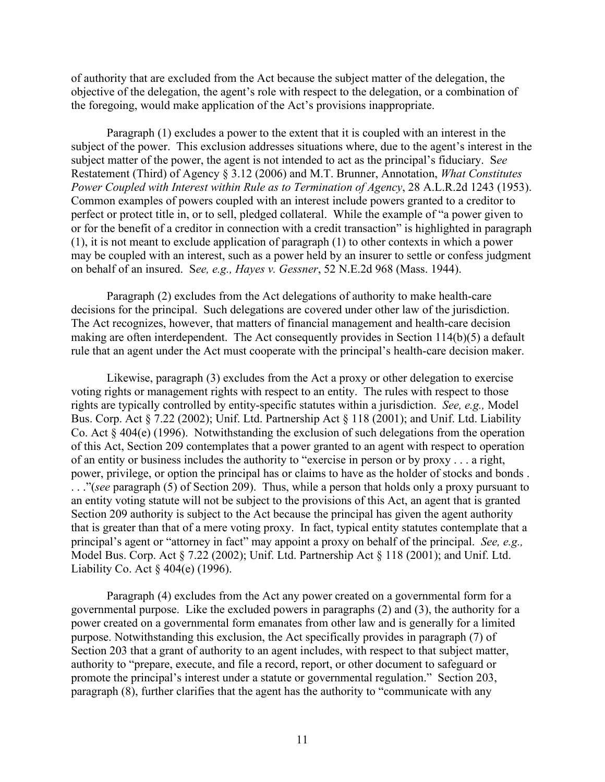of authority that are excluded from the Act because the subject matter of the delegation, the objective of the delegation, the agent's role with respect to the delegation, or a combination of the foregoing, would make application of the Act's provisions inappropriate.

Paragraph (1) excludes a power to the extent that it is coupled with an interest in the subject of the power. This exclusion addresses situations where, due to the agent's interest in the subject matter of the power, the agent is not intended to act as the principal's fiduciary. S*ee* Restatement (Third) of Agency § 3.12 (2006) and M.T. Brunner, Annotation, *What Constitutes Power Coupled with Interest within Rule as to Termination of Agency*, 28 A.L.R.2d 1243 (1953). Common examples of powers coupled with an interest include powers granted to a creditor to perfect or protect title in, or to sell, pledged collateral. While the example of "a power given to or for the benefit of a creditor in connection with a credit transaction" is highlighted in paragraph (1), it is not meant to exclude application of paragraph (1) to other contexts in which a power may be coupled with an interest, such as a power held by an insurer to settle or confess judgment on behalf of an insured. S*ee, e.g., Hayes v. Gessner*, 52 N.E.2d 968 (Mass. 1944).

Paragraph (2) excludes from the Act delegations of authority to make health-care decisions for the principal. Such delegations are covered under other law of the jurisdiction. The Act recognizes, however, that matters of financial management and health-care decision making are often interdependent. The Act consequently provides in Section 114(b)(5) a default rule that an agent under the Act must cooperate with the principal's health-care decision maker.

Likewise, paragraph (3) excludes from the Act a proxy or other delegation to exercise voting rights or management rights with respect to an entity. The rules with respect to those rights are typically controlled by entity-specific statutes within a jurisdiction. *See, e.g.,* Model Bus. Corp. Act § 7.22 (2002); Unif. Ltd. Partnership Act § 118 (2001); and Unif. Ltd. Liability Co. Act § 404(e) (1996). Notwithstanding the exclusion of such delegations from the operation of this Act, Section 209 contemplates that a power granted to an agent with respect to operation of an entity or business includes the authority to "exercise in person or by proxy . . . a right, power, privilege, or option the principal has or claims to have as the holder of stocks and bonds . . . ."(*see* paragraph (5) of Section 209). Thus, while a person that holds only a proxy pursuant to an entity voting statute will not be subject to the provisions of this Act, an agent that is granted Section 209 authority is subject to the Act because the principal has given the agent authority that is greater than that of a mere voting proxy. In fact, typical entity statutes contemplate that a principal's agent or "attorney in fact" may appoint a proxy on behalf of the principal. *See, e.g.,* Model Bus. Corp. Act § 7.22 (2002); Unif. Ltd. Partnership Act § 118 (2001); and Unif. Ltd. Liability Co. Act § 404(e) (1996).

Paragraph (4) excludes from the Act any power created on a governmental form for a governmental purpose. Like the excluded powers in paragraphs (2) and (3), the authority for a power created on a governmental form emanates from other law and is generally for a limited purpose. Notwithstanding this exclusion, the Act specifically provides in paragraph (7) of Section 203 that a grant of authority to an agent includes, with respect to that subject matter, authority to "prepare, execute, and file a record, report, or other document to safeguard or promote the principal's interest under a statute or governmental regulation." Section 203, paragraph (8), further clarifies that the agent has the authority to "communicate with any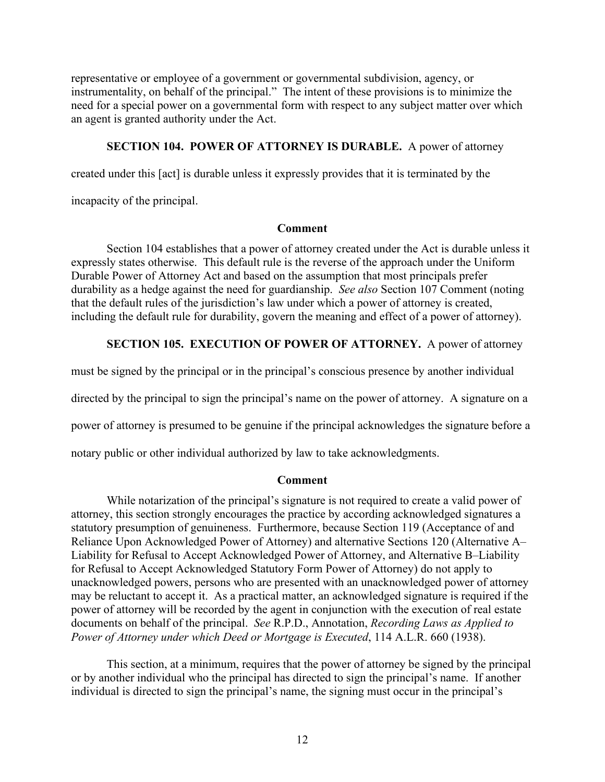representative or employee of a government or governmental subdivision, agency, or instrumentality, on behalf of the principal." The intent of these provisions is to minimize the need for a special power on a governmental form with respect to any subject matter over which an agent is granted authority under the Act.

# **SECTION 104. POWER OF ATTORNEY IS DURABLE.** A power of attorney

created under this [act] is durable unless it expressly provides that it is terminated by the

incapacity of the principal.

### **Comment**

Section 104 establishes that a power of attorney created under the Act is durable unless it expressly states otherwise. This default rule is the reverse of the approach under the Uniform Durable Power of Attorney Act and based on the assumption that most principals prefer durability as a hedge against the need for guardianship. *See also* Section 107 Comment (noting that the default rules of the jurisdiction's law under which a power of attorney is created, including the default rule for durability, govern the meaning and effect of a power of attorney).

## **SECTION 105. EXECUTION OF POWER OF ATTORNEY.** A power of attorney

must be signed by the principal or in the principal's conscious presence by another individual

directed by the principal to sign the principal's name on the power of attorney. A signature on a

power of attorney is presumed to be genuine if the principal acknowledges the signature before a

notary public or other individual authorized by law to take acknowledgments.

### **Comment**

While notarization of the principal's signature is not required to create a valid power of attorney, this section strongly encourages the practice by according acknowledged signatures a statutory presumption of genuineness. Furthermore, because Section 119 (Acceptance of and Reliance Upon Acknowledged Power of Attorney) and alternative Sections 120 (Alternative A– Liability for Refusal to Accept Acknowledged Power of Attorney, and Alternative B–Liability for Refusal to Accept Acknowledged Statutory Form Power of Attorney) do not apply to unacknowledged powers, persons who are presented with an unacknowledged power of attorney may be reluctant to accept it. As a practical matter, an acknowledged signature is required if the power of attorney will be recorded by the agent in conjunction with the execution of real estate documents on behalf of the principal. *See* R.P.D., Annotation, *Recording Laws as Applied to Power of Attorney under which Deed or Mortgage is Executed*, 114 A.L.R. 660 (1938).

This section, at a minimum, requires that the power of attorney be signed by the principal or by another individual who the principal has directed to sign the principal's name. If another individual is directed to sign the principal's name, the signing must occur in the principal's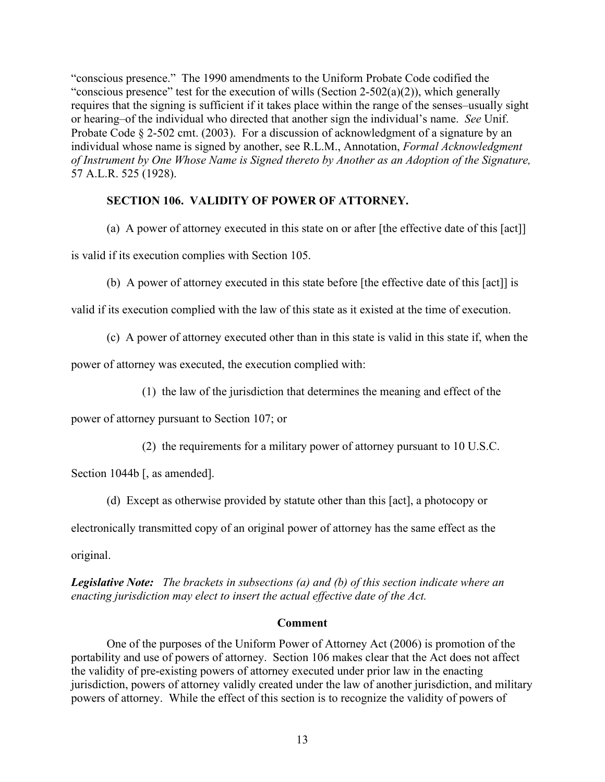"conscious presence." The 1990 amendments to the Uniform Probate Code codified the "conscious presence" test for the execution of wills (Section 2-502(a)(2)), which generally requires that the signing is sufficient if it takes place within the range of the senses–usually sight or hearing–of the individual who directed that another sign the individual's name. *See* Unif. Probate Code § 2-502 cmt. (2003). For a discussion of acknowledgment of a signature by an individual whose name is signed by another, see R.L.M., Annotation, *Formal Acknowledgment of Instrument by One Whose Name is Signed thereto by Another as an Adoption of the Signature,* 57 A.L.R. 525 (1928).

## **SECTION 106. VALIDITY OF POWER OF ATTORNEY.**

(a) A power of attorney executed in this state on or after [the effective date of this [act]]

is valid if its execution complies with Section 105.

(b) A power of attorney executed in this state before [the effective date of this [act]] is

valid if its execution complied with the law of this state as it existed at the time of execution.

(c) A power of attorney executed other than in this state is valid in this state if, when the

power of attorney was executed, the execution complied with:

(1) the law of the jurisdiction that determines the meaning and effect of the

power of attorney pursuant to Section 107; or

(2) the requirements for a military power of attorney pursuant to 10 U.S.C.

Section 1044b [, as amended].

(d) Except as otherwise provided by statute other than this [act], a photocopy or

electronically transmitted copy of an original power of attorney has the same effect as the

original.

*Legislative Note: The brackets in subsections (a) and (b) of this section indicate where an enacting jurisdiction may elect to insert the actual effective date of the Act.*

### **Comment**

One of the purposes of the Uniform Power of Attorney Act (2006) is promotion of the portability and use of powers of attorney. Section 106 makes clear that the Act does not affect the validity of pre-existing powers of attorney executed under prior law in the enacting jurisdiction, powers of attorney validly created under the law of another jurisdiction, and military powers of attorney. While the effect of this section is to recognize the validity of powers of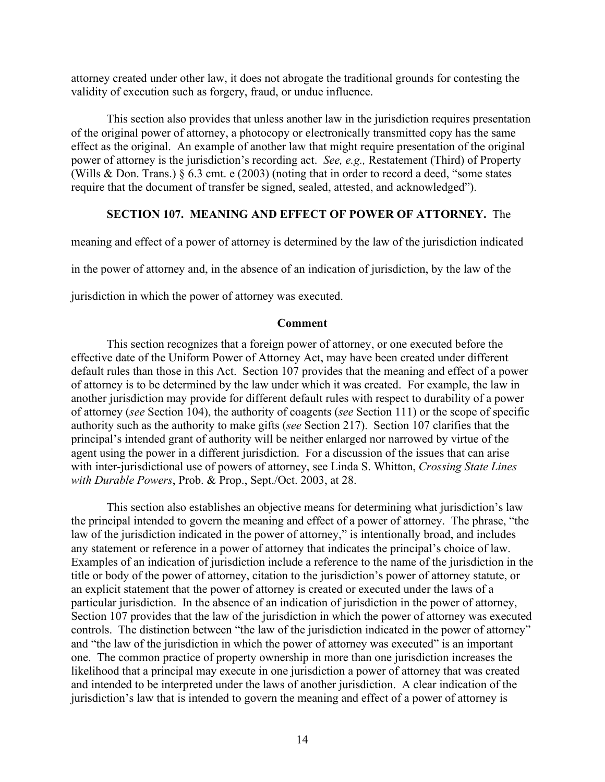attorney created under other law, it does not abrogate the traditional grounds for contesting the validity of execution such as forgery, fraud, or undue influence.

This section also provides that unless another law in the jurisdiction requires presentation of the original power of attorney, a photocopy or electronically transmitted copy has the same effect as the original. An example of another law that might require presentation of the original power of attorney is the jurisdiction's recording act. *See, e.g.,* Restatement (Third) of Property (Wills & Don. Trans.) § 6.3 cmt. e (2003) (noting that in order to record a deed, "some states require that the document of transfer be signed, sealed, attested, and acknowledged").

#### **SECTION 107. MEANING AND EFFECT OF POWER OF ATTORNEY.** The

meaning and effect of a power of attorney is determined by the law of the jurisdiction indicated

in the power of attorney and, in the absence of an indication of jurisdiction, by the law of the

jurisdiction in which the power of attorney was executed.

#### **Comment**

This section recognizes that a foreign power of attorney, or one executed before the effective date of the Uniform Power of Attorney Act, may have been created under different default rules than those in this Act. Section 107 provides that the meaning and effect of a power of attorney is to be determined by the law under which it was created. For example, the law in another jurisdiction may provide for different default rules with respect to durability of a power of attorney (*see* Section 104), the authority of coagents (*see* Section 111) or the scope of specific authority such as the authority to make gifts (*see* Section 217). Section 107 clarifies that the principal's intended grant of authority will be neither enlarged nor narrowed by virtue of the agent using the power in a different jurisdiction. For a discussion of the issues that can arise with inter-jurisdictional use of powers of attorney, see Linda S. Whitton, *Crossing State Lines with Durable Powers*, Prob. & Prop., Sept./Oct. 2003, at 28.

This section also establishes an objective means for determining what jurisdiction's law the principal intended to govern the meaning and effect of a power of attorney. The phrase, "the law of the jurisdiction indicated in the power of attorney," is intentionally broad, and includes any statement or reference in a power of attorney that indicates the principal's choice of law. Examples of an indication of jurisdiction include a reference to the name of the jurisdiction in the title or body of the power of attorney, citation to the jurisdiction's power of attorney statute, or an explicit statement that the power of attorney is created or executed under the laws of a particular jurisdiction. In the absence of an indication of jurisdiction in the power of attorney, Section 107 provides that the law of the jurisdiction in which the power of attorney was executed controls. The distinction between "the law of the jurisdiction indicated in the power of attorney" and "the law of the jurisdiction in which the power of attorney was executed" is an important one. The common practice of property ownership in more than one jurisdiction increases the likelihood that a principal may execute in one jurisdiction a power of attorney that was created and intended to be interpreted under the laws of another jurisdiction. A clear indication of the jurisdiction's law that is intended to govern the meaning and effect of a power of attorney is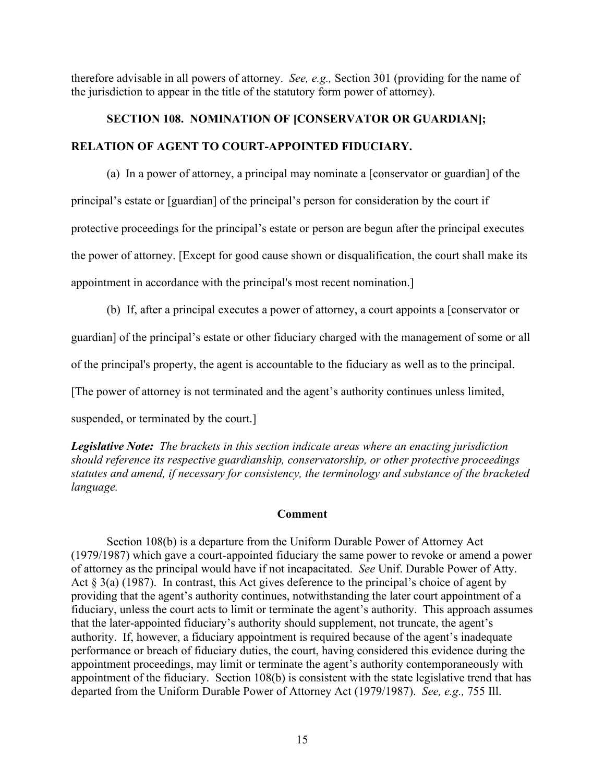therefore advisable in all powers of attorney. *See, e.g.,* Section 301 (providing for the name of the jurisdiction to appear in the title of the statutory form power of attorney).

# **SECTION 108. NOMINATION OF [CONSERVATOR OR GUARDIAN]; RELATION OF AGENT TO COURT-APPOINTED FIDUCIARY.**

(a) In a power of attorney, a principal may nominate a [conservator or guardian] of the principal's estate or [guardian] of the principal's person for consideration by the court if protective proceedings for the principal's estate or person are begun after the principal executes the power of attorney. [Except for good cause shown or disqualification, the court shall make its appointment in accordance with the principal's most recent nomination.]

(b) If, after a principal executes a power of attorney, a court appoints a [conservator or

guardian] of the principal's estate or other fiduciary charged with the management of some or all

of the principal's property, the agent is accountable to the fiduciary as well as to the principal.

[The power of attorney is not terminated and the agent's authority continues unless limited,

suspended, or terminated by the court.]

*Legislative Note: The brackets in this section indicate areas where an enacting jurisdiction should reference its respective guardianship, conservatorship, or other protective proceedings statutes and amend, if necessary for consistency, the terminology and substance of the bracketed language.*

# **Comment**

Section 108(b) is a departure from the Uniform Durable Power of Attorney Act (1979/1987) which gave a court-appointed fiduciary the same power to revoke or amend a power of attorney as the principal would have if not incapacitated. *See* Unif. Durable Power of Atty. Act  $\S 3(a)$  (1987). In contrast, this Act gives deference to the principal's choice of agent by providing that the agent's authority continues, notwithstanding the later court appointment of a fiduciary, unless the court acts to limit or terminate the agent's authority. This approach assumes that the later-appointed fiduciary's authority should supplement, not truncate, the agent's authority. If, however, a fiduciary appointment is required because of the agent's inadequate performance or breach of fiduciary duties, the court, having considered this evidence during the appointment proceedings, may limit or terminate the agent's authority contemporaneously with appointment of the fiduciary. Section 108(b) is consistent with the state legislative trend that has departed from the Uniform Durable Power of Attorney Act (1979/1987). *See, e.g.,* 755 Ill.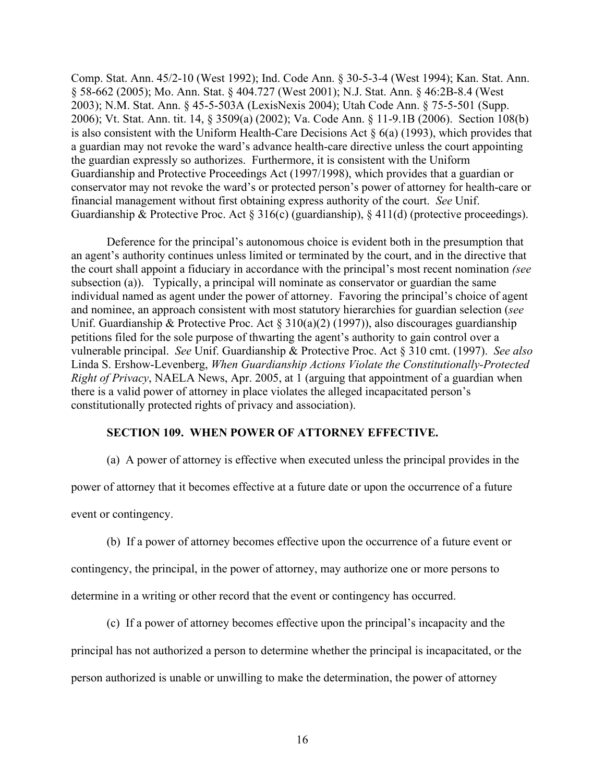Comp. Stat. Ann. 45/2-10 (West 1992); Ind. Code Ann. § 30-5-3-4 (West 1994); Kan. Stat. Ann. § 58-662 (2005); Mo. Ann. Stat. § 404.727 (West 2001); N.J. Stat. Ann. § 46:2B-8.4 (West 2003); N.M. Stat. Ann. § 45-5-503A (LexisNexis 2004); Utah Code Ann. § 75-5-501 (Supp. 2006); Vt. Stat. Ann. tit. 14, § 3509(a) (2002); Va. Code Ann. § 11-9.1B (2006). Section 108(b) is also consistent with the Uniform Health-Care Decisions Act § 6(a) (1993), which provides that a guardian may not revoke the ward's advance health-care directive unless the court appointing the guardian expressly so authorizes. Furthermore, it is consistent with the Uniform Guardianship and Protective Proceedings Act (1997/1998), which provides that a guardian or conservator may not revoke the ward's or protected person's power of attorney for health-care or financial management without first obtaining express authority of the court. *See* Unif. Guardianship & Protective Proc. Act § 316(c) (guardianship), § 411(d) (protective proceedings).

Deference for the principal's autonomous choice is evident both in the presumption that an agent's authority continues unless limited or terminated by the court, and in the directive that the court shall appoint a fiduciary in accordance with the principal's most recent nomination *(see*  subsection (a)). Typically, a principal will nominate as conservator or guardian the same individual named as agent under the power of attorney. Favoring the principal's choice of agent and nominee, an approach consistent with most statutory hierarchies for guardian selection (*see* Unif. Guardianship & Protective Proc. Act § 310(a)(2) (1997)), also discourages guardianship petitions filed for the sole purpose of thwarting the agent's authority to gain control over a vulnerable principal. *See* Unif. Guardianship & Protective Proc. Act § 310 cmt. (1997). *See also*  Linda S. Ershow-Levenberg, *When Guardianship Actions Violate the Constitutionally-Protected Right of Privacy*, NAELA News, Apr. 2005, at 1 (arguing that appointment of a guardian when there is a valid power of attorney in place violates the alleged incapacitated person's constitutionally protected rights of privacy and association).

# **SECTION 109. WHEN POWER OF ATTORNEY EFFECTIVE.**

(a) A power of attorney is effective when executed unless the principal provides in the

power of attorney that it becomes effective at a future date or upon the occurrence of a future

event or contingency.

(b) If a power of attorney becomes effective upon the occurrence of a future event or

contingency, the principal, in the power of attorney, may authorize one or more persons to determine in a writing or other record that the event or contingency has occurred.

(c) If a power of attorney becomes effective upon the principal's incapacity and the

principal has not authorized a person to determine whether the principal is incapacitated, or the person authorized is unable or unwilling to make the determination, the power of attorney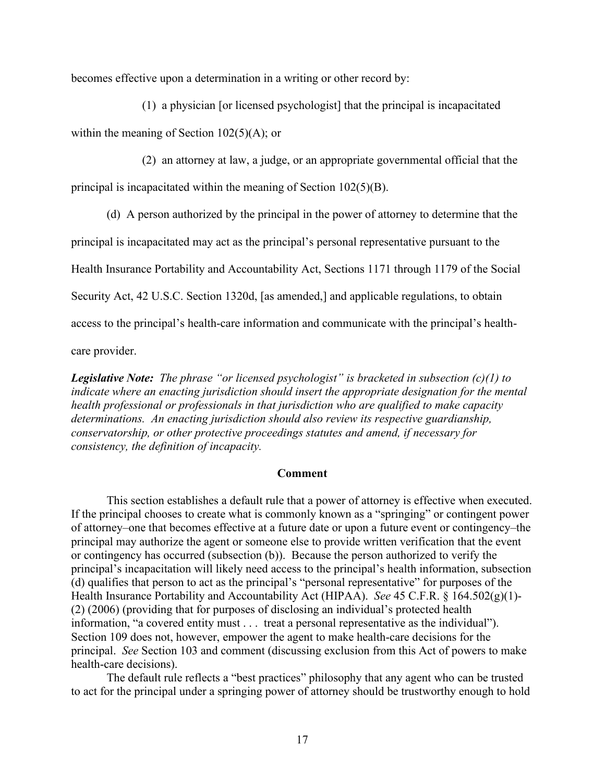becomes effective upon a determination in a writing or other record by:

(1) a physician [or licensed psychologist] that the principal is incapacitated within the meaning of Section 102(5)(A); or

(2) an attorney at law, a judge, or an appropriate governmental official that the

principal is incapacitated within the meaning of Section 102(5)(B).

(d) A person authorized by the principal in the power of attorney to determine that the

principal is incapacitated may act as the principal's personal representative pursuant to the

Health Insurance Portability and Accountability Act, Sections 1171 through 1179 of the Social

Security Act, 42 U.S.C. Section 1320d, [as amended,] and applicable regulations, to obtain

access to the principal's health-care information and communicate with the principal's health-

care provider.

*Legislative Note: The phrase "or licensed psychologist" is bracketed in subsection (c)(1) to indicate where an enacting jurisdiction should insert the appropriate designation for the mental health professional or professionals in that jurisdiction who are qualified to make capacity determinations. An enacting jurisdiction should also review its respective guardianship, conservatorship, or other protective proceedings statutes and amend, if necessary for consistency, the definition of incapacity.*

### **Comment**

This section establishes a default rule that a power of attorney is effective when executed. If the principal chooses to create what is commonly known as a "springing" or contingent power of attorney–one that becomes effective at a future date or upon a future event or contingency–the principal may authorize the agent or someone else to provide written verification that the event or contingency has occurred (subsection (b)). Because the person authorized to verify the principal's incapacitation will likely need access to the principal's health information, subsection (d) qualifies that person to act as the principal's "personal representative" for purposes of the Health Insurance Portability and Accountability Act (HIPAA). *See* 45 C.F.R. § 164.502(g)(1)- (2) (2006) (providing that for purposes of disclosing an individual's protected health information, "a covered entity must . . . treat a personal representative as the individual"). Section 109 does not, however, empower the agent to make health-care decisions for the principal. *See* Section 103 and comment (discussing exclusion from this Act of powers to make health-care decisions).

The default rule reflects a "best practices" philosophy that any agent who can be trusted to act for the principal under a springing power of attorney should be trustworthy enough to hold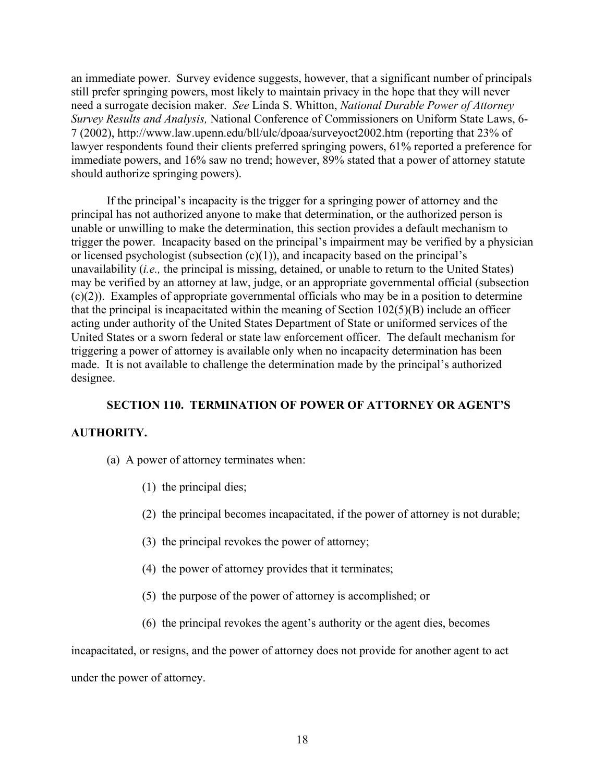an immediate power. Survey evidence suggests, however, that a significant number of principals still prefer springing powers, most likely to maintain privacy in the hope that they will never need a surrogate decision maker. *See* Linda S. Whitton, *National Durable Power of Attorney Survey Results and Analysis,* National Conference of Commissioners on Uniform State Laws, 6- 7 (2002),<http://www.law.upenn.edu/bll/ulc/dpoaa/surveyoct2002.htm> (reporting that 23% of lawyer respondents found their clients preferred springing powers, 61% reported a preference for immediate powers, and 16% saw no trend; however, 89% stated that a power of attorney statute should authorize springing powers).

If the principal's incapacity is the trigger for a springing power of attorney and the principal has not authorized anyone to make that determination, or the authorized person is unable or unwilling to make the determination, this section provides a default mechanism to trigger the power. Incapacity based on the principal's impairment may be verified by a physician or licensed psychologist (subsection  $(c)(1)$ ), and incapacity based on the principal's unavailability (*i.e.,* the principal is missing, detained, or unable to return to the United States) may be verified by an attorney at law, judge, or an appropriate governmental official (subsection (c)(2)). Examples of appropriate governmental officials who may be in a position to determine that the principal is incapacitated within the meaning of Section 102(5)(B) include an officer acting under authority of the United States Department of State or uniformed services of the United States or a sworn federal or state law enforcement officer. The default mechanism for triggering a power of attorney is available only when no incapacity determination has been made. It is not available to challenge the determination made by the principal's authorized designee.

### **SECTION 110. TERMINATION OF POWER OF ATTORNEY OR AGENT'S**

# **AUTHORITY.**

- (a) A power of attorney terminates when:
	- (1) the principal dies;
	- (2) the principal becomes incapacitated, if the power of attorney is not durable;
	- (3) the principal revokes the power of attorney;
	- (4) the power of attorney provides that it terminates;
	- (5) the purpose of the power of attorney is accomplished; or
	- (6) the principal revokes the agent's authority or the agent dies, becomes

incapacitated, or resigns, and the power of attorney does not provide for another agent to act under the power of attorney.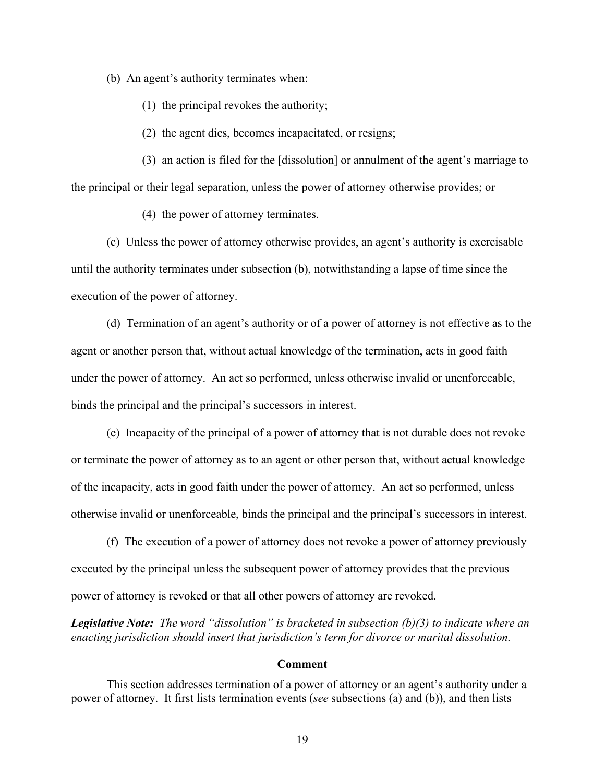(b) An agent's authority terminates when:

(1) the principal revokes the authority;

(2) the agent dies, becomes incapacitated, or resigns;

(3) an action is filed for the [dissolution] or annulment of the agent's marriage to the principal or their legal separation, unless the power of attorney otherwise provides; or

(4) the power of attorney terminates.

(c) Unless the power of attorney otherwise provides, an agent's authority is exercisable until the authority terminates under subsection (b), notwithstanding a lapse of time since the execution of the power of attorney.

(d) Termination of an agent's authority or of a power of attorney is not effective as to the agent or another person that, without actual knowledge of the termination, acts in good faith under the power of attorney. An act so performed, unless otherwise invalid or unenforceable, binds the principal and the principal's successors in interest.

(e) Incapacity of the principal of a power of attorney that is not durable does not revoke or terminate the power of attorney as to an agent or other person that, without actual knowledge of the incapacity, acts in good faith under the power of attorney. An act so performed, unless otherwise invalid or unenforceable, binds the principal and the principal's successors in interest.

(f) The execution of a power of attorney does not revoke a power of attorney previously executed by the principal unless the subsequent power of attorney provides that the previous power of attorney is revoked or that all other powers of attorney are revoked.

*Legislative Note: The word "dissolution" is bracketed in subsection (b)(3) to indicate where an enacting jurisdiction should insert that jurisdiction's term for divorce or marital dissolution.*

### **Comment**

This section addresses termination of a power of attorney or an agent's authority under a power of attorney. It first lists termination events (*see* subsections (a) and (b)), and then lists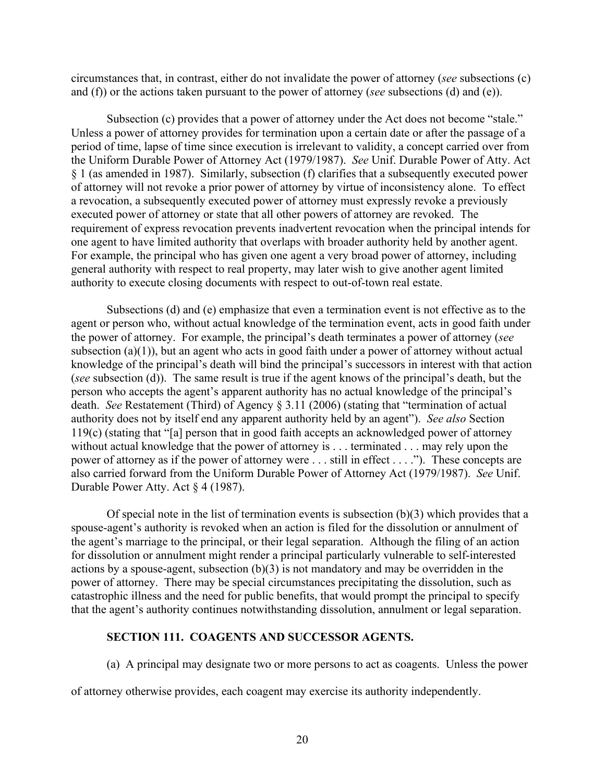circumstances that, in contrast, either do not invalidate the power of attorney (*see* subsections (c) and (f)) or the actions taken pursuant to the power of attorney (*see* subsections (d) and (e)).

Subsection (c) provides that a power of attorney under the Act does not become "stale." Unless a power of attorney provides for termination upon a certain date or after the passage of a period of time, lapse of time since execution is irrelevant to validity, a concept carried over from the Uniform Durable Power of Attorney Act (1979/1987). *See* Unif. Durable Power of Atty. Act § 1 (as amended in 1987). Similarly, subsection (f) clarifies that a subsequently executed power of attorney will not revoke a prior power of attorney by virtue of inconsistency alone. To effect a revocation, a subsequently executed power of attorney must expressly revoke a previously executed power of attorney or state that all other powers of attorney are revoked. The requirement of express revocation prevents inadvertent revocation when the principal intends for one agent to have limited authority that overlaps with broader authority held by another agent. For example, the principal who has given one agent a very broad power of attorney, including general authority with respect to real property, may later wish to give another agent limited authority to execute closing documents with respect to out-of-town real estate.

Subsections (d) and (e) emphasize that even a termination event is not effective as to the agent or person who, without actual knowledge of the termination event, acts in good faith under the power of attorney. For example, the principal's death terminates a power of attorney (*see*  subsection (a)(1)), but an agent who acts in good faith under a power of attorney without actual knowledge of the principal's death will bind the principal's successors in interest with that action (*see* subsection (d)). The same result is true if the agent knows of the principal's death, but the person who accepts the agent's apparent authority has no actual knowledge of the principal's death. *See* Restatement (Third) of Agency § 3.11 (2006) (stating that "termination of actual authority does not by itself end any apparent authority held by an agent"). *See also* Section 119(c) (stating that "[a] person that in good faith accepts an acknowledged power of attorney without actual knowledge that the power of attorney is . . . terminated . . . may rely upon the power of attorney as if the power of attorney were . . . still in effect . . . ."). These concepts are also carried forward from the Uniform Durable Power of Attorney Act (1979/1987). *See* Unif. Durable Power Atty. Act § 4 (1987).

Of special note in the list of termination events is subsection  $(b)(3)$  which provides that a spouse-agent's authority is revoked when an action is filed for the dissolution or annulment of the agent's marriage to the principal, or their legal separation. Although the filing of an action for dissolution or annulment might render a principal particularly vulnerable to self-interested actions by a spouse-agent, subsection  $(b)(3)$  is not mandatory and may be overridden in the power of attorney. There may be special circumstances precipitating the dissolution, such as catastrophic illness and the need for public benefits, that would prompt the principal to specify that the agent's authority continues notwithstanding dissolution, annulment or legal separation.

#### **SECTION 111. COAGENTS AND SUCCESSOR AGENTS.**

(a) A principal may designate two or more persons to act as coagents. Unless the power

of attorney otherwise provides, each coagent may exercise its authority independently.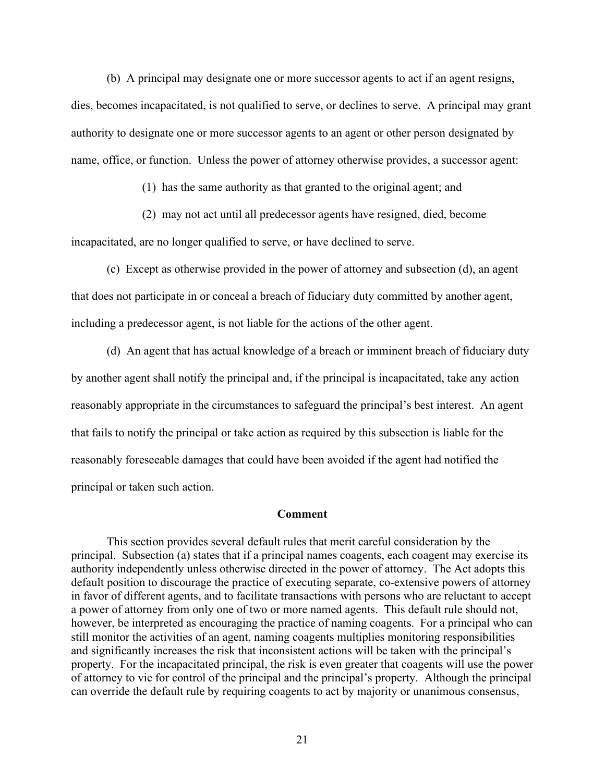(b) A principal may designate one or more successor agents to act if an agent resigns, dies, becomes incapacitated, is not qualified to serve, or declines to serve. A principal may grant authority to designate one or more successor agents to an agent or other person designated by name, office, or function. Unless the power of attorney otherwise provides, a successor agent:

(1) has the same authority as that granted to the original agent; and

(2) may not act until all predecessor agents have resigned, died, become incapacitated, are no longer qualified to serve, or have declined to serve.

(c) Except as otherwise provided in the power of attorney and subsection (d), an agent that does not participate in or conceal a breach of fiduciary duty committed by another agent, including a predecessor agent, is not liable for the actions of the other agent.

(d) An agent that has actual knowledge of a breach or imminent breach of fiduciary duty by another agent shall notify the principal and, if the principal is incapacitated, take any action reasonably appropriate in the circumstances to safeguard the principal's best interest. An agent that fails to notify the principal or take action as required by this subsection is liable for the reasonably foreseeable damages that could have been avoided if the agent had notified the principal or taken such action.

#### **Comment**

This section provides several default rules that merit careful consideration by the principal. Subsection (a) states that if a principal names coagents, each coagent may exercise its authority independently unless otherwise directed in the power of attorney. The Act adopts this default position to discourage the practice of executing separate, co-extensive powers of attorney in favor of different agents, and to facilitate transactions with persons who are reluctant to accept a power of attorney from only one of two or more named agents. This default rule should not, however, be interpreted as encouraging the practice of naming coagents. For a principal who can still monitor the activities of an agent, naming coagents multiplies monitoring responsibilities and significantly increases the risk that inconsistent actions will be taken with the principal's property. For the incapacitated principal, the risk is even greater that coagents will use the power of attorney to vie for control of the principal and the principal's property. Although the principal can override the default rule by requiring coagents to act by majority or unanimous consensus,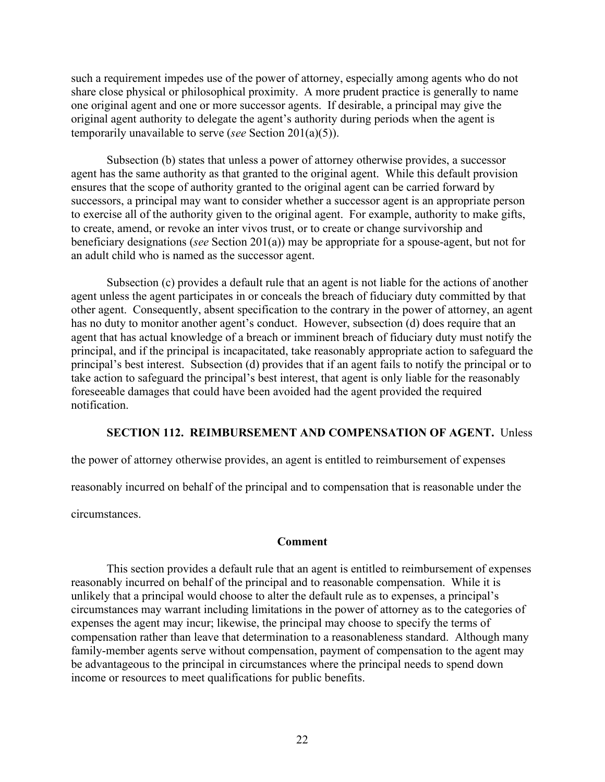such a requirement impedes use of the power of attorney, especially among agents who do not share close physical or philosophical proximity. A more prudent practice is generally to name one original agent and one or more successor agents. If desirable, a principal may give the original agent authority to delegate the agent's authority during periods when the agent is temporarily unavailable to serve (*see* Section 201(a)(5)).

Subsection (b) states that unless a power of attorney otherwise provides, a successor agent has the same authority as that granted to the original agent. While this default provision ensures that the scope of authority granted to the original agent can be carried forward by successors, a principal may want to consider whether a successor agent is an appropriate person to exercise all of the authority given to the original agent. For example, authority to make gifts, to create, amend, or revoke an inter vivos trust, or to create or change survivorship and beneficiary designations (*see* Section 201(a)) may be appropriate for a spouse-agent, but not for an adult child who is named as the successor agent.

Subsection (c) provides a default rule that an agent is not liable for the actions of another agent unless the agent participates in or conceals the breach of fiduciary duty committed by that other agent. Consequently, absent specification to the contrary in the power of attorney, an agent has no duty to monitor another agent's conduct. However, subsection (d) does require that an agent that has actual knowledge of a breach or imminent breach of fiduciary duty must notify the principal, and if the principal is incapacitated, take reasonably appropriate action to safeguard the principal's best interest. Subsection (d) provides that if an agent fails to notify the principal or to take action to safeguard the principal's best interest, that agent is only liable for the reasonably foreseeable damages that could have been avoided had the agent provided the required notification.

### **SECTION 112. REIMBURSEMENT AND COMPENSATION OF AGENT.** Unless

the power of attorney otherwise provides, an agent is entitled to reimbursement of expenses

reasonably incurred on behalf of the principal and to compensation that is reasonable under the

circumstances.

#### **Comment**

This section provides a default rule that an agent is entitled to reimbursement of expenses reasonably incurred on behalf of the principal and to reasonable compensation. While it is unlikely that a principal would choose to alter the default rule as to expenses, a principal's circumstances may warrant including limitations in the power of attorney as to the categories of expenses the agent may incur; likewise, the principal may choose to specify the terms of compensation rather than leave that determination to a reasonableness standard. Although many family-member agents serve without compensation, payment of compensation to the agent may be advantageous to the principal in circumstances where the principal needs to spend down income or resources to meet qualifications for public benefits.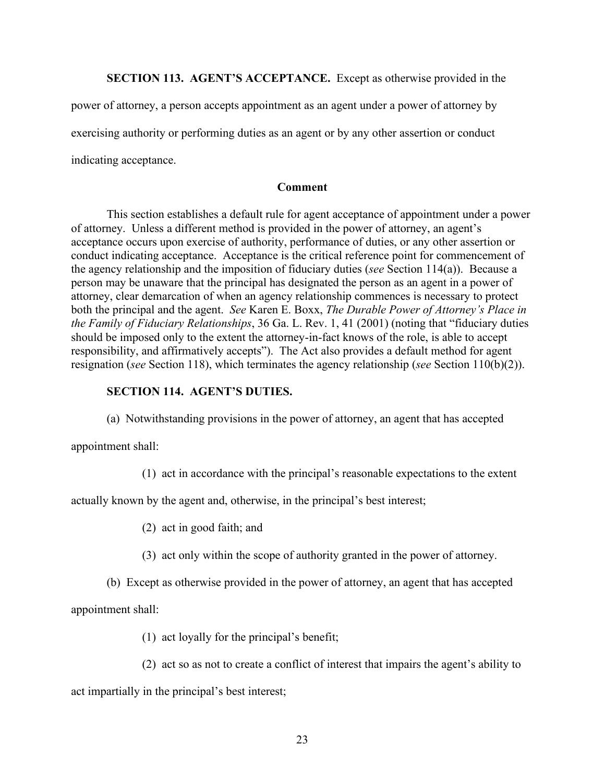**SECTION 113. AGENT'S ACCEPTANCE.** Except as otherwise provided in the

power of attorney, a person accepts appointment as an agent under a power of attorney by exercising authority or performing duties as an agent or by any other assertion or conduct indicating acceptance.

## **Comment**

This section establishes a default rule for agent acceptance of appointment under a power of attorney. Unless a different method is provided in the power of attorney, an agent's acceptance occurs upon exercise of authority, performance of duties, or any other assertion or conduct indicating acceptance. Acceptance is the critical reference point for commencement of the agency relationship and the imposition of fiduciary duties (*see* Section 114(a)). Because a person may be unaware that the principal has designated the person as an agent in a power of attorney, clear demarcation of when an agency relationship commences is necessary to protect both the principal and the agent. *See* Karen E. Boxx, *The Durable Power of Attorney's Place in the Family of Fiduciary Relationships*, 36 Ga. L. Rev. 1, 41 (2001) (noting that "fiduciary duties should be imposed only to the extent the attorney-in-fact knows of the role, is able to accept responsibility, and affirmatively accepts"). The Act also provides a default method for agent resignation (*see* Section 118), which terminates the agency relationship (*see* Section 110(b)(2)).

## **SECTION 114. AGENT'S DUTIES.**

(a) Notwithstanding provisions in the power of attorney, an agent that has accepted

appointment shall:

(1) act in accordance with the principal's reasonable expectations to the extent

actually known by the agent and, otherwise, in the principal's best interest;

- (2) act in good faith; and
- (3) act only within the scope of authority granted in the power of attorney.
- (b) Except as otherwise provided in the power of attorney, an agent that has accepted

appointment shall:

- (1) act loyally for the principal's benefit;
- (2) act so as not to create a conflict of interest that impairs the agent's ability to

act impartially in the principal's best interest;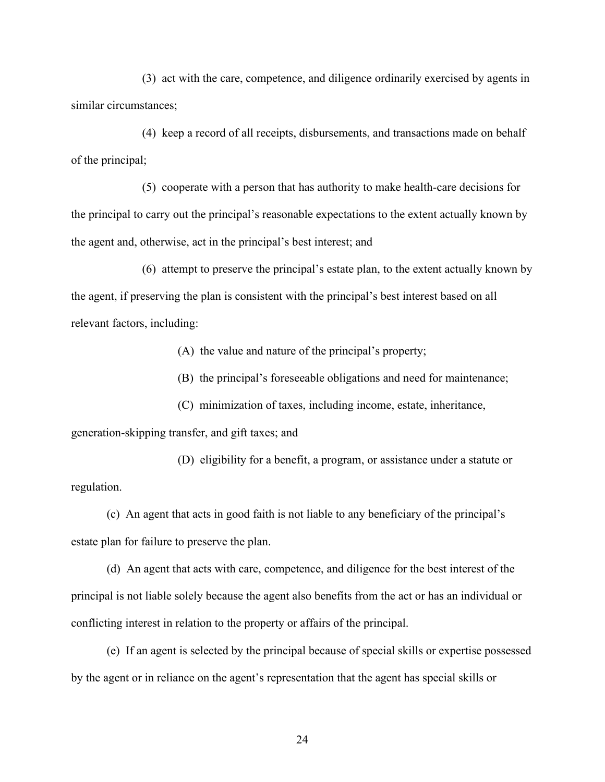(3) act with the care, competence, and diligence ordinarily exercised by agents in similar circumstances;

(4) keep a record of all receipts, disbursements, and transactions made on behalf of the principal;

(5) cooperate with a person that has authority to make health-care decisions for the principal to carry out the principal's reasonable expectations to the extent actually known by the agent and, otherwise, act in the principal's best interest; and

(6) attempt to preserve the principal's estate plan, to the extent actually known by the agent, if preserving the plan is consistent with the principal's best interest based on all relevant factors, including:

(A) the value and nature of the principal's property;

(B) the principal's foreseeable obligations and need for maintenance;

(C) minimization of taxes, including income, estate, inheritance,

generation-skipping transfer, and gift taxes; and

(D) eligibility for a benefit, a program, or assistance under a statute or regulation.

(c) An agent that acts in good faith is not liable to any beneficiary of the principal's estate plan for failure to preserve the plan.

(d) An agent that acts with care, competence, and diligence for the best interest of the principal is not liable solely because the agent also benefits from the act or has an individual or conflicting interest in relation to the property or affairs of the principal.

(e) If an agent is selected by the principal because of special skills or expertise possessed by the agent or in reliance on the agent's representation that the agent has special skills or

24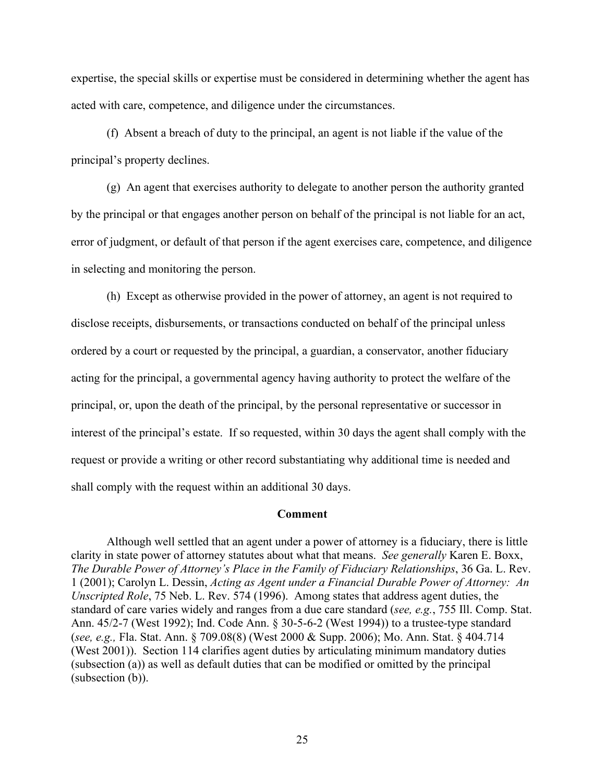expertise, the special skills or expertise must be considered in determining whether the agent has acted with care, competence, and diligence under the circumstances.

(f) Absent a breach of duty to the principal, an agent is not liable if the value of the principal's property declines.

(g) An agent that exercises authority to delegate to another person the authority granted by the principal or that engages another person on behalf of the principal is not liable for an act, error of judgment, or default of that person if the agent exercises care, competence, and diligence in selecting and monitoring the person.

(h) Except as otherwise provided in the power of attorney, an agent is not required to disclose receipts, disbursements, or transactions conducted on behalf of the principal unless ordered by a court or requested by the principal, a guardian, a conservator, another fiduciary acting for the principal, a governmental agency having authority to protect the welfare of the principal, or, upon the death of the principal, by the personal representative or successor in interest of the principal's estate. If so requested, within 30 days the agent shall comply with the request or provide a writing or other record substantiating why additional time is needed and shall comply with the request within an additional 30 days.

#### **Comment**

Although well settled that an agent under a power of attorney is a fiduciary, there is little clarity in state power of attorney statutes about what that means. *See generally* Karen E. Boxx, *The Durable Power of Attorney's Place in the Family of Fiduciary Relationships*, 36 Ga. L. Rev. 1 (2001); Carolyn L. Dessin, *Acting as Agent under a Financial Durable Power of Attorney: An Unscripted Role*, 75 Neb. L. Rev. 574 (1996). Among states that address agent duties, the standard of care varies widely and ranges from a due care standard (*see, e.g.*, 755 Ill. Comp. Stat. Ann. 45/2-7 (West 1992); Ind. Code Ann. § 30-5-6-2 (West 1994)) to a trustee-type standard (*see, e.g.,* Fla. Stat. Ann. § 709.08(8) (West 2000 & Supp. 2006); Mo. Ann. Stat. § 404.714 (West 2001)). Section 114 clarifies agent duties by articulating minimum mandatory duties (subsection (a)) as well as default duties that can be modified or omitted by the principal (subsection (b)).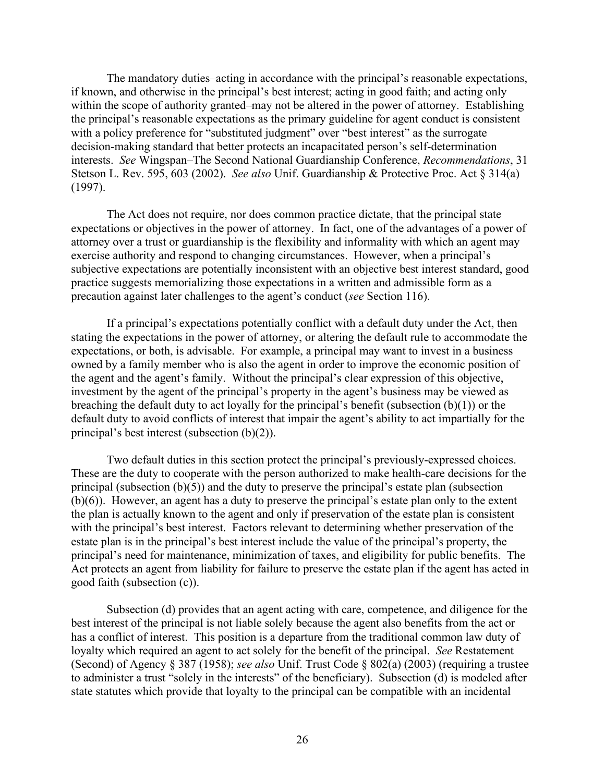The mandatory duties–acting in accordance with the principal's reasonable expectations, if known, and otherwise in the principal's best interest; acting in good faith; and acting only within the scope of authority granted–may not be altered in the power of attorney. Establishing the principal's reasonable expectations as the primary guideline for agent conduct is consistent with a policy preference for "substituted judgment" over "best interest" as the surrogate decision-making standard that better protects an incapacitated person's self-determination interests. *See* Wingspan–The Second National Guardianship Conference, *Recommendations*, 31 Stetson L. Rev. 595, 603 (2002). *See also* Unif. Guardianship & Protective Proc. Act § 314(a) (1997).

The Act does not require, nor does common practice dictate, that the principal state expectations or objectives in the power of attorney. In fact, one of the advantages of a power of attorney over a trust or guardianship is the flexibility and informality with which an agent may exercise authority and respond to changing circumstances. However, when a principal's subjective expectations are potentially inconsistent with an objective best interest standard, good practice suggests memorializing those expectations in a written and admissible form as a precaution against later challenges to the agent's conduct (*see* Section 116).

If a principal's expectations potentially conflict with a default duty under the Act, then stating the expectations in the power of attorney, or altering the default rule to accommodate the expectations, or both, is advisable. For example, a principal may want to invest in a business owned by a family member who is also the agent in order to improve the economic position of the agent and the agent's family. Without the principal's clear expression of this objective, investment by the agent of the principal's property in the agent's business may be viewed as breaching the default duty to act loyally for the principal's benefit (subsection (b)(1)) or the default duty to avoid conflicts of interest that impair the agent's ability to act impartially for the principal's best interest (subsection (b)(2)).

Two default duties in this section protect the principal's previously-expressed choices. These are the duty to cooperate with the person authorized to make health-care decisions for the principal (subsection  $(b)(5)$ ) and the duty to preserve the principal's estate plan (subsection (b)(6)). However, an agent has a duty to preserve the principal's estate plan only to the extent the plan is actually known to the agent and only if preservation of the estate plan is consistent with the principal's best interest. Factors relevant to determining whether preservation of the estate plan is in the principal's best interest include the value of the principal's property, the principal's need for maintenance, minimization of taxes, and eligibility for public benefits. The Act protects an agent from liability for failure to preserve the estate plan if the agent has acted in good faith (subsection (c)).

Subsection (d) provides that an agent acting with care, competence, and diligence for the best interest of the principal is not liable solely because the agent also benefits from the act or has a conflict of interest. This position is a departure from the traditional common law duty of loyalty which required an agent to act solely for the benefit of the principal. *See* Restatement (Second) of Agency § 387 (1958); *see also* Unif. Trust Code § 802(a) (2003) (requiring a trustee to administer a trust "solely in the interests" of the beneficiary). Subsection (d) is modeled after state statutes which provide that loyalty to the principal can be compatible with an incidental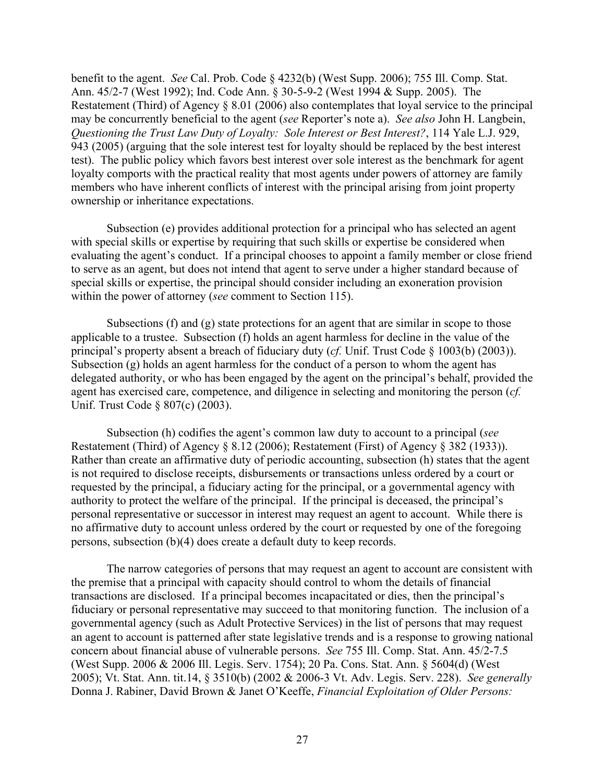benefit to the agent. *See* Cal. Prob. Code § 4232(b) (West Supp. 2006); 755 Ill. Comp. Stat. Ann. 45/2-7 (West 1992); Ind. Code Ann. § 30-5-9-2 (West 1994 & Supp. 2005). The Restatement (Third) of Agency § 8.01 (2006) also contemplates that loyal service to the principal may be concurrently beneficial to the agent (*see* Reporter's note a). *See also* John H. Langbein, *Questioning the Trust Law Duty of Loyalty: Sole Interest or Best Interest?*, 114 Yale L.J. 929, 943 (2005) (arguing that the sole interest test for loyalty should be replaced by the best interest test). The public policy which favors best interest over sole interest as the benchmark for agent loyalty comports with the practical reality that most agents under powers of attorney are family members who have inherent conflicts of interest with the principal arising from joint property ownership or inheritance expectations.

Subsection (e) provides additional protection for a principal who has selected an agent with special skills or expertise by requiring that such skills or expertise be considered when evaluating the agent's conduct. If a principal chooses to appoint a family member or close friend to serve as an agent, but does not intend that agent to serve under a higher standard because of special skills or expertise, the principal should consider including an exoneration provision within the power of attorney (*see* comment to Section 115).

Subsections (f) and (g) state protections for an agent that are similar in scope to those applicable to a trustee. Subsection (f) holds an agent harmless for decline in the value of the principal's property absent a breach of fiduciary duty (*cf.* Unif. Trust Code § 1003(b) (2003)). Subsection (g) holds an agent harmless for the conduct of a person to whom the agent has delegated authority, or who has been engaged by the agent on the principal's behalf, provided the agent has exercised care, competence, and diligence in selecting and monitoring the person (*cf.*  Unif. Trust Code § 807(c) (2003).

Subsection (h) codifies the agent's common law duty to account to a principal (*see*  Restatement (Third) of Agency § 8.12 (2006); Restatement (First) of Agency § 382 (1933)). Rather than create an affirmative duty of periodic accounting, subsection (h) states that the agent is not required to disclose receipts, disbursements or transactions unless ordered by a court or requested by the principal, a fiduciary acting for the principal, or a governmental agency with authority to protect the welfare of the principal. If the principal is deceased, the principal's personal representative or successor in interest may request an agent to account. While there is no affirmative duty to account unless ordered by the court or requested by one of the foregoing persons, subsection (b)(4) does create a default duty to keep records.

The narrow categories of persons that may request an agent to account are consistent with the premise that a principal with capacity should control to whom the details of financial transactions are disclosed. If a principal becomes incapacitated or dies, then the principal's fiduciary or personal representative may succeed to that monitoring function. The inclusion of a governmental agency (such as Adult Protective Services) in the list of persons that may request an agent to account is patterned after state legislative trends and is a response to growing national concern about financial abuse of vulnerable persons. *See* 755 Ill. Comp. Stat. Ann. 45/2-7.5 (West Supp. 2006 & 2006 Ill. Legis. Serv. 1754); 20 Pa. Cons. Stat. Ann. § 5604(d) (West 2005); Vt. Stat. Ann. tit.14, § 3510(b) (2002 & 2006-3 Vt. Adv. Legis. Serv. 228). *See generally* Donna J. Rabiner, David Brown & Janet O'Keeffe, *Financial Exploitation of Older Persons:*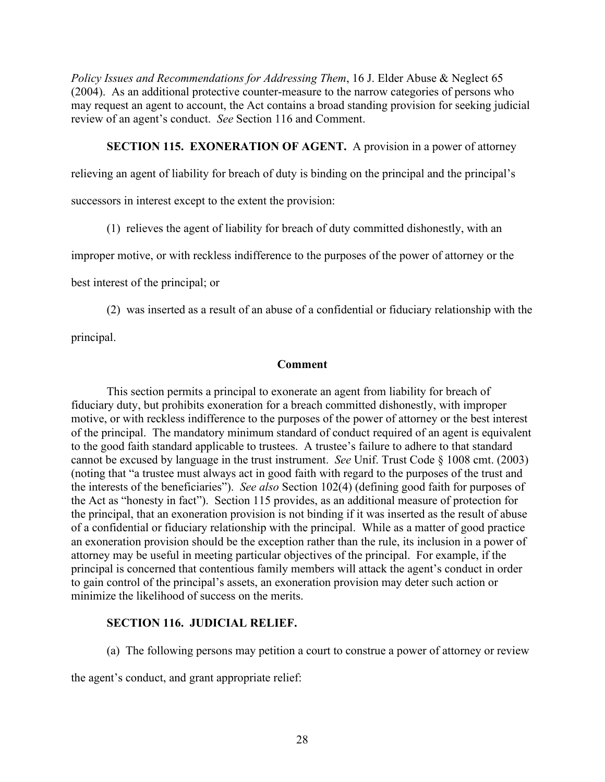*Policy Issues and Recommendations for Addressing Them*, 16 J. Elder Abuse & Neglect 65 (2004). As an additional protective counter-measure to the narrow categories of persons who may request an agent to account, the Act contains a broad standing provision for seeking judicial review of an agent's conduct. *See* Section 116 and Comment.

# **SECTION 115. EXONERATION OF AGENT.** A provision in a power of attorney

relieving an agent of liability for breach of duty is binding on the principal and the principal's

successors in interest except to the extent the provision:

(1) relieves the agent of liability for breach of duty committed dishonestly, with an

improper motive, or with reckless indifference to the purposes of the power of attorney or the

best interest of the principal; or

(2) was inserted as a result of an abuse of a confidential or fiduciary relationship with the

principal.

### **Comment**

This section permits a principal to exonerate an agent from liability for breach of fiduciary duty, but prohibits exoneration for a breach committed dishonestly, with improper motive, or with reckless indifference to the purposes of the power of attorney or the best interest of the principal. The mandatory minimum standard of conduct required of an agent is equivalent to the good faith standard applicable to trustees. A trustee's failure to adhere to that standard cannot be excused by language in the trust instrument. *See* Unif. Trust Code § 1008 cmt. (2003) (noting that "a trustee must always act in good faith with regard to the purposes of the trust and the interests of the beneficiaries"). *See also* Section 102(4) (defining good faith for purposes of the Act as "honesty in fact"). Section 115 provides, as an additional measure of protection for the principal, that an exoneration provision is not binding if it was inserted as the result of abuse of a confidential or fiduciary relationship with the principal. While as a matter of good practice an exoneration provision should be the exception rather than the rule, its inclusion in a power of attorney may be useful in meeting particular objectives of the principal. For example, if the principal is concerned that contentious family members will attack the agent's conduct in order to gain control of the principal's assets, an exoneration provision may deter such action or minimize the likelihood of success on the merits.

# **SECTION 116. JUDICIAL RELIEF.**

(a) The following persons may petition a court to construe a power of attorney or review

the agent's conduct, and grant appropriate relief: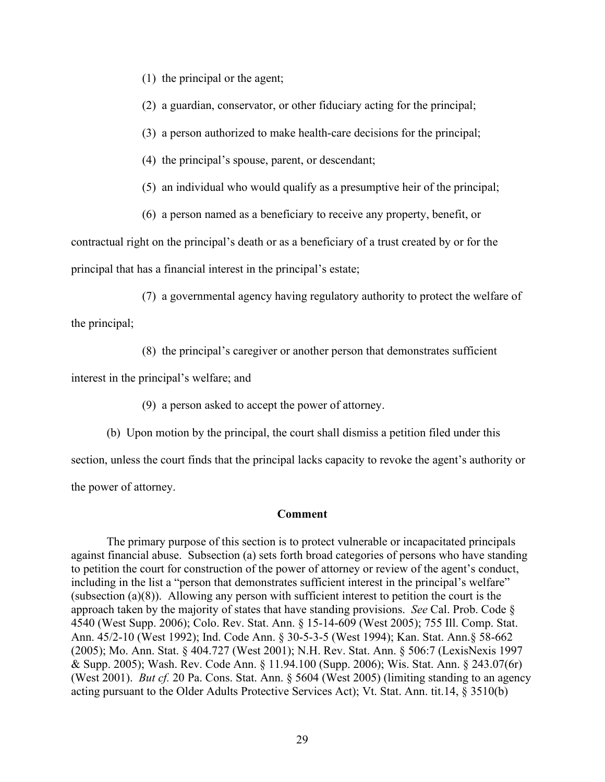(1) the principal or the agent;

(2) a guardian, conservator, or other fiduciary acting for the principal;

(3) a person authorized to make health-care decisions for the principal;

(4) the principal's spouse, parent, or descendant;

(5) an individual who would qualify as a presumptive heir of the principal;

(6) a person named as a beneficiary to receive any property, benefit, or

contractual right on the principal's death or as a beneficiary of a trust created by or for the principal that has a financial interest in the principal's estate;

(7) a governmental agency having regulatory authority to protect the welfare of the principal;

(8) the principal's caregiver or another person that demonstrates sufficient

interest in the principal's welfare; and

(9) a person asked to accept the power of attorney.

(b) Upon motion by the principal, the court shall dismiss a petition filed under this

section, unless the court finds that the principal lacks capacity to revoke the agent's authority or the power of attorney.

### **Comment**

The primary purpose of this section is to protect vulnerable or incapacitated principals against financial abuse. Subsection (a) sets forth broad categories of persons who have standing to petition the court for construction of the power of attorney or review of the agent's conduct, including in the list a "person that demonstrates sufficient interest in the principal's welfare" (subsection  $(a)(8)$ ). Allowing any person with sufficient interest to petition the court is the approach taken by the majority of states that have standing provisions. *See* Cal. Prob. Code § 4540 (West Supp. 2006); Colo. Rev. Stat. Ann. § 15-14-609 (West 2005); 755 Ill. Comp. Stat. Ann. 45/2-10 (West 1992); Ind. Code Ann. § 30-5-3-5 (West 1994); Kan. Stat. Ann.§ 58-662 (2005); Mo. Ann. Stat. § 404.727 (West 2001); N.H. Rev. Stat. Ann. § 506:7 (LexisNexis 1997 & Supp. 2005); Wash. Rev. Code Ann. § 11.94.100 (Supp. 2006); Wis. Stat. Ann. § 243.07(6r) (West 2001). *But cf.* 20 Pa. Cons. Stat. Ann. § 5604 (West 2005) (limiting standing to an agency acting pursuant to the Older Adults Protective Services Act); Vt. Stat. Ann. tit.14, § 3510(b)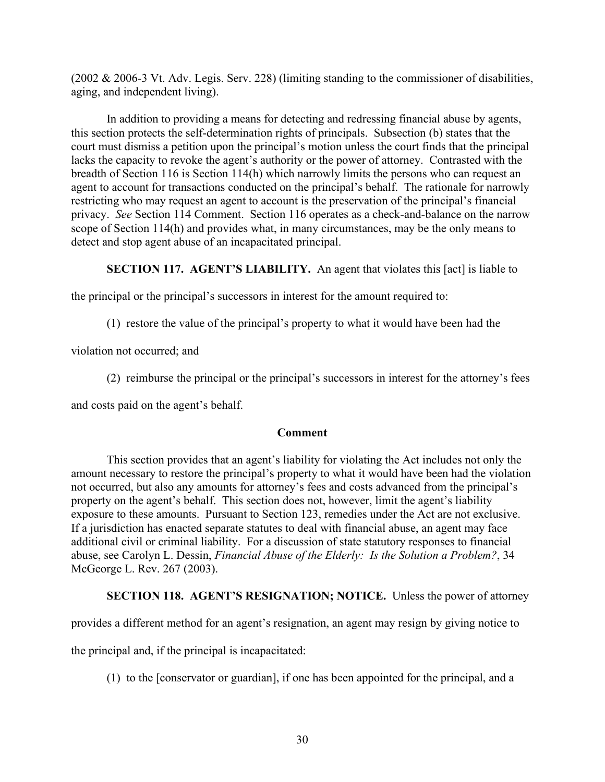(2002 & 2006-3 Vt. Adv. Legis. Serv. 228) (limiting standing to the commissioner of disabilities, aging, and independent living).

In addition to providing a means for detecting and redressing financial abuse by agents, this section protects the self-determination rights of principals. Subsection (b) states that the court must dismiss a petition upon the principal's motion unless the court finds that the principal lacks the capacity to revoke the agent's authority or the power of attorney. Contrasted with the breadth of Section 116 is Section 114(h) which narrowly limits the persons who can request an agent to account for transactions conducted on the principal's behalf. The rationale for narrowly restricting who may request an agent to account is the preservation of the principal's financial privacy. *See* Section 114 Comment. Section 116 operates as a check-and-balance on the narrow scope of Section 114(h) and provides what, in many circumstances, may be the only means to detect and stop agent abuse of an incapacitated principal.

# **SECTION 117. AGENT'S LIABILITY.** An agent that violates this [act] is liable to

the principal or the principal's successors in interest for the amount required to:

(1) restore the value of the principal's property to what it would have been had the

violation not occurred; and

(2) reimburse the principal or the principal's successors in interest for the attorney's fees

and costs paid on the agent's behalf.

# **Comment**

This section provides that an agent's liability for violating the Act includes not only the amount necessary to restore the principal's property to what it would have been had the violation not occurred, but also any amounts for attorney's fees and costs advanced from the principal's property on the agent's behalf. This section does not, however, limit the agent's liability exposure to these amounts. Pursuant to Section 123, remedies under the Act are not exclusive. If a jurisdiction has enacted separate statutes to deal with financial abuse, an agent may face additional civil or criminal liability. For a discussion of state statutory responses to financial abuse, see Carolyn L. Dessin, *Financial Abuse of the Elderly: Is the Solution a Problem?*, 34 McGeorge L. Rev. 267 (2003).

# **SECTION 118. AGENT'S RESIGNATION; NOTICE.** Unless the power of attorney

provides a different method for an agent's resignation, an agent may resign by giving notice to

the principal and, if the principal is incapacitated:

(1) to the [conservator or guardian], if one has been appointed for the principal, and a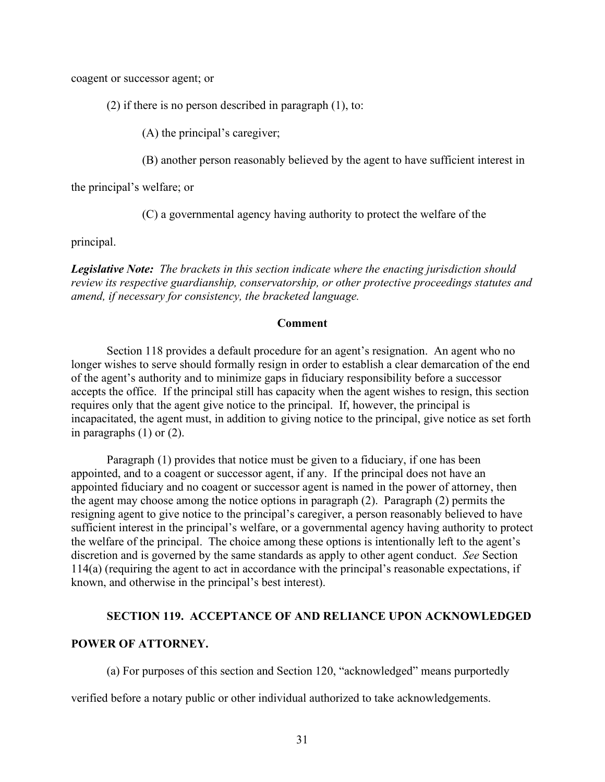coagent or successor agent; or

(2) if there is no person described in paragraph (1), to:

(A) the principal's caregiver;

(B) another person reasonably believed by the agent to have sufficient interest in

the principal's welfare; or

(C) a governmental agency having authority to protect the welfare of the

principal.

*Legislative Note: The brackets in this section indicate where the enacting jurisdiction should review its respective guardianship, conservatorship, or other protective proceedings statutes and amend, if necessary for consistency, the bracketed language.*

#### **Comment**

Section 118 provides a default procedure for an agent's resignation. An agent who no longer wishes to serve should formally resign in order to establish a clear demarcation of the end of the agent's authority and to minimize gaps in fiduciary responsibility before a successor accepts the office. If the principal still has capacity when the agent wishes to resign, this section requires only that the agent give notice to the principal. If, however, the principal is incapacitated, the agent must, in addition to giving notice to the principal, give notice as set forth in paragraphs (1) or (2).

Paragraph (1) provides that notice must be given to a fiduciary, if one has been appointed, and to a coagent or successor agent, if any. If the principal does not have an appointed fiduciary and no coagent or successor agent is named in the power of attorney, then the agent may choose among the notice options in paragraph (2). Paragraph (2) permits the resigning agent to give notice to the principal's caregiver, a person reasonably believed to have sufficient interest in the principal's welfare, or a governmental agency having authority to protect the welfare of the principal. The choice among these options is intentionally left to the agent's discretion and is governed by the same standards as apply to other agent conduct. *See* Section 114(a) (requiring the agent to act in accordance with the principal's reasonable expectations, if known, and otherwise in the principal's best interest).

#### **SECTION 119. ACCEPTANCE OF AND RELIANCE UPON ACKNOWLEDGED**

## **POWER OF ATTORNEY.**

(a) For purposes of this section and Section 120, "acknowledged" means purportedly

verified before a notary public or other individual authorized to take acknowledgements.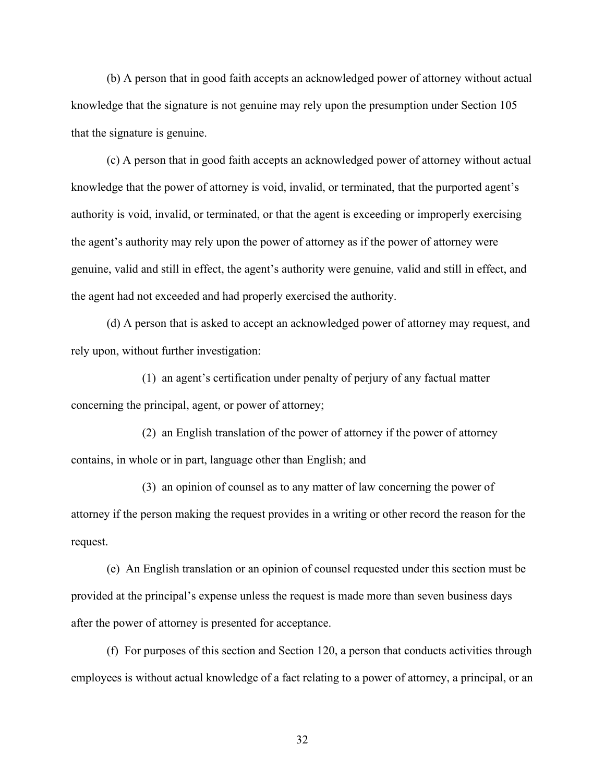(b) A person that in good faith accepts an acknowledged power of attorney without actual knowledge that the signature is not genuine may rely upon the presumption under Section 105 that the signature is genuine.

(c) A person that in good faith accepts an acknowledged power of attorney without actual knowledge that the power of attorney is void, invalid, or terminated, that the purported agent's authority is void, invalid, or terminated, or that the agent is exceeding or improperly exercising the agent's authority may rely upon the power of attorney as if the power of attorney were genuine, valid and still in effect, the agent's authority were genuine, valid and still in effect, and the agent had not exceeded and had properly exercised the authority.

(d) A person that is asked to accept an acknowledged power of attorney may request, and rely upon, without further investigation:

(1) an agent's certification under penalty of perjury of any factual matter concerning the principal, agent, or power of attorney;

(2) an English translation of the power of attorney if the power of attorney contains, in whole or in part, language other than English; and

(3) an opinion of counsel as to any matter of law concerning the power of attorney if the person making the request provides in a writing or other record the reason for the request.

(e) An English translation or an opinion of counsel requested under this section must be provided at the principal's expense unless the request is made more than seven business days after the power of attorney is presented for acceptance.

(f) For purposes of this section and Section 120, a person that conducts activities through employees is without actual knowledge of a fact relating to a power of attorney, a principal, or an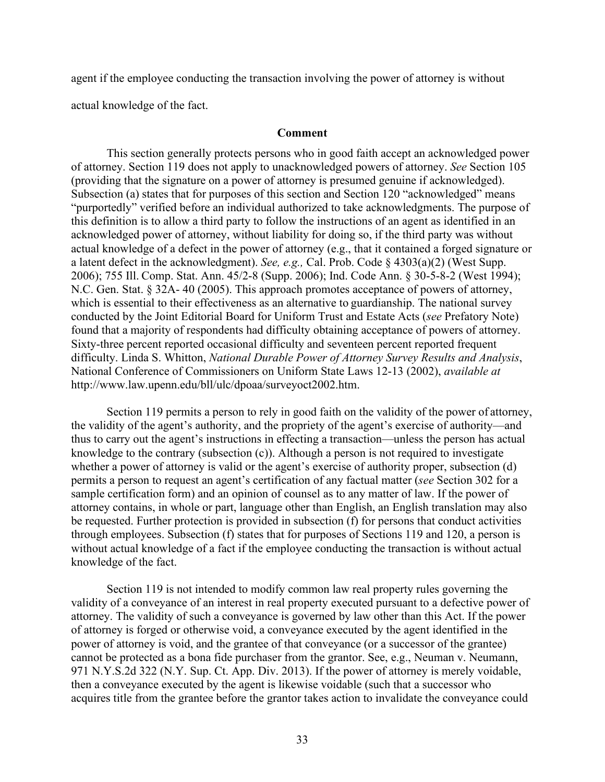agent if the employee conducting the transaction involving the power of attorney is without

actual knowledge of the fact.

#### **Comment**

This section generally protects persons who in good faith accept an acknowledged power of attorney. Section 119 does not apply to unacknowledged powers of attorney. *See* Section 105 (providing that the signature on a power of attorney is presumed genuine if acknowledged). Subsection (a) states that for purposes of this section and Section 120 "acknowledged" means "purportedly" verified before an individual authorized to take acknowledgments. The purpose of this definition is to allow a third party to follow the instructions of an agent as identified in an acknowledged power of attorney, without liability for doing so, if the third party was without actual knowledge of a defect in the power of attorney (e.g., that it contained a forged signature or a latent defect in the acknowledgment). *See, e.g.,* Cal. Prob. Code § 4303(a)(2) (West Supp. 2006); 755 Ill. Comp. Stat. Ann. 45/2-8 (Supp. 2006); Ind. Code Ann. § 30-5-8-2 (West 1994); N.C. Gen. Stat. § 32A- 40 (2005). This approach promotes acceptance of powers of attorney, which is essential to their effectiveness as an alternative to guardianship. The national survey conducted by the Joint Editorial Board for Uniform Trust and Estate Acts (*see* Prefatory Note) found that a majority of respondents had difficulty obtaining acceptance of powers of attorney. Sixty-three percent reported occasional difficulty and seventeen percent reported frequent difficulty. Linda S. Whitton, *National Durable Power of Attorney Survey Results and Analysis*, National Conference of Commissioners on Uniform State Laws 12-13 (2002), *available at*  [http://www.law.upenn.edu/bll/ulc/dpoaa/surveyoct2002.htm.](http://www.law.upenn.edu/bll/ulc/dpoaa/surveyoct2002.htm)

Section 119 permits a person to rely in good faith on the validity of the power of attorney, the validity of the agent's authority, and the propriety of the agent's exercise of authority—and thus to carry out the agent's instructions in effecting a transaction—unless the person has actual knowledge to the contrary (subsection (c)). Although a person is not required to investigate whether a power of attorney is valid or the agent's exercise of authority proper, subsection (d) permits a person to request an agent's certification of any factual matter (*see* Section 302 for a sample certification form) and an opinion of counsel as to any matter of law. If the power of attorney contains, in whole or part, language other than English, an English translation may also be requested. Further protection is provided in subsection (f) for persons that conduct activities through employees. Subsection (f) states that for purposes of Sections 119 and 120, a person is without actual knowledge of a fact if the employee conducting the transaction is without actual knowledge of the fact.

Section 119 is not intended to modify common law real property rules governing the validity of a conveyance of an interest in real property executed pursuant to a defective power of attorney. The validity of such a conveyance is governed by law other than this Act. If the power of attorney is forged or otherwise void, a conveyance executed by the agent identified in the power of attorney is void, and the grantee of that conveyance (or a successor of the grantee) cannot be protected as a bona fide purchaser from the grantor. See, e.g., Neuman v. Neumann, 971 N.Y.S.2d 322 (N.Y. Sup. Ct. App. Div. 2013). If the power of attorney is merely voidable, then a conveyance executed by the agent is likewise voidable (such that a successor who acquires title from the grantee before the grantor takes action to invalidate the conveyance could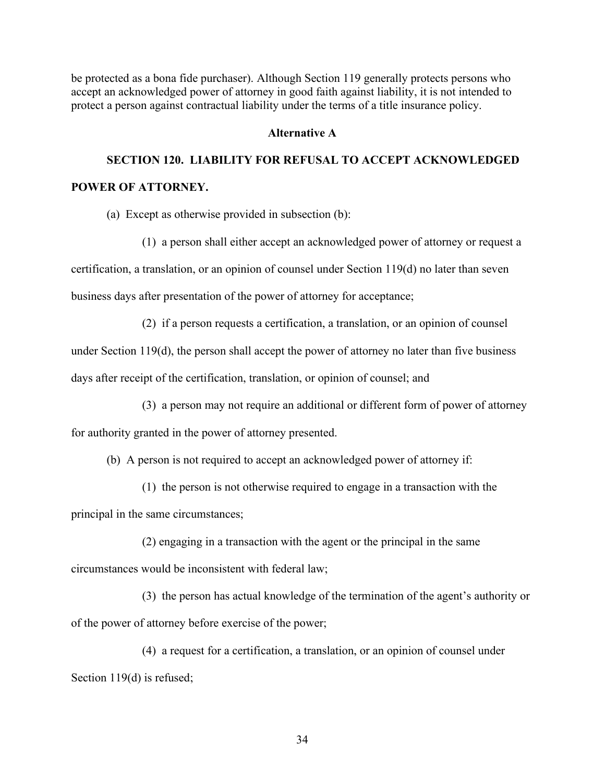be protected as a bona fide purchaser). Although Section 119 generally protects persons who accept an acknowledged power of attorney in good faith against liability, it is not intended to protect a person against contractual liability under the terms of a title insurance policy.

## **Alternative A**

# **SECTION 120. LIABILITY FOR REFUSAL TO ACCEPT ACKNOWLEDGED POWER OF ATTORNEY.**

(a) Except as otherwise provided in subsection (b):

(1) a person shall either accept an acknowledged power of attorney or request a certification, a translation, or an opinion of counsel under Section 119(d) no later than seven business days after presentation of the power of attorney for acceptance;

(2) if a person requests a certification, a translation, or an opinion of counsel under Section 119(d), the person shall accept the power of attorney no later than five business days after receipt of the certification, translation, or opinion of counsel; and

(3) a person may not require an additional or different form of power of attorney

for authority granted in the power of attorney presented.

(b) A person is not required to accept an acknowledged power of attorney if:

(1) the person is not otherwise required to engage in a transaction with the principal in the same circumstances;

(2) engaging in a transaction with the agent or the principal in the same circumstances would be inconsistent with federal law;

(3) the person has actual knowledge of the termination of the agent's authority or of the power of attorney before exercise of the power;

(4) a request for a certification, a translation, or an opinion of counsel under Section 119(d) is refused;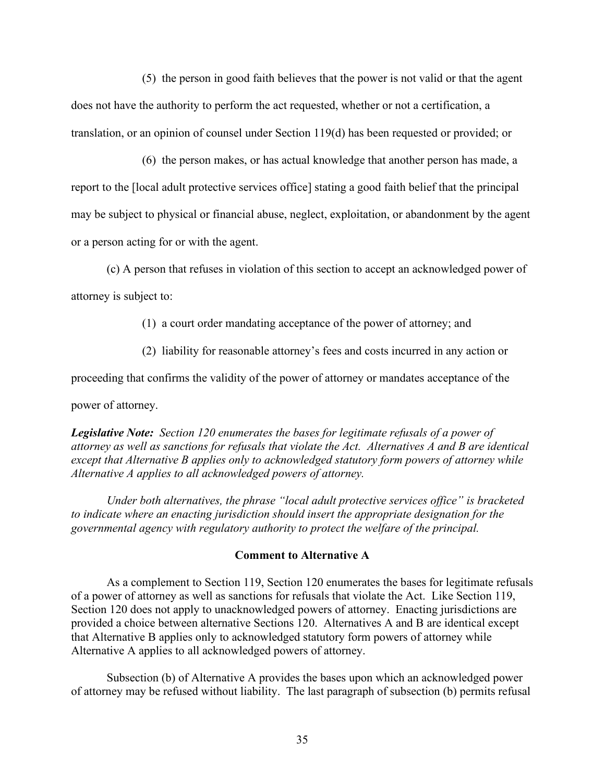(5) the person in good faith believes that the power is not valid or that the agent does not have the authority to perform the act requested, whether or not a certification, a translation, or an opinion of counsel under Section 119(d) has been requested or provided; or

(6) the person makes, or has actual knowledge that another person has made, a report to the [local adult protective services office] stating a good faith belief that the principal may be subject to physical or financial abuse, neglect, exploitation, or abandonment by the agent or a person acting for or with the agent.

(c) A person that refuses in violation of this section to accept an acknowledged power of attorney is subject to:

(1) a court order mandating acceptance of the power of attorney; and

(2) liability for reasonable attorney's fees and costs incurred in any action or

proceeding that confirms the validity of the power of attorney or mandates acceptance of the

power of attorney.

*Legislative Note: Section 120 enumerates the bases for legitimate refusals of a power of attorney as well as sanctions for refusals that violate the Act. Alternatives A and B are identical except that Alternative B applies only to acknowledged statutory form powers of attorney while Alternative A applies to all acknowledged powers of attorney.*

*Under both alternatives, the phrase "local adult protective services office" is bracketed to indicate where an enacting jurisdiction should insert the appropriate designation for the governmental agency with regulatory authority to protect the welfare of the principal.*

## **Comment to Alternative A**

As a complement to Section 119, Section 120 enumerates the bases for legitimate refusals of a power of attorney as well as sanctions for refusals that violate the Act. Like Section 119, Section 120 does not apply to unacknowledged powers of attorney. Enacting jurisdictions are provided a choice between alternative Sections 120. Alternatives A and B are identical except that Alternative B applies only to acknowledged statutory form powers of attorney while Alternative A applies to all acknowledged powers of attorney.

Subsection (b) of Alternative A provides the bases upon which an acknowledged power of attorney may be refused without liability. The last paragraph of subsection (b) permits refusal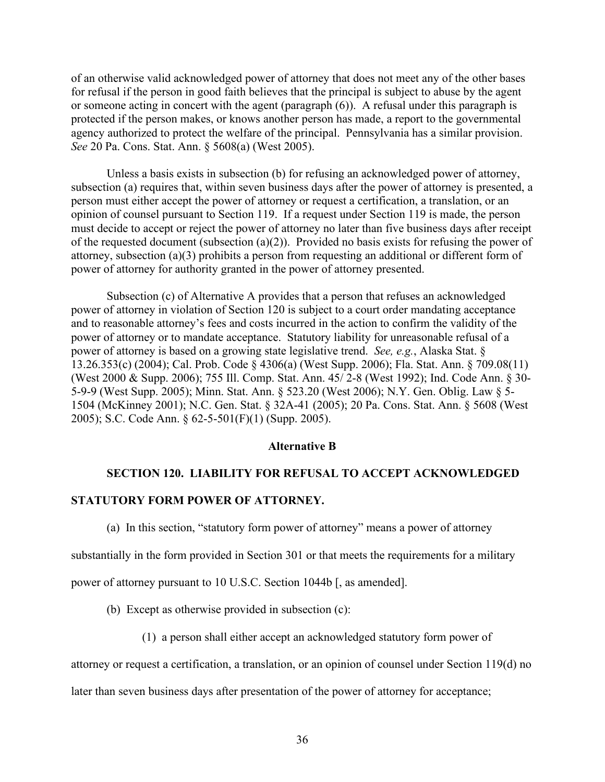of an otherwise valid acknowledged power of attorney that does not meet any of the other bases for refusal if the person in good faith believes that the principal is subject to abuse by the agent or someone acting in concert with the agent (paragraph (6)). A refusal under this paragraph is protected if the person makes, or knows another person has made, a report to the governmental agency authorized to protect the welfare of the principal. Pennsylvania has a similar provision. *See* 20 Pa. Cons. Stat. Ann. § 5608(a) (West 2005).

Unless a basis exists in subsection (b) for refusing an acknowledged power of attorney, subsection (a) requires that, within seven business days after the power of attorney is presented, a person must either accept the power of attorney or request a certification, a translation, or an opinion of counsel pursuant to Section 119. If a request under Section 119 is made, the person must decide to accept or reject the power of attorney no later than five business days after receipt of the requested document (subsection (a)(2)). Provided no basis exists for refusing the power of attorney, subsection (a)(3) prohibits a person from requesting an additional or different form of power of attorney for authority granted in the power of attorney presented.

Subsection (c) of Alternative A provides that a person that refuses an acknowledged power of attorney in violation of Section 120 is subject to a court order mandating acceptance and to reasonable attorney's fees and costs incurred in the action to confirm the validity of the power of attorney or to mandate acceptance. Statutory liability for unreasonable refusal of a power of attorney is based on a growing state legislative trend. *See, e.g.*, Alaska Stat. § 13.26.353(c) (2004); Cal. Prob. Code § 4306(a) (West Supp. 2006); Fla. Stat. Ann. § 709.08(11) (West 2000 & Supp. 2006); 755 Ill. Comp. Stat. Ann. 45/ 2-8 (West 1992); Ind. Code Ann. § 30- 5-9-9 (West Supp. 2005); Minn. Stat. Ann. § 523.20 (West 2006); N.Y. Gen. Oblig. Law § 5- 1504 (McKinney 2001); N.C. Gen. Stat. § 32A-41 (2005); 20 Pa. Cons. Stat. Ann. § 5608 (West 2005); S.C. Code Ann. § 62-5-501(F)(1) (Supp. 2005).

#### **Alternative B**

# **SECTION 120. LIABILITY FOR REFUSAL TO ACCEPT ACKNOWLEDGED**

#### **STATUTORY FORM POWER OF ATTORNEY.**

(a) In this section, "statutory form power of attorney" means a power of attorney

substantially in the form provided in Section 301 or that meets the requirements for a military

power of attorney pursuant to 10 U.S.C. Section 1044b [, as amended].

- (b) Except as otherwise provided in subsection (c):
	- (1) a person shall either accept an acknowledged statutory form power of

attorney or request a certification, a translation, or an opinion of counsel under Section 119(d) no

later than seven business days after presentation of the power of attorney for acceptance;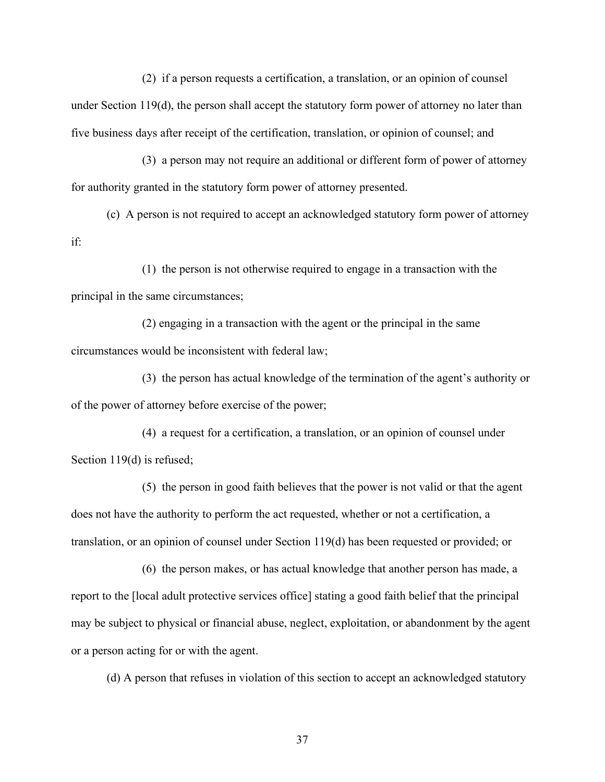(2) if a person requests a certification, a translation, or an opinion of counsel under Section 119(d), the person shall accept the statutory form power of attorney no later than five business days after receipt of the certification, translation, or opinion of counsel; and

(3) a person may not require an additional or different form of power of attorney for authority granted in the statutory form power of attorney presented.

(c) A person is not required to accept an acknowledged statutory form power of attorney if:

(1) the person is not otherwise required to engage in a transaction with the principal in the same circumstances;

(2) engaging in a transaction with the agent or the principal in the same circumstances would be inconsistent with federal law;

(3) the person has actual knowledge of the termination of the agent's authority or of the power of attorney before exercise of the power;

(4) a request for a certification, a translation, or an opinion of counsel under Section 119(d) is refused;

(5) the person in good faith believes that the power is not valid or that the agent does not have the authority to perform the act requested, whether or not a certification, a translation, or an opinion of counsel under Section 119(d) has been requested or provided; or

(6) the person makes, or has actual knowledge that another person has made, a report to the [local adult protective services office] stating a good faith belief that the principal may be subject to physical or financial abuse, neglect, exploitation, or abandonment by the agent or a person acting for or with the agent.

(d) A person that refuses in violation of this section to accept an acknowledged statutory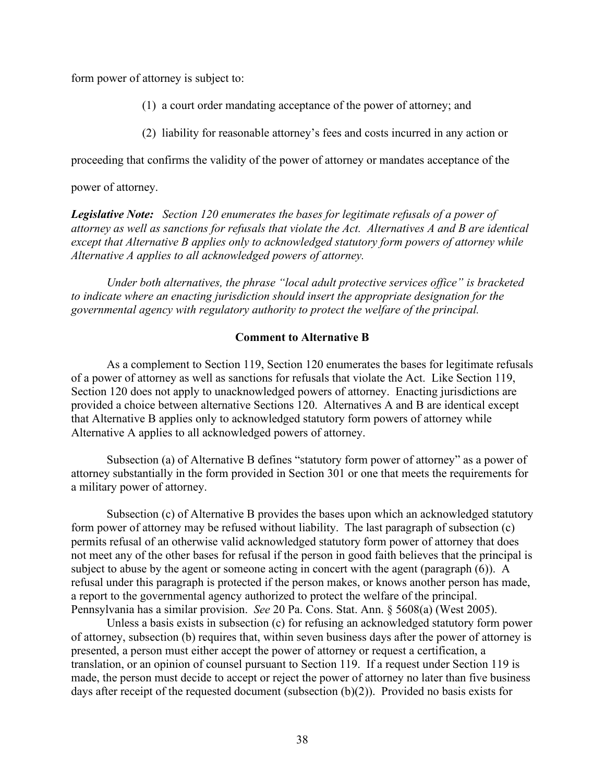form power of attorney is subject to:

- (1) a court order mandating acceptance of the power of attorney; and
- (2) liability for reasonable attorney's fees and costs incurred in any action or

proceeding that confirms the validity of the power of attorney or mandates acceptance of the

### power of attorney.

*Legislative Note: Section 120 enumerates the bases for legitimate refusals of a power of attorney as well as sanctions for refusals that violate the Act. Alternatives A and B are identical except that Alternative B applies only to acknowledged statutory form powers of attorney while Alternative A applies to all acknowledged powers of attorney.*

*Under both alternatives, the phrase "local adult protective services office" is bracketed to indicate where an enacting jurisdiction should insert the appropriate designation for the governmental agency with regulatory authority to protect the welfare of the principal.*

## **Comment to Alternative B**

As a complement to Section 119, Section 120 enumerates the bases for legitimate refusals of a power of attorney as well as sanctions for refusals that violate the Act. Like Section 119, Section 120 does not apply to unacknowledged powers of attorney. Enacting jurisdictions are provided a choice between alternative Sections 120. Alternatives A and B are identical except that Alternative B applies only to acknowledged statutory form powers of attorney while Alternative A applies to all acknowledged powers of attorney.

Subsection (a) of Alternative B defines "statutory form power of attorney" as a power of attorney substantially in the form provided in Section 301 or one that meets the requirements for a military power of attorney.

Subsection (c) of Alternative B provides the bases upon which an acknowledged statutory form power of attorney may be refused without liability. The last paragraph of subsection (c) permits refusal of an otherwise valid acknowledged statutory form power of attorney that does not meet any of the other bases for refusal if the person in good faith believes that the principal is subject to abuse by the agent or someone acting in concert with the agent (paragraph (6)). A refusal under this paragraph is protected if the person makes, or knows another person has made, a report to the governmental agency authorized to protect the welfare of the principal. Pennsylvania has a similar provision. *See* 20 Pa. Cons. Stat. Ann. § 5608(a) (West 2005).

Unless a basis exists in subsection (c) for refusing an acknowledged statutory form power of attorney, subsection (b) requires that, within seven business days after the power of attorney is presented, a person must either accept the power of attorney or request a certification, a translation, or an opinion of counsel pursuant to Section 119. If a request under Section 119 is made, the person must decide to accept or reject the power of attorney no later than five business days after receipt of the requested document (subsection (b)(2)). Provided no basis exists for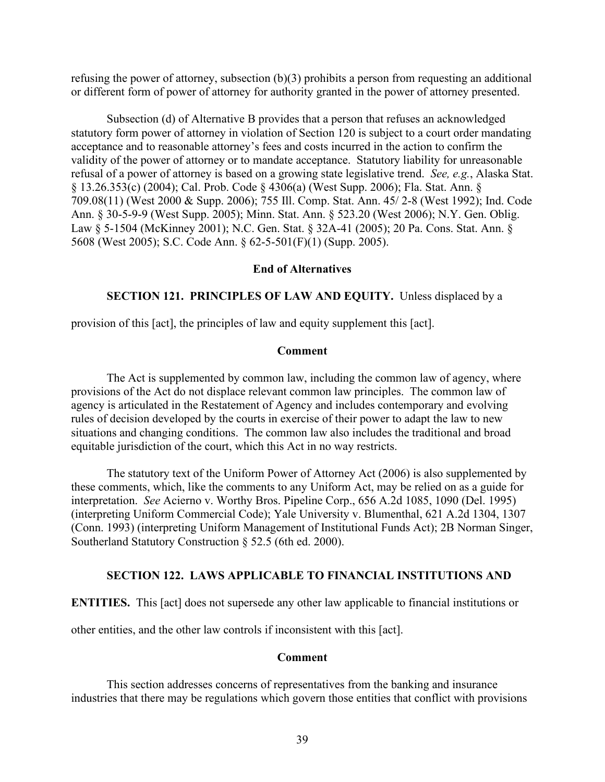refusing the power of attorney, subsection (b)(3) prohibits a person from requesting an additional or different form of power of attorney for authority granted in the power of attorney presented.

Subsection (d) of Alternative B provides that a person that refuses an acknowledged statutory form power of attorney in violation of Section 120 is subject to a court order mandating acceptance and to reasonable attorney's fees and costs incurred in the action to confirm the validity of the power of attorney or to mandate acceptance. Statutory liability for unreasonable refusal of a power of attorney is based on a growing state legislative trend. *See, e.g.*, Alaska Stat. § 13.26.353(c) (2004); Cal. Prob. Code § 4306(a) (West Supp. 2006); Fla. Stat. Ann. § 709.08(11) (West 2000 & Supp. 2006); 755 Ill. Comp. Stat. Ann. 45/ 2-8 (West 1992); Ind. Code Ann. § 30-5-9-9 (West Supp. 2005); Minn. Stat. Ann. § 523.20 (West 2006); N.Y. Gen. Oblig. Law § 5-1504 (McKinney 2001); N.C. Gen. Stat. § 32A-41 (2005); 20 Pa. Cons. Stat. Ann. § 5608 (West 2005); S.C. Code Ann. § 62-5-501(F)(1) (Supp. 2005).

#### **End of Alternatives**

## **SECTION 121. PRINCIPLES OF LAW AND EQUITY.** Unless displaced by a

provision of this [act], the principles of law and equity supplement this [act].

#### **Comment**

The Act is supplemented by common law, including the common law of agency, where provisions of the Act do not displace relevant common law principles. The common law of agency is articulated in the Restatement of Agency and includes contemporary and evolving rules of decision developed by the courts in exercise of their power to adapt the law to new situations and changing conditions. The common law also includes the traditional and broad equitable jurisdiction of the court, which this Act in no way restricts.

The statutory text of the Uniform Power of Attorney Act (2006) is also supplemented by these comments, which, like the comments to any Uniform Act, may be relied on as a guide for interpretation. *See* Acierno v. Worthy Bros. Pipeline Corp., 656 A.2d 1085, 1090 (Del. 1995) (interpreting Uniform Commercial Code); Yale University v. Blumenthal, 621 A.2d 1304, 1307 (Conn. 1993) (interpreting Uniform Management of Institutional Funds Act); 2B Norman Singer, Southerland Statutory Construction § 52.5 (6th ed. 2000).

#### **SECTION 122. LAWS APPLICABLE TO FINANCIAL INSTITUTIONS AND**

**ENTITIES.** This [act] does not supersede any other law applicable to financial institutions or

other entities, and the other law controls if inconsistent with this [act].

#### **Comment**

This section addresses concerns of representatives from the banking and insurance industries that there may be regulations which govern those entities that conflict with provisions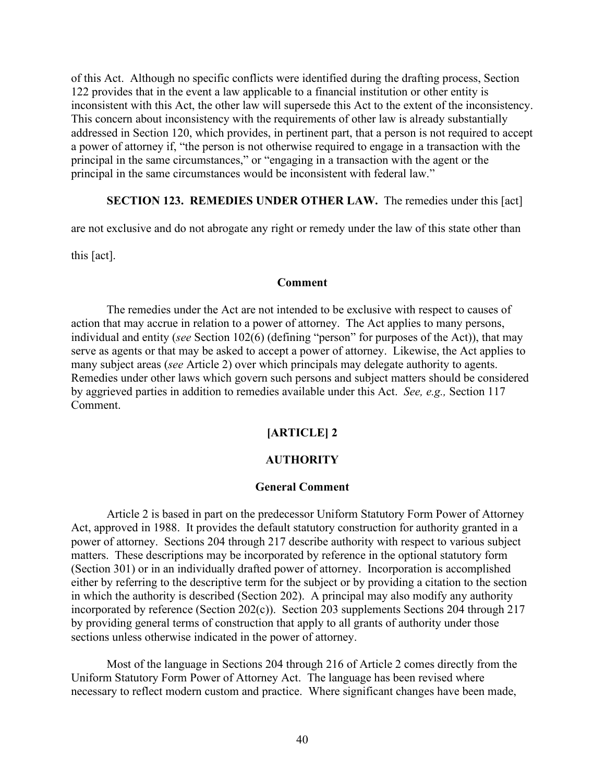of this Act. Although no specific conflicts were identified during the drafting process, Section 122 provides that in the event a law applicable to a financial institution or other entity is inconsistent with this Act, the other law will supersede this Act to the extent of the inconsistency. This concern about inconsistency with the requirements of other law is already substantially addressed in Section 120, which provides, in pertinent part, that a person is not required to accept a power of attorney if, "the person is not otherwise required to engage in a transaction with the principal in the same circumstances," or "engaging in a transaction with the agent or the principal in the same circumstances would be inconsistent with federal law."

### **SECTION 123. REMEDIES UNDER OTHER LAW.** The remedies under this [act]

are not exclusive and do not abrogate any right or remedy under the law of this state other than

this [act].

#### **Comment**

The remedies under the Act are not intended to be exclusive with respect to causes of action that may accrue in relation to a power of attorney. The Act applies to many persons, individual and entity (*see* Section 102(6) (defining "person" for purposes of the Act)), that may serve as agents or that may be asked to accept a power of attorney. Likewise, the Act applies to many subject areas (*see* Article 2) over which principals may delegate authority to agents. Remedies under other laws which govern such persons and subject matters should be considered by aggrieved parties in addition to remedies available under this Act. *See, e.g.,* Section 117 Comment.

## **[ARTICLE] 2**

#### **AUTHORITY**

#### **General Comment**

Article 2 is based in part on the predecessor Uniform Statutory Form Power of Attorney Act, approved in 1988. It provides the default statutory construction for authority granted in a power of attorney. Sections 204 through 217 describe authority with respect to various subject matters. These descriptions may be incorporated by reference in the optional statutory form (Section 301) or in an individually drafted power of attorney. Incorporation is accomplished either by referring to the descriptive term for the subject or by providing a citation to the section in which the authority is described (Section 202). A principal may also modify any authority incorporated by reference (Section 202(c)). Section 203 supplements Sections 204 through 217 by providing general terms of construction that apply to all grants of authority under those sections unless otherwise indicated in the power of attorney.

Most of the language in Sections 204 through 216 of Article 2 comes directly from the Uniform Statutory Form Power of Attorney Act. The language has been revised where necessary to reflect modern custom and practice. Where significant changes have been made,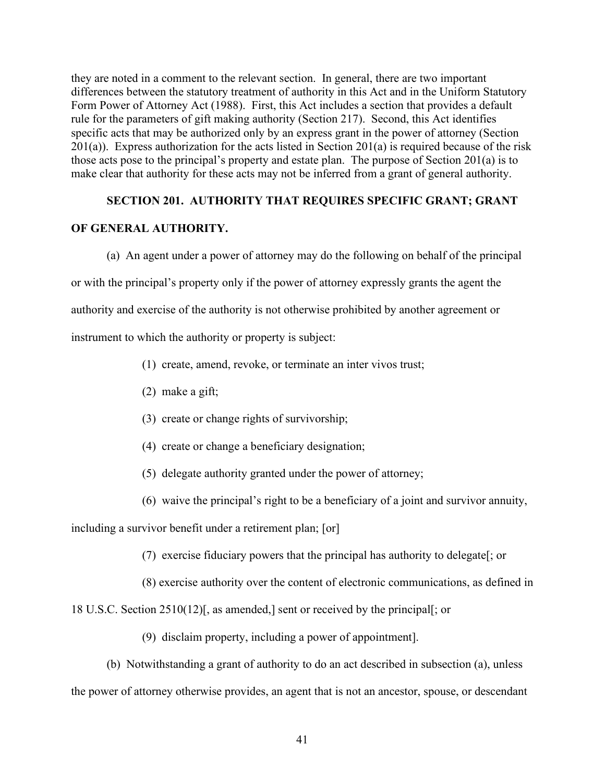they are noted in a comment to the relevant section. In general, there are two important differences between the statutory treatment of authority in this Act and in the Uniform Statutory Form Power of Attorney Act (1988). First, this Act includes a section that provides a default rule for the parameters of gift making authority (Section 217). Second, this Act identifies specific acts that may be authorized only by an express grant in the power of attorney (Section  $201(a)$ ). Express authorization for the acts listed in Section  $201(a)$  is required because of the risk those acts pose to the principal's property and estate plan. The purpose of Section 201(a) is to make clear that authority for these acts may not be inferred from a grant of general authority.

# **SECTION 201. AUTHORITY THAT REQUIRES SPECIFIC GRANT; GRANT**

## **OF GENERAL AUTHORITY.**

(a) An agent under a power of attorney may do the following on behalf of the principal or with the principal's property only if the power of attorney expressly grants the agent the authority and exercise of the authority is not otherwise prohibited by another agreement or instrument to which the authority or property is subject:

- (1) create, amend, revoke, or terminate an inter vivos trust;
- (2) make a gift;
- (3) create or change rights of survivorship;
- (4) create or change a beneficiary designation;
- (5) delegate authority granted under the power of attorney;
- (6) waive the principal's right to be a beneficiary of a joint and survivor annuity,

including a survivor benefit under a retirement plan; [or]

- (7) exercise fiduciary powers that the principal has authority to delegate[; or
- (8) exercise authority over the content of electronic communications, as defined in

18 U.S.C. Section 2510(12)[, as amended,] sent or received by the principal[; or

(9) disclaim property, including a power of appointment].

(b) Notwithstanding a grant of authority to do an act described in subsection (a), unless the power of attorney otherwise provides, an agent that is not an ancestor, spouse, or descendant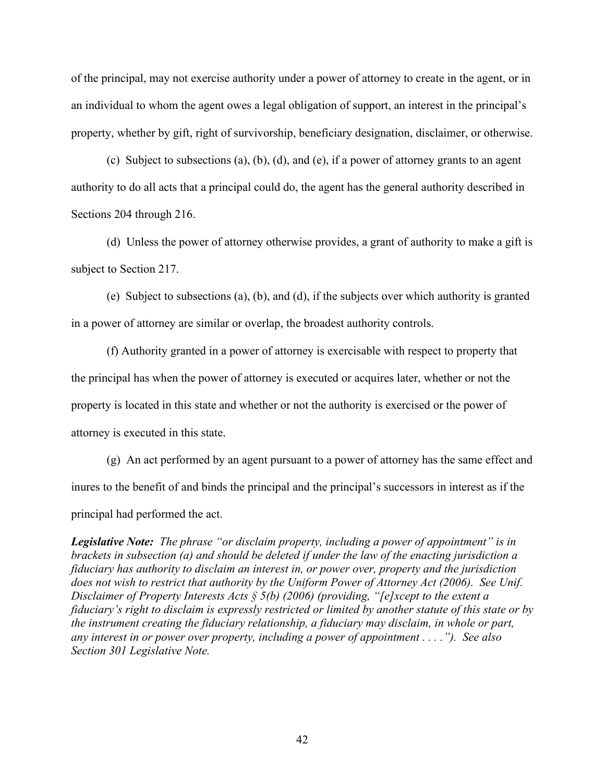of the principal, may not exercise authority under a power of attorney to create in the agent, or in an individual to whom the agent owes a legal obligation of support, an interest in the principal's property, whether by gift, right of survivorship, beneficiary designation, disclaimer, or otherwise.

(c) Subject to subsections (a), (b), (d), and (e), if a power of attorney grants to an agent authority to do all acts that a principal could do, the agent has the general authority described in Sections 204 through 216.

(d) Unless the power of attorney otherwise provides, a grant of authority to make a gift is subject to Section 217.

(e) Subject to subsections (a), (b), and (d), if the subjects over which authority is granted in a power of attorney are similar or overlap, the broadest authority controls.

(f) Authority granted in a power of attorney is exercisable with respect to property that the principal has when the power of attorney is executed or acquires later, whether or not the property is located in this state and whether or not the authority is exercised or the power of attorney is executed in this state.

(g) An act performed by an agent pursuant to a power of attorney has the same effect and inures to the benefit of and binds the principal and the principal's successors in interest as if the principal had performed the act.

*Legislative Note: The phrase "or disclaim property, including a power of appointment" is in brackets in subsection (a) and should be deleted if under the law of the enacting jurisdiction a fiduciary has authority to disclaim an interest in, or power over, property and the jurisdiction does not wish to restrict that authority by the Uniform Power of Attorney Act (2006). See Unif. Disclaimer of Property Interests Acts § 5(b) (2006) (providing, "[e]xcept to the extent a fiduciary's right to disclaim is expressly restricted or limited by another statute of this state or by the instrument creating the fiduciary relationship, a fiduciary may disclaim, in whole or part, any interest in or power over property, including a power of appointment . . . ."). See also Section 301 Legislative Note.*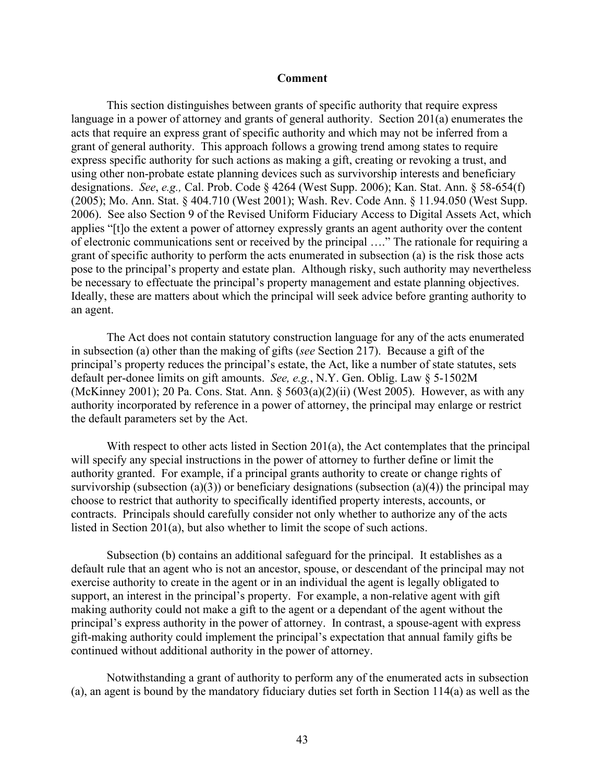#### **Comment**

This section distinguishes between grants of specific authority that require express language in a power of attorney and grants of general authority. Section 201(a) enumerates the acts that require an express grant of specific authority and which may not be inferred from a grant of general authority. This approach follows a growing trend among states to require express specific authority for such actions as making a gift, creating or revoking a trust, and using other non-probate estate planning devices such as survivorship interests and beneficiary designations. *See*, *e.g.,* Cal. Prob. Code § 4264 (West Supp. 2006); Kan. Stat. Ann. § 58-654(f) (2005); Mo. Ann. Stat. § 404.710 (West 2001); Wash. Rev. Code Ann. § 11.94.050 (West Supp. 2006). See also Section 9 of the Revised Uniform Fiduciary Access to Digital Assets Act, which applies "[t]o the extent a power of attorney expressly grants an agent authority over the content of electronic communications sent or received by the principal …." The rationale for requiring a grant of specific authority to perform the acts enumerated in subsection (a) is the risk those acts pose to the principal's property and estate plan. Although risky, such authority may nevertheless be necessary to effectuate the principal's property management and estate planning objectives. Ideally, these are matters about which the principal will seek advice before granting authority to an agent.

The Act does not contain statutory construction language for any of the acts enumerated in subsection (a) other than the making of gifts (*see* Section 217). Because a gift of the principal's property reduces the principal's estate, the Act, like a number of state statutes, sets default per-donee limits on gift amounts. *See, e.g.*, N.Y. Gen. Oblig. Law § 5-1502M (McKinney 2001); 20 Pa. Cons. Stat. Ann.  $\S 5603(a)(2)(ii)$  (West 2005). However, as with any authority incorporated by reference in a power of attorney, the principal may enlarge or restrict the default parameters set by the Act.

With respect to other acts listed in Section 201(a), the Act contemplates that the principal will specify any special instructions in the power of attorney to further define or limit the authority granted. For example, if a principal grants authority to create or change rights of survivorship (subsection (a)(3)) or beneficiary designations (subsection (a)(4)) the principal may choose to restrict that authority to specifically identified property interests, accounts, or contracts. Principals should carefully consider not only whether to authorize any of the acts listed in Section 201(a), but also whether to limit the scope of such actions.

Subsection (b) contains an additional safeguard for the principal. It establishes as a default rule that an agent who is not an ancestor, spouse, or descendant of the principal may not exercise authority to create in the agent or in an individual the agent is legally obligated to support, an interest in the principal's property. For example, a non-relative agent with gift making authority could not make a gift to the agent or a dependant of the agent without the principal's express authority in the power of attorney. In contrast, a spouse-agent with express gift-making authority could implement the principal's expectation that annual family gifts be continued without additional authority in the power of attorney.

Notwithstanding a grant of authority to perform any of the enumerated acts in subsection (a), an agent is bound by the mandatory fiduciary duties set forth in Section 114(a) as well as the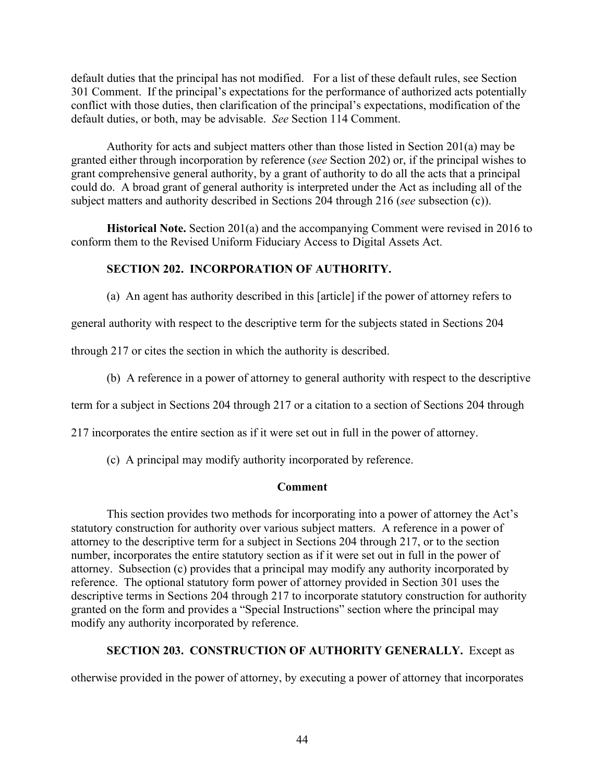default duties that the principal has not modified. For a list of these default rules, see Section 301 Comment. If the principal's expectations for the performance of authorized acts potentially conflict with those duties, then clarification of the principal's expectations, modification of the default duties, or both, may be advisable. *See* Section 114 Comment.

Authority for acts and subject matters other than those listed in Section 201(a) may be granted either through incorporation by reference (*see* Section 202) or, if the principal wishes to grant comprehensive general authority, by a grant of authority to do all the acts that a principal could do. A broad grant of general authority is interpreted under the Act as including all of the subject matters and authority described in Sections 204 through 216 (*see* subsection (c)).

**Historical Note.** Section 201(a) and the accompanying Comment were revised in 2016 to conform them to the Revised Uniform Fiduciary Access to Digital Assets Act.

# **SECTION 202. INCORPORATION OF AUTHORITY.**

(a) An agent has authority described in this [article] if the power of attorney refers to

general authority with respect to the descriptive term for the subjects stated in Sections 204

through 217 or cites the section in which the authority is described.

(b) A reference in a power of attorney to general authority with respect to the descriptive

term for a subject in Sections 204 through 217 or a citation to a section of Sections 204 through

217 incorporates the entire section as if it were set out in full in the power of attorney.

(c) A principal may modify authority incorporated by reference.

## **Comment**

This section provides two methods for incorporating into a power of attorney the Act's statutory construction for authority over various subject matters. A reference in a power of attorney to the descriptive term for a subject in Sections 204 through 217, or to the section number, incorporates the entire statutory section as if it were set out in full in the power of attorney. Subsection (c) provides that a principal may modify any authority incorporated by reference. The optional statutory form power of attorney provided in Section 301 uses the descriptive terms in Sections 204 through 217 to incorporate statutory construction for authority granted on the form and provides a "Special Instructions" section where the principal may modify any authority incorporated by reference.

## **SECTION 203. CONSTRUCTION OF AUTHORITY GENERALLY.** Except as

otherwise provided in the power of attorney, by executing a power of attorney that incorporates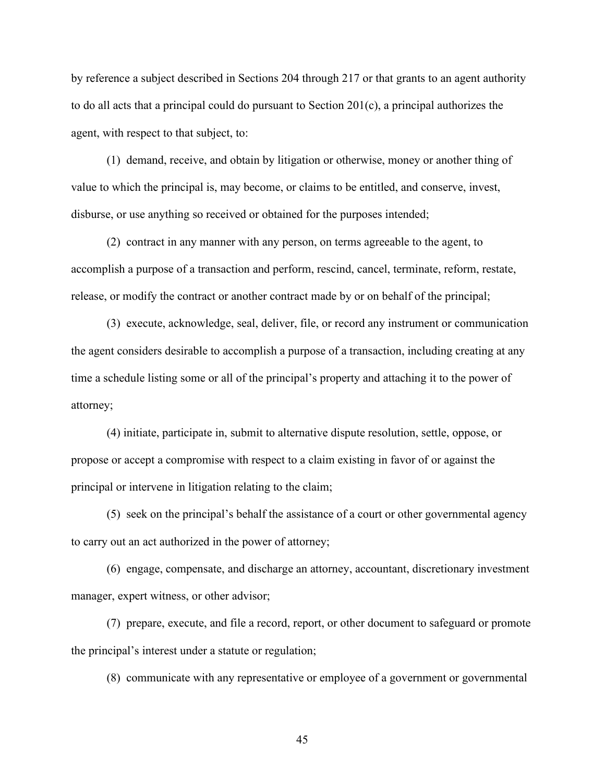by reference a subject described in Sections 204 through 217 or that grants to an agent authority to do all acts that a principal could do pursuant to Section 201(c), a principal authorizes the agent, with respect to that subject, to:

(1) demand, receive, and obtain by litigation or otherwise, money or another thing of value to which the principal is, may become, or claims to be entitled, and conserve, invest, disburse, or use anything so received or obtained for the purposes intended;

(2) contract in any manner with any person, on terms agreeable to the agent, to accomplish a purpose of a transaction and perform, rescind, cancel, terminate, reform, restate, release, or modify the contract or another contract made by or on behalf of the principal;

(3) execute, acknowledge, seal, deliver, file, or record any instrument or communication the agent considers desirable to accomplish a purpose of a transaction, including creating at any time a schedule listing some or all of the principal's property and attaching it to the power of attorney;

(4) initiate, participate in, submit to alternative dispute resolution, settle, oppose, or propose or accept a compromise with respect to a claim existing in favor of or against the principal or intervene in litigation relating to the claim;

(5) seek on the principal's behalf the assistance of a court or other governmental agency to carry out an act authorized in the power of attorney;

(6) engage, compensate, and discharge an attorney, accountant, discretionary investment manager, expert witness, or other advisor;

(7) prepare, execute, and file a record, report, or other document to safeguard or promote the principal's interest under a statute or regulation;

(8) communicate with any representative or employee of a government or governmental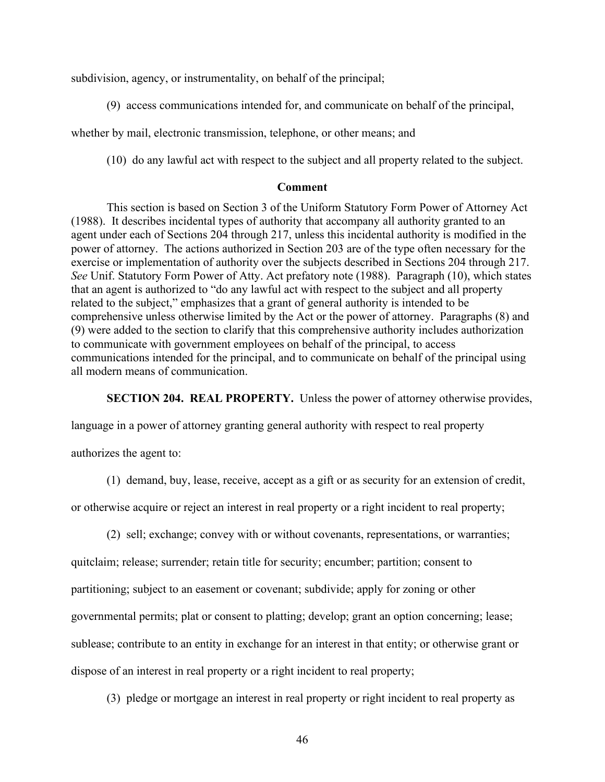subdivision, agency, or instrumentality, on behalf of the principal;

(9) access communications intended for, and communicate on behalf of the principal,

whether by mail, electronic transmission, telephone, or other means; and

(10) do any lawful act with respect to the subject and all property related to the subject.

#### **Comment**

This section is based on Section 3 of the Uniform Statutory Form Power of Attorney Act (1988). It describes incidental types of authority that accompany all authority granted to an agent under each of Sections 204 through 217, unless this incidental authority is modified in the power of attorney. The actions authorized in Section 203 are of the type often necessary for the exercise or implementation of authority over the subjects described in Sections 204 through 217. *See* Unif. Statutory Form Power of Atty. Act prefatory note (1988). Paragraph (10), which states that an agent is authorized to "do any lawful act with respect to the subject and all property related to the subject," emphasizes that a grant of general authority is intended to be comprehensive unless otherwise limited by the Act or the power of attorney. Paragraphs (8) and (9) were added to the section to clarify that this comprehensive authority includes authorization to communicate with government employees on behalf of the principal, to access communications intended for the principal, and to communicate on behalf of the principal using all modern means of communication.

**SECTION 204. REAL PROPERTY.** Unless the power of attorney otherwise provides,

language in a power of attorney granting general authority with respect to real property

authorizes the agent to:

(1) demand, buy, lease, receive, accept as a gift or as security for an extension of credit,

or otherwise acquire or reject an interest in real property or a right incident to real property;

(2) sell; exchange; convey with or without covenants, representations, or warranties;

quitclaim; release; surrender; retain title for security; encumber; partition; consent to

partitioning; subject to an easement or covenant; subdivide; apply for zoning or other

governmental permits; plat or consent to platting; develop; grant an option concerning; lease;

sublease; contribute to an entity in exchange for an interest in that entity; or otherwise grant or

dispose of an interest in real property or a right incident to real property;

(3) pledge or mortgage an interest in real property or right incident to real property as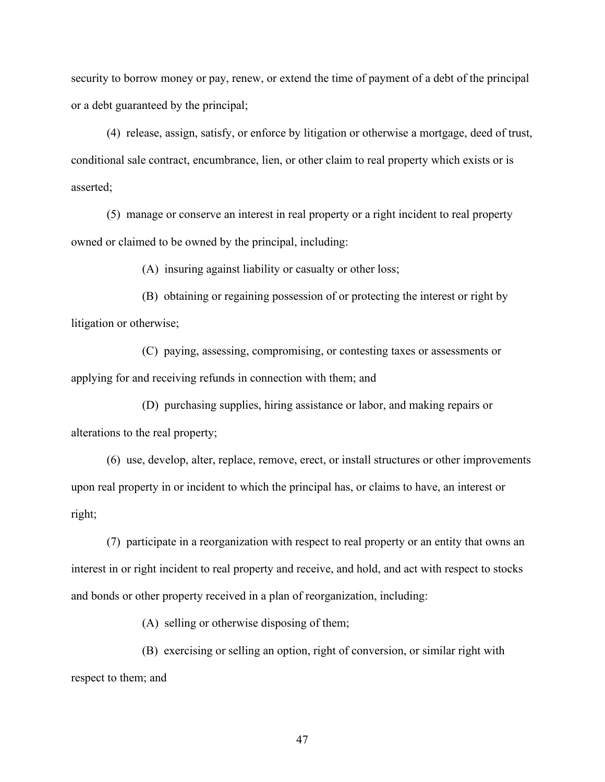security to borrow money or pay, renew, or extend the time of payment of a debt of the principal or a debt guaranteed by the principal;

(4) release, assign, satisfy, or enforce by litigation or otherwise a mortgage, deed of trust, conditional sale contract, encumbrance, lien, or other claim to real property which exists or is asserted;

(5) manage or conserve an interest in real property or a right incident to real property owned or claimed to be owned by the principal, including:

(A) insuring against liability or casualty or other loss;

(B) obtaining or regaining possession of or protecting the interest or right by litigation or otherwise;

(C) paying, assessing, compromising, or contesting taxes or assessments or applying for and receiving refunds in connection with them; and

(D) purchasing supplies, hiring assistance or labor, and making repairs or alterations to the real property;

(6) use, develop, alter, replace, remove, erect, or install structures or other improvements upon real property in or incident to which the principal has, or claims to have, an interest or right;

(7) participate in a reorganization with respect to real property or an entity that owns an interest in or right incident to real property and receive, and hold, and act with respect to stocks and bonds or other property received in a plan of reorganization, including:

(A) selling or otherwise disposing of them;

(B) exercising or selling an option, right of conversion, or similar right with respect to them; and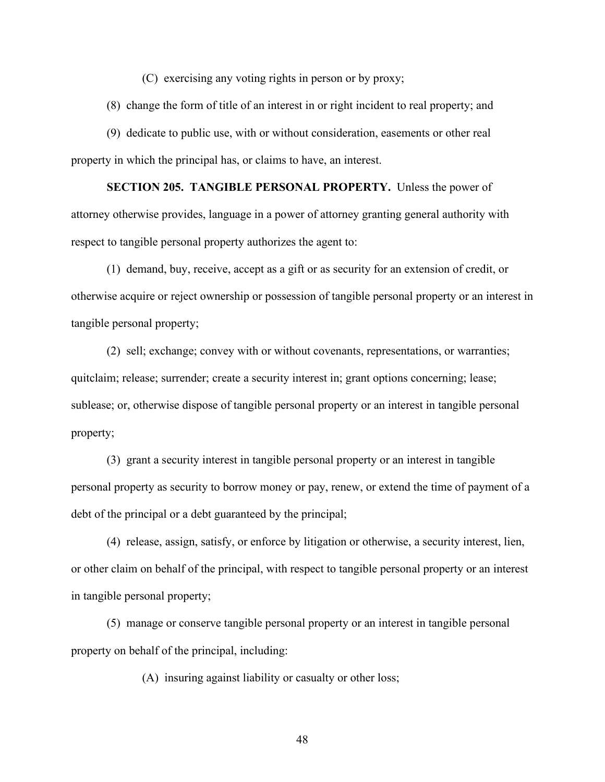(C) exercising any voting rights in person or by proxy;

(8) change the form of title of an interest in or right incident to real property; and

(9) dedicate to public use, with or without consideration, easements or other real property in which the principal has, or claims to have, an interest.

**SECTION 205. TANGIBLE PERSONAL PROPERTY.** Unless the power of attorney otherwise provides, language in a power of attorney granting general authority with respect to tangible personal property authorizes the agent to:

(1) demand, buy, receive, accept as a gift or as security for an extension of credit, or otherwise acquire or reject ownership or possession of tangible personal property or an interest in tangible personal property;

(2) sell; exchange; convey with or without covenants, representations, or warranties; quitclaim; release; surrender; create a security interest in; grant options concerning; lease; sublease; or, otherwise dispose of tangible personal property or an interest in tangible personal property;

(3) grant a security interest in tangible personal property or an interest in tangible personal property as security to borrow money or pay, renew, or extend the time of payment of a debt of the principal or a debt guaranteed by the principal;

(4) release, assign, satisfy, or enforce by litigation or otherwise, a security interest, lien, or other claim on behalf of the principal, with respect to tangible personal property or an interest in tangible personal property;

(5) manage or conserve tangible personal property or an interest in tangible personal property on behalf of the principal, including:

(A) insuring against liability or casualty or other loss;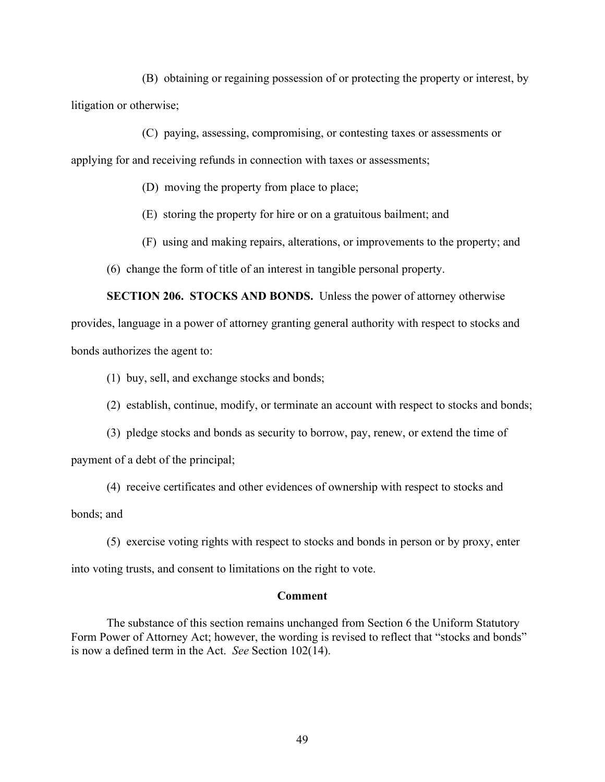(B) obtaining or regaining possession of or protecting the property or interest, by litigation or otherwise;

(C) paying, assessing, compromising, or contesting taxes or assessments or applying for and receiving refunds in connection with taxes or assessments;

(D) moving the property from place to place;

(E) storing the property for hire or on a gratuitous bailment; and

(F) using and making repairs, alterations, or improvements to the property; and

(6) change the form of title of an interest in tangible personal property.

**SECTION 206. STOCKS AND BONDS.** Unless the power of attorney otherwise provides, language in a power of attorney granting general authority with respect to stocks and bonds authorizes the agent to:

(1) buy, sell, and exchange stocks and bonds;

- (2) establish, continue, modify, or terminate an account with respect to stocks and bonds;
- (3) pledge stocks and bonds as security to borrow, pay, renew, or extend the time of payment of a debt of the principal;

(4) receive certificates and other evidences of ownership with respect to stocks and bonds; and

(5) exercise voting rights with respect to stocks and bonds in person or by proxy, enter into voting trusts, and consent to limitations on the right to vote.

#### **Comment**

The substance of this section remains unchanged from Section 6 the Uniform Statutory Form Power of Attorney Act; however, the wording is revised to reflect that "stocks and bonds" is now a defined term in the Act. *See* Section 102(14).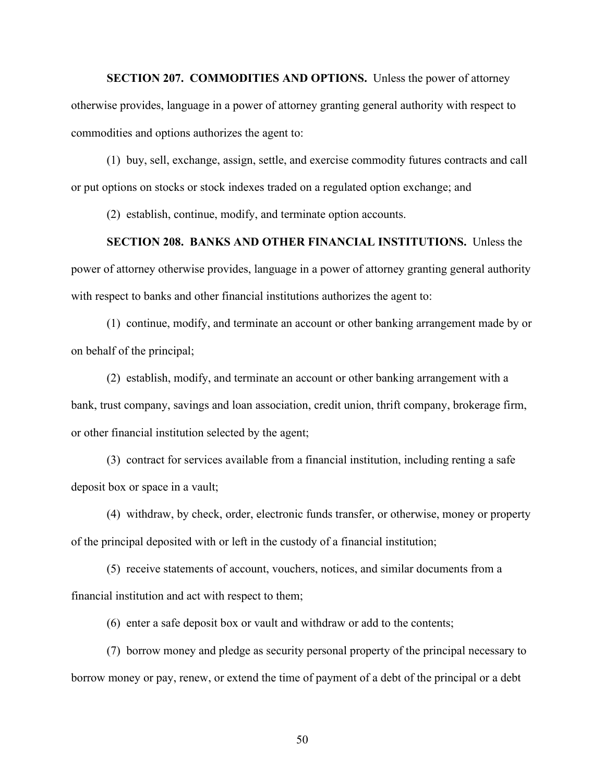otherwise provides, language in a power of attorney granting general authority with respect to commodities and options authorizes the agent to:

**SECTION 207. COMMODITIES AND OPTIONS.** Unless the power of attorney

(1) buy, sell, exchange, assign, settle, and exercise commodity futures contracts and call or put options on stocks or stock indexes traded on a regulated option exchange; and

(2) establish, continue, modify, and terminate option accounts.

**SECTION 208. BANKS AND OTHER FINANCIAL INSTITUTIONS.** Unless the power of attorney otherwise provides, language in a power of attorney granting general authority with respect to banks and other financial institutions authorizes the agent to:

(1) continue, modify, and terminate an account or other banking arrangement made by or on behalf of the principal;

(2) establish, modify, and terminate an account or other banking arrangement with a bank, trust company, savings and loan association, credit union, thrift company, brokerage firm, or other financial institution selected by the agent;

(3) contract for services available from a financial institution, including renting a safe deposit box or space in a vault;

(4) withdraw, by check, order, electronic funds transfer, or otherwise, money or property of the principal deposited with or left in the custody of a financial institution;

(5) receive statements of account, vouchers, notices, and similar documents from a financial institution and act with respect to them;

(6) enter a safe deposit box or vault and withdraw or add to the contents;

(7) borrow money and pledge as security personal property of the principal necessary to borrow money or pay, renew, or extend the time of payment of a debt of the principal or a debt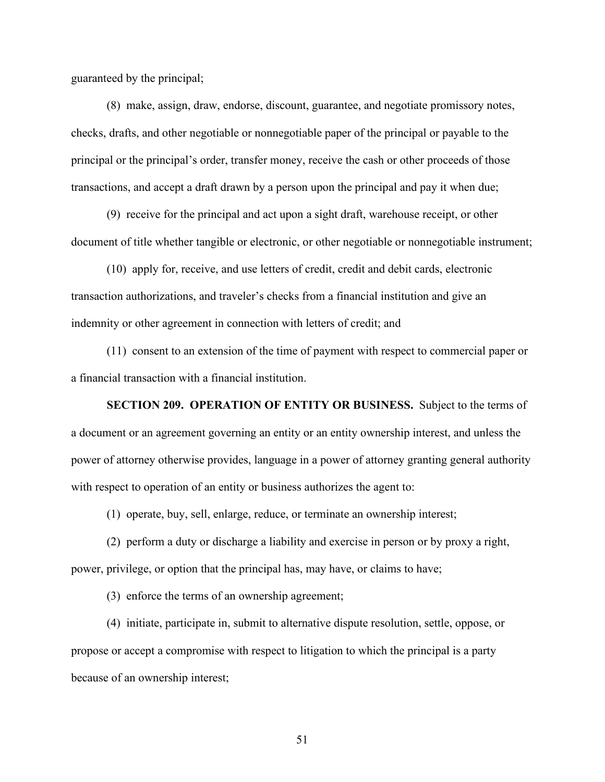guaranteed by the principal;

(8) make, assign, draw, endorse, discount, guarantee, and negotiate promissory notes, checks, drafts, and other negotiable or nonnegotiable paper of the principal or payable to the principal or the principal's order, transfer money, receive the cash or other proceeds of those transactions, and accept a draft drawn by a person upon the principal and pay it when due;

(9) receive for the principal and act upon a sight draft, warehouse receipt, or other document of title whether tangible or electronic, or other negotiable or nonnegotiable instrument;

(10) apply for, receive, and use letters of credit, credit and debit cards, electronic transaction authorizations, and traveler's checks from a financial institution and give an indemnity or other agreement in connection with letters of credit; and

(11) consent to an extension of the time of payment with respect to commercial paper or a financial transaction with a financial institution.

**SECTION 209. OPERATION OF ENTITY OR BUSINESS.** Subject to the terms of a document or an agreement governing an entity or an entity ownership interest, and unless the power of attorney otherwise provides, language in a power of attorney granting general authority with respect to operation of an entity or business authorizes the agent to:

(1) operate, buy, sell, enlarge, reduce, or terminate an ownership interest;

(2) perform a duty or discharge a liability and exercise in person or by proxy a right, power, privilege, or option that the principal has, may have, or claims to have;

(3) enforce the terms of an ownership agreement;

(4) initiate, participate in, submit to alternative dispute resolution, settle, oppose, or propose or accept a compromise with respect to litigation to which the principal is a party because of an ownership interest;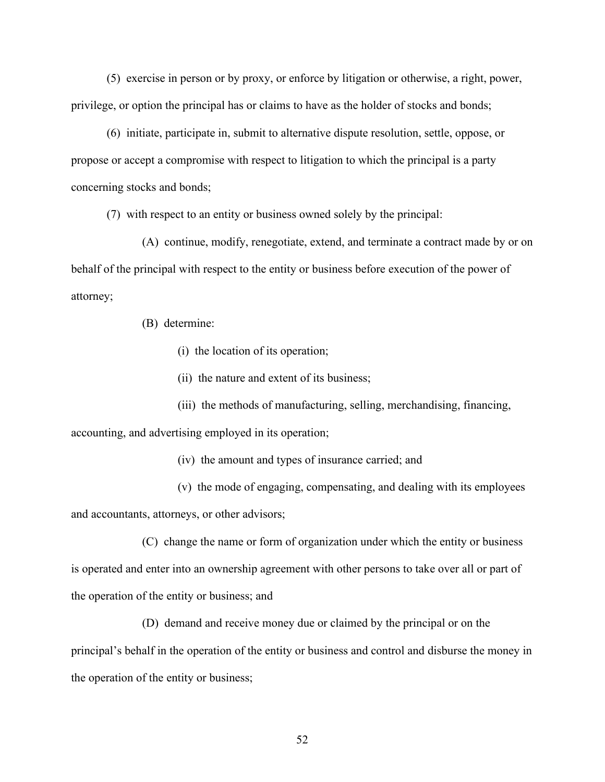(5) exercise in person or by proxy, or enforce by litigation or otherwise, a right, power, privilege, or option the principal has or claims to have as the holder of stocks and bonds;

(6) initiate, participate in, submit to alternative dispute resolution, settle, oppose, or propose or accept a compromise with respect to litigation to which the principal is a party concerning stocks and bonds;

(7) with respect to an entity or business owned solely by the principal:

(A) continue, modify, renegotiate, extend, and terminate a contract made by or on behalf of the principal with respect to the entity or business before execution of the power of attorney;

(B) determine:

(i) the location of its operation;

(ii) the nature and extent of its business;

(iii) the methods of manufacturing, selling, merchandising, financing, accounting, and advertising employed in its operation;

(iv) the amount and types of insurance carried; and

(v) the mode of engaging, compensating, and dealing with its employees and accountants, attorneys, or other advisors;

(C) change the name or form of organization under which the entity or business is operated and enter into an ownership agreement with other persons to take over all or part of the operation of the entity or business; and

(D) demand and receive money due or claimed by the principal or on the principal's behalf in the operation of the entity or business and control and disburse the money in the operation of the entity or business;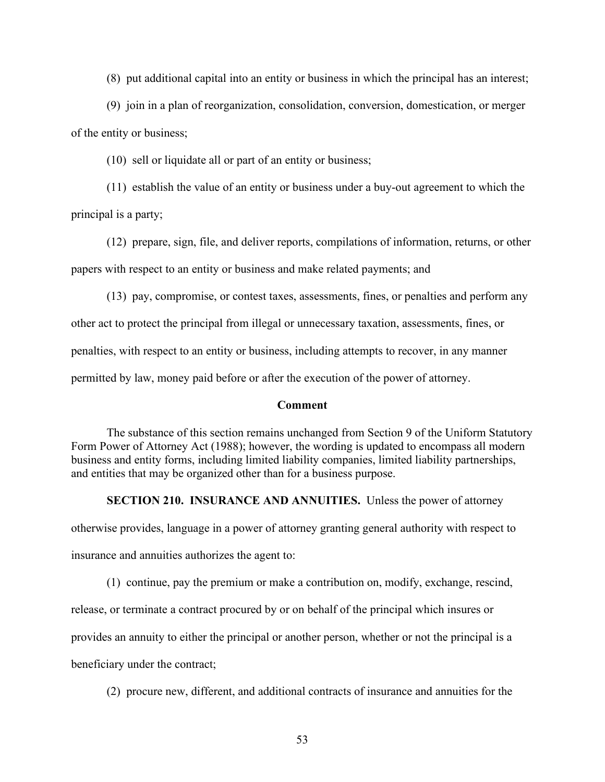(8) put additional capital into an entity or business in which the principal has an interest;

(9) join in a plan of reorganization, consolidation, conversion, domestication, or merger of the entity or business;

(10) sell or liquidate all or part of an entity or business;

(11) establish the value of an entity or business under a buy-out agreement to which the principal is a party;

(12) prepare, sign, file, and deliver reports, compilations of information, returns, or other papers with respect to an entity or business and make related payments; and

(13) pay, compromise, or contest taxes, assessments, fines, or penalties and perform any other act to protect the principal from illegal or unnecessary taxation, assessments, fines, or penalties, with respect to an entity or business, including attempts to recover, in any manner permitted by law, money paid before or after the execution of the power of attorney.

#### **Comment**

The substance of this section remains unchanged from Section 9 of the Uniform Statutory Form Power of Attorney Act (1988); however, the wording is updated to encompass all modern business and entity forms, including limited liability companies, limited liability partnerships, and entities that may be organized other than for a business purpose.

**SECTION 210. INSURANCE AND ANNUITIES.** Unless the power of attorney

otherwise provides, language in a power of attorney granting general authority with respect to

insurance and annuities authorizes the agent to:

(1) continue, pay the premium or make a contribution on, modify, exchange, rescind,

release, or terminate a contract procured by or on behalf of the principal which insures or

provides an annuity to either the principal or another person, whether or not the principal is a

beneficiary under the contract;

(2) procure new, different, and additional contracts of insurance and annuities for the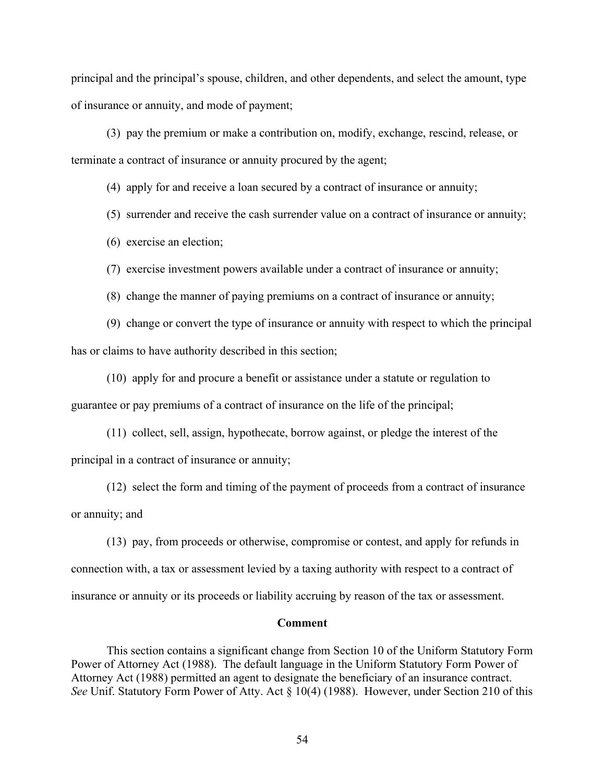principal and the principal's spouse, children, and other dependents, and select the amount, type of insurance or annuity, and mode of payment;

(3) pay the premium or make a contribution on, modify, exchange, rescind, release, or terminate a contract of insurance or annuity procured by the agent;

(4) apply for and receive a loan secured by a contract of insurance or annuity;

(5) surrender and receive the cash surrender value on a contract of insurance or annuity;

(6) exercise an election;

- (7) exercise investment powers available under a contract of insurance or annuity;
- (8) change the manner of paying premiums on a contract of insurance or annuity;

(9) change or convert the type of insurance or annuity with respect to which the principal has or claims to have authority described in this section;

(10) apply for and procure a benefit or assistance under a statute or regulation to guarantee or pay premiums of a contract of insurance on the life of the principal;

(11) collect, sell, assign, hypothecate, borrow against, or pledge the interest of the principal in a contract of insurance or annuity;

(12) select the form and timing of the payment of proceeds from a contract of insurance or annuity; and

(13) pay, from proceeds or otherwise, compromise or contest, and apply for refunds in connection with, a tax or assessment levied by a taxing authority with respect to a contract of insurance or annuity or its proceeds or liability accruing by reason of the tax or assessment.

#### **Comment**

This section contains a significant change from Section 10 of the Uniform Statutory Form Power of Attorney Act (1988). The default language in the Uniform Statutory Form Power of Attorney Act (1988) permitted an agent to designate the beneficiary of an insurance contract. *See* Unif. Statutory Form Power of Atty. Act § 10(4) (1988). However, under Section 210 of this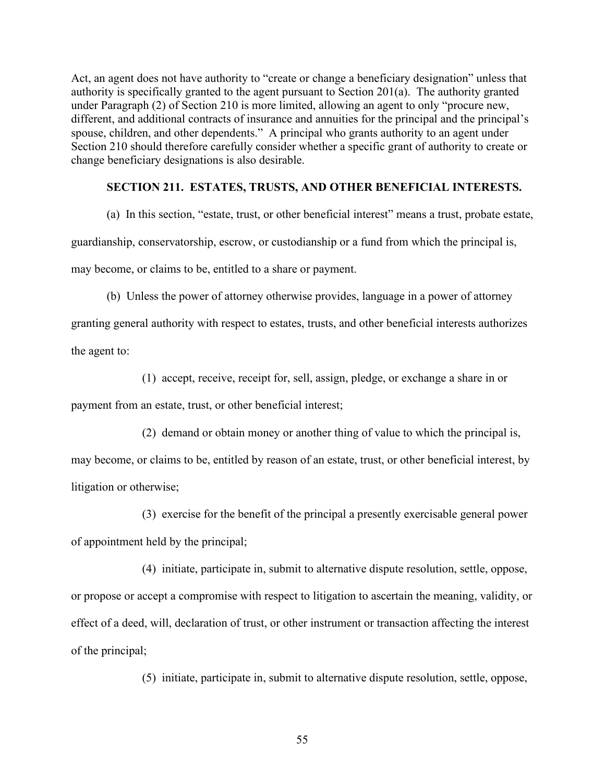Act, an agent does not have authority to "create or change a beneficiary designation" unless that authority is specifically granted to the agent pursuant to Section 201(a). The authority granted under Paragraph (2) of Section 210 is more limited, allowing an agent to only "procure new, different, and additional contracts of insurance and annuities for the principal and the principal's spouse, children, and other dependents." A principal who grants authority to an agent under Section 210 should therefore carefully consider whether a specific grant of authority to create or change beneficiary designations is also desirable.

# **SECTION 211. ESTATES, TRUSTS, AND OTHER BENEFICIAL INTERESTS.**

(a) In this section, "estate, trust, or other beneficial interest" means a trust, probate estate, guardianship, conservatorship, escrow, or custodianship or a fund from which the principal is, may become, or claims to be, entitled to a share or payment.

(b) Unless the power of attorney otherwise provides, language in a power of attorney

granting general authority with respect to estates, trusts, and other beneficial interests authorizes the agent to:

(1) accept, receive, receipt for, sell, assign, pledge, or exchange a share in or

payment from an estate, trust, or other beneficial interest;

(2) demand or obtain money or another thing of value to which the principal is, may become, or claims to be, entitled by reason of an estate, trust, or other beneficial interest, by litigation or otherwise;

(3) exercise for the benefit of the principal a presently exercisable general power of appointment held by the principal;

(4) initiate, participate in, submit to alternative dispute resolution, settle, oppose, or propose or accept a compromise with respect to litigation to ascertain the meaning, validity, or effect of a deed, will, declaration of trust, or other instrument or transaction affecting the interest of the principal;

(5) initiate, participate in, submit to alternative dispute resolution, settle, oppose,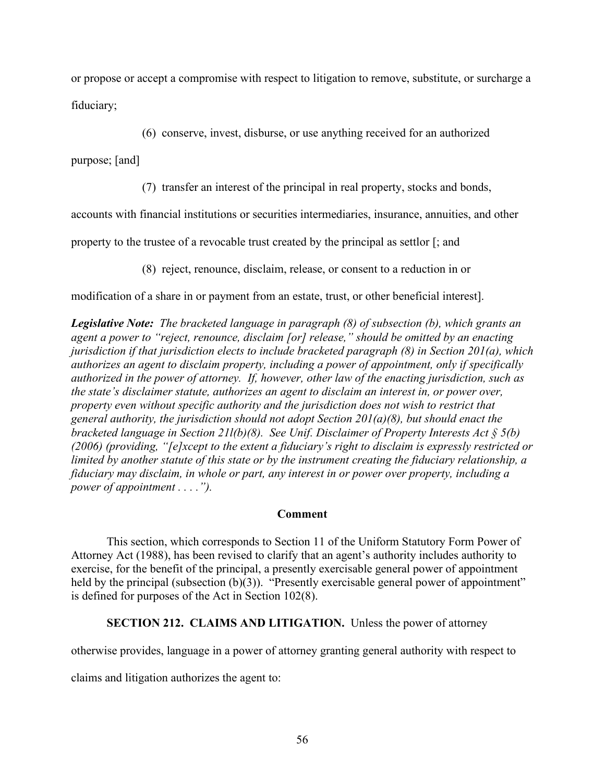or propose or accept a compromise with respect to litigation to remove, substitute, or surcharge a fiduciary;

(6) conserve, invest, disburse, or use anything received for an authorized

purpose; [and]

(7) transfer an interest of the principal in real property, stocks and bonds,

accounts with financial institutions or securities intermediaries, insurance, annuities, and other

property to the trustee of a revocable trust created by the principal as settlor [; and

(8) reject, renounce, disclaim, release, or consent to a reduction in or

modification of a share in or payment from an estate, trust, or other beneficial interest].

*Legislative Note: The bracketed language in paragraph (8) of subsection (b), which grants an agent a power to "reject, renounce, disclaim [or] release," should be omitted by an enacting jurisdiction if that jurisdiction elects to include bracketed paragraph (8) in Section 201(a), which authorizes an agent to disclaim property, including a power of appointment, only if specifically authorized in the power of attorney. If, however, other law of the enacting jurisdiction, such as the state's disclaimer statute, authorizes an agent to disclaim an interest in, or power over, property even without specific authority and the jurisdiction does not wish to restrict that general authority, the jurisdiction should not adopt Section 201(a)(8), but should enact the bracketed language in Section 21l(b)(8). See Unif. Disclaimer of Property Interests Act § 5(b) (2006) (providing, "[e]xcept to the extent a fiduciary's right to disclaim is expressly restricted or limited by another statute of this state or by the instrument creating the fiduciary relationship, a fiduciary may disclaim, in whole or part, any interest in or power over property, including a power of appointment . . . .").*

# **Comment**

This section, which corresponds to Section 11 of the Uniform Statutory Form Power of Attorney Act (1988), has been revised to clarify that an agent's authority includes authority to exercise, for the benefit of the principal, a presently exercisable general power of appointment held by the principal (subsection (b)(3)). "Presently exercisable general power of appointment" is defined for purposes of the Act in Section 102(8).

# **SECTION 212. CLAIMS AND LITIGATION.** Unless the power of attorney

otherwise provides, language in a power of attorney granting general authority with respect to

claims and litigation authorizes the agent to: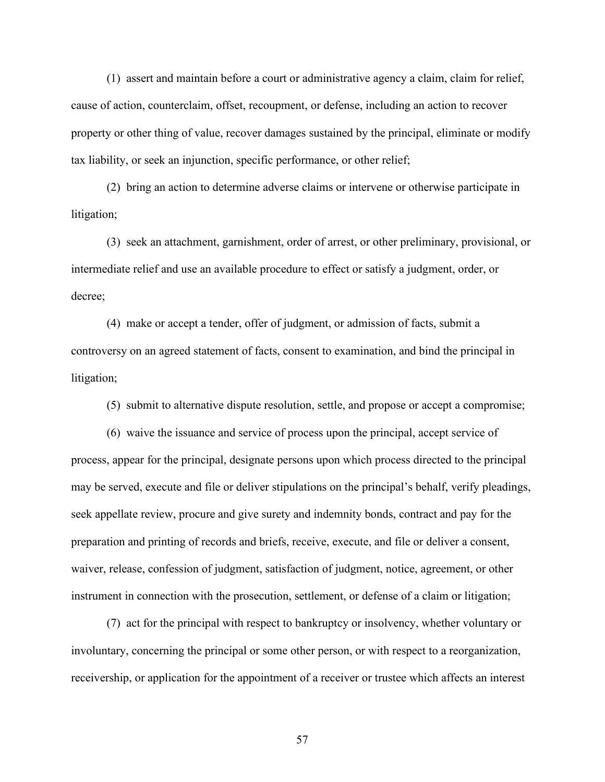(1) assert and maintain before a court or administrative agency a claim, claim for relief, cause of action, counterclaim, offset, recoupment, or defense, including an action to recover property or other thing of value, recover damages sustained by the principal, eliminate or modify tax liability, or seek an injunction, specific performance, or other relief;

(2) bring an action to determine adverse claims or intervene or otherwise participate in litigation;

(3) seek an attachment, garnishment, order of arrest, or other preliminary, provisional, or intermediate relief and use an available procedure to effect or satisfy a judgment, order, or decree;

(4) make or accept a tender, offer of judgment, or admission of facts, submit a controversy on an agreed statement of facts, consent to examination, and bind the principal in litigation;

(5) submit to alternative dispute resolution, settle, and propose or accept a compromise;

(6) waive the issuance and service of process upon the principal, accept service of process, appear for the principal, designate persons upon which process directed to the principal may be served, execute and file or deliver stipulations on the principal's behalf, verify pleadings, seek appellate review, procure and give surety and indemnity bonds, contract and pay for the preparation and printing of records and briefs, receive, execute, and file or deliver a consent, waiver, release, confession of judgment, satisfaction of judgment, notice, agreement, or other instrument in connection with the prosecution, settlement, or defense of a claim or litigation;

(7) act for the principal with respect to bankruptcy or insolvency, whether voluntary or involuntary, concerning the principal or some other person, or with respect to a reorganization, receivership, or application for the appointment of a receiver or trustee which affects an interest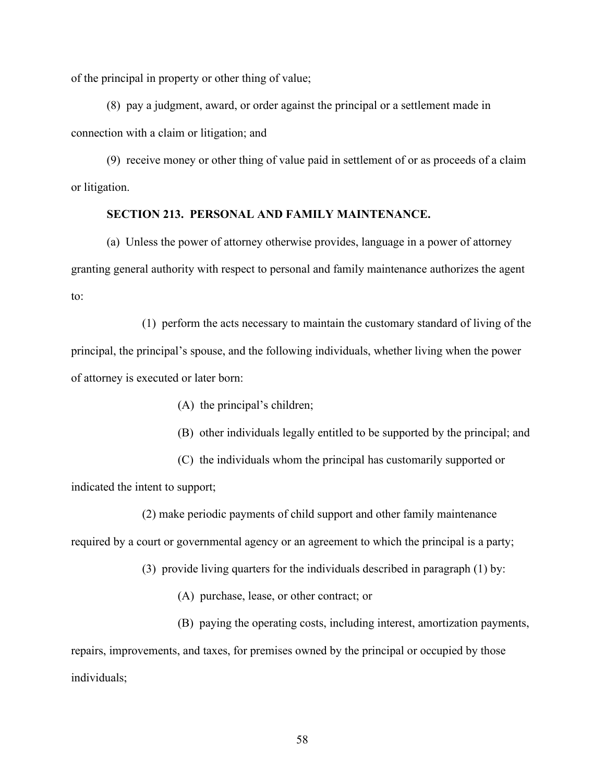of the principal in property or other thing of value;

(8) pay a judgment, award, or order against the principal or a settlement made in connection with a claim or litigation; and

(9) receive money or other thing of value paid in settlement of or as proceeds of a claim or litigation.

#### **SECTION 213. PERSONAL AND FAMILY MAINTENANCE.**

(a) Unless the power of attorney otherwise provides, language in a power of attorney granting general authority with respect to personal and family maintenance authorizes the agent to:

(1) perform the acts necessary to maintain the customary standard of living of the principal, the principal's spouse, and the following individuals, whether living when the power of attorney is executed or later born:

(A) the principal's children;

(B) other individuals legally entitled to be supported by the principal; and

(C) the individuals whom the principal has customarily supported or

indicated the intent to support;

(2) make periodic payments of child support and other family maintenance required by a court or governmental agency or an agreement to which the principal is a party;

(3) provide living quarters for the individuals described in paragraph (1) by:

(A) purchase, lease, or other contract; or

(B) paying the operating costs, including interest, amortization payments, repairs, improvements, and taxes, for premises owned by the principal or occupied by those individuals;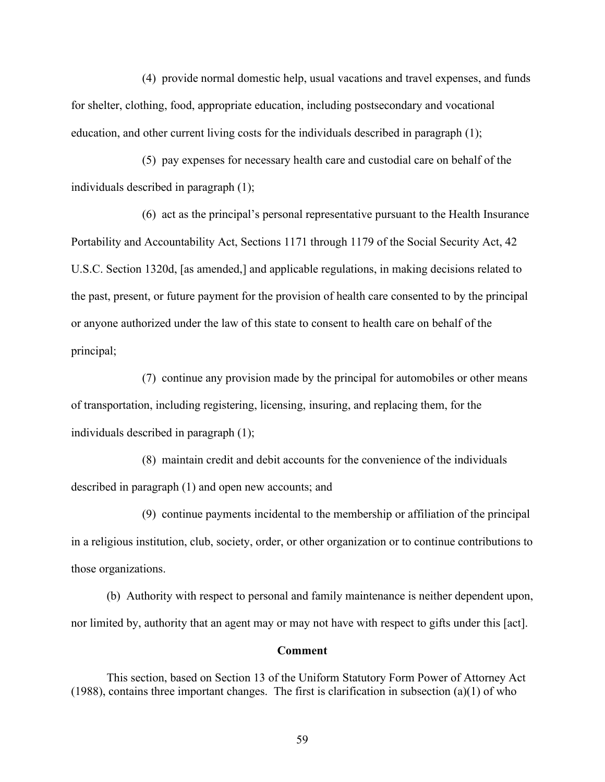(4) provide normal domestic help, usual vacations and travel expenses, and funds for shelter, clothing, food, appropriate education, including postsecondary and vocational education, and other current living costs for the individuals described in paragraph (1);

(5) pay expenses for necessary health care and custodial care on behalf of the individuals described in paragraph (1);

(6) act as the principal's personal representative pursuant to the Health Insurance Portability and Accountability Act, Sections 1171 through 1179 of the Social Security Act, 42 U.S.C. Section 1320d, [as amended,] and applicable regulations, in making decisions related to the past, present, or future payment for the provision of health care consented to by the principal or anyone authorized under the law of this state to consent to health care on behalf of the principal;

(7) continue any provision made by the principal for automobiles or other means of transportation, including registering, licensing, insuring, and replacing them, for the individuals described in paragraph (1);

(8) maintain credit and debit accounts for the convenience of the individuals described in paragraph (1) and open new accounts; and

(9) continue payments incidental to the membership or affiliation of the principal in a religious institution, club, society, order, or other organization or to continue contributions to those organizations.

(b) Authority with respect to personal and family maintenance is neither dependent upon, nor limited by, authority that an agent may or may not have with respect to gifts under this [act].

#### **Comment**

This section, based on Section 13 of the Uniform Statutory Form Power of Attorney Act (1988), contains three important changes. The first is clarification in subsection (a)(1) of who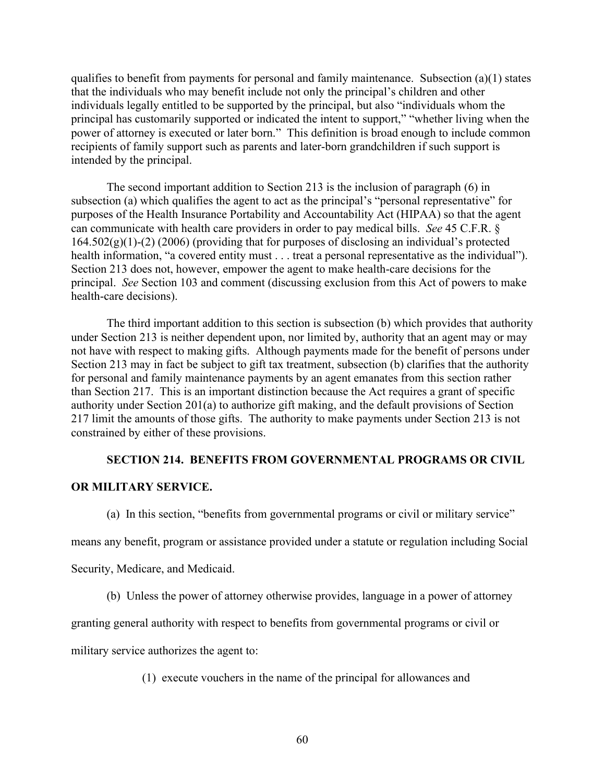qualifies to benefit from payments for personal and family maintenance. Subsection (a)(1) states that the individuals who may benefit include not only the principal's children and other individuals legally entitled to be supported by the principal, but also "individuals whom the principal has customarily supported or indicated the intent to support," "whether living when the power of attorney is executed or later born." This definition is broad enough to include common recipients of family support such as parents and later-born grandchildren if such support is intended by the principal.

The second important addition to Section 213 is the inclusion of paragraph (6) in subsection (a) which qualifies the agent to act as the principal's "personal representative" for purposes of the Health Insurance Portability and Accountability Act (HIPAA) so that the agent can communicate with health care providers in order to pay medical bills. *See* 45 C.F.R. §  $164.502(g)(1)-(2)(2006)$  (providing that for purposes of disclosing an individual's protected health information, "a covered entity must . . . treat a personal representative as the individual"). Section 213 does not, however, empower the agent to make health-care decisions for the principal. *See* Section 103 and comment (discussing exclusion from this Act of powers to make health-care decisions).

The third important addition to this section is subsection (b) which provides that authority under Section 213 is neither dependent upon, nor limited by, authority that an agent may or may not have with respect to making gifts. Although payments made for the benefit of persons under Section 213 may in fact be subject to gift tax treatment, subsection (b) clarifies that the authority for personal and family maintenance payments by an agent emanates from this section rather than Section 217. This is an important distinction because the Act requires a grant of specific authority under Section 201(a) to authorize gift making, and the default provisions of Section 217 limit the amounts of those gifts. The authority to make payments under Section 213 is not constrained by either of these provisions.

#### **SECTION 214. BENEFITS FROM GOVERNMENTAL PROGRAMS OR CIVIL**

#### **OR MILITARY SERVICE.**

(a) In this section, "benefits from governmental programs or civil or military service"

means any benefit, program or assistance provided under a statute or regulation including Social

Security, Medicare, and Medicaid.

(b) Unless the power of attorney otherwise provides, language in a power of attorney

granting general authority with respect to benefits from governmental programs or civil or

military service authorizes the agent to:

(1) execute vouchers in the name of the principal for allowances and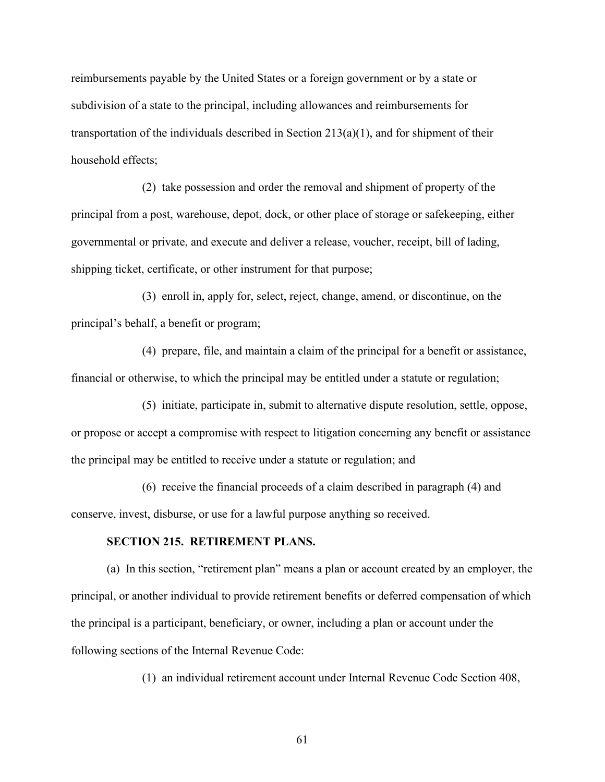reimbursements payable by the United States or a foreign government or by a state or subdivision of a state to the principal, including allowances and reimbursements for transportation of the individuals described in Section  $213(a)(1)$ , and for shipment of their household effects;

(2) take possession and order the removal and shipment of property of the principal from a post, warehouse, depot, dock, or other place of storage or safekeeping, either governmental or private, and execute and deliver a release, voucher, receipt, bill of lading, shipping ticket, certificate, or other instrument for that purpose;

(3) enroll in, apply for, select, reject, change, amend, or discontinue, on the principal's behalf, a benefit or program;

(4) prepare, file, and maintain a claim of the principal for a benefit or assistance, financial or otherwise, to which the principal may be entitled under a statute or regulation;

(5) initiate, participate in, submit to alternative dispute resolution, settle, oppose, or propose or accept a compromise with respect to litigation concerning any benefit or assistance the principal may be entitled to receive under a statute or regulation; and

(6) receive the financial proceeds of a claim described in paragraph (4) and conserve, invest, disburse, or use for a lawful purpose anything so received.

#### **SECTION 215. RETIREMENT PLANS.**

(a) In this section, "retirement plan" means a plan or account created by an employer, the principal, or another individual to provide retirement benefits or deferred compensation of which the principal is a participant, beneficiary, or owner, including a plan or account under the following sections of the Internal Revenue Code:

(1) an individual retirement account under Internal Revenue Code Section 408,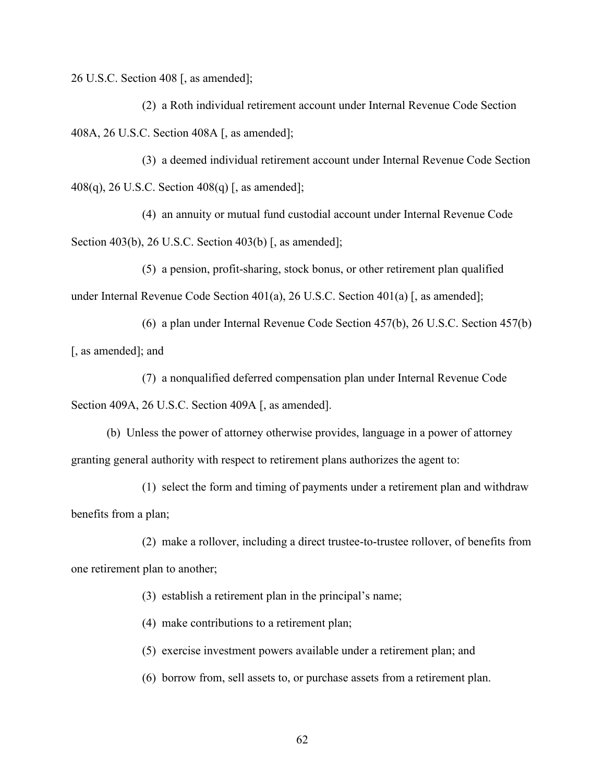26 U.S.C. Section 408 [, as amended];

(2) a Roth individual retirement account under Internal Revenue Code Section 408A, 26 U.S.C. Section 408A [, as amended];

(3) a deemed individual retirement account under Internal Revenue Code Section 408(q), 26 U.S.C. Section 408(q) [, as amended];

(4) an annuity or mutual fund custodial account under Internal Revenue Code Section 403(b), 26 U.S.C. Section 403(b) [, as amended];

(5) a pension, profit-sharing, stock bonus, or other retirement plan qualified under Internal Revenue Code Section 401(a), 26 U.S.C. Section 401(a) [, as amended];

(6) a plan under Internal Revenue Code Section 457(b), 26 U.S.C. Section 457(b) [, as amended]; and

(7) a nonqualified deferred compensation plan under Internal Revenue Code Section 409A, 26 U.S.C. Section 409A [, as amended].

(b) Unless the power of attorney otherwise provides, language in a power of attorney granting general authority with respect to retirement plans authorizes the agent to:

(1) select the form and timing of payments under a retirement plan and withdraw benefits from a plan;

(2) make a rollover, including a direct trustee-to-trustee rollover, of benefits from one retirement plan to another;

(3) establish a retirement plan in the principal's name;

(4) make contributions to a retirement plan;

(5) exercise investment powers available under a retirement plan; and

(6) borrow from, sell assets to, or purchase assets from a retirement plan.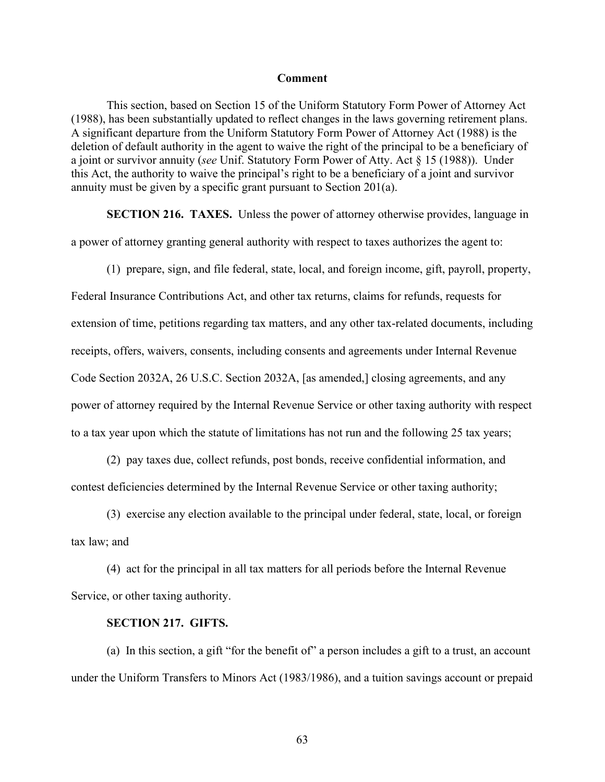#### **Comment**

This section, based on Section 15 of the Uniform Statutory Form Power of Attorney Act (1988), has been substantially updated to reflect changes in the laws governing retirement plans. A significant departure from the Uniform Statutory Form Power of Attorney Act (1988) is the deletion of default authority in the agent to waive the right of the principal to be a beneficiary of a joint or survivor annuity (*see* Unif. Statutory Form Power of Atty. Act § 15 (1988)). Under this Act, the authority to waive the principal's right to be a beneficiary of a joint and survivor annuity must be given by a specific grant pursuant to Section 201(a).

**SECTION 216. TAXES.** Unless the power of attorney otherwise provides, language in a power of attorney granting general authority with respect to taxes authorizes the agent to:

(1) prepare, sign, and file federal, state, local, and foreign income, gift, payroll, property,

Federal Insurance Contributions Act, and other tax returns, claims for refunds, requests for extension of time, petitions regarding tax matters, and any other tax-related documents, including receipts, offers, waivers, consents, including consents and agreements under Internal Revenue Code Section 2032A, 26 U.S.C. Section 2032A, [as amended,] closing agreements, and any power of attorney required by the Internal Revenue Service or other taxing authority with respect to a tax year upon which the statute of limitations has not run and the following 25 tax years;

(2) pay taxes due, collect refunds, post bonds, receive confidential information, and contest deficiencies determined by the Internal Revenue Service or other taxing authority;

(3) exercise any election available to the principal under federal, state, local, or foreign tax law; and

(4) act for the principal in all tax matters for all periods before the Internal Revenue Service, or other taxing authority.

#### **SECTION 217. GIFTS.**

(a) In this section, a gift "for the benefit of" a person includes a gift to a trust, an account under the Uniform Transfers to Minors Act (1983/1986), and a tuition savings account or prepaid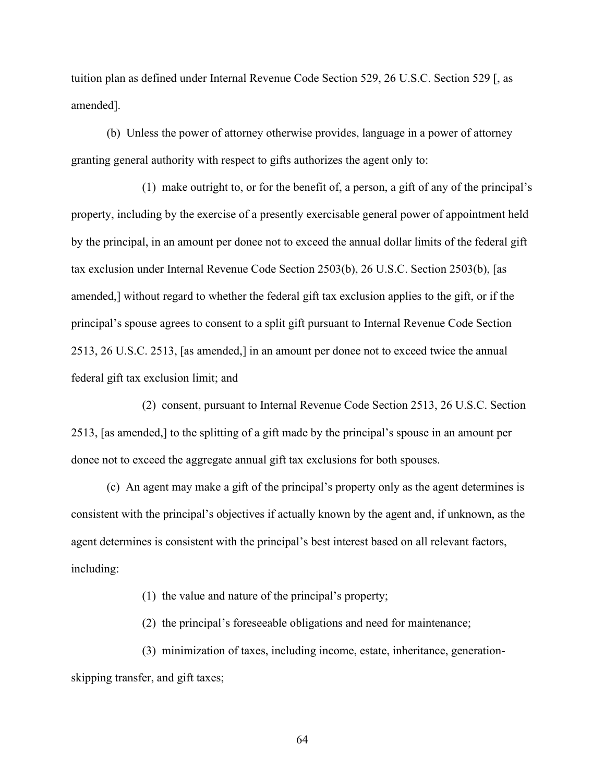tuition plan as defined under Internal Revenue Code Section 529, 26 U.S.C. Section 529 [, as amended].

(b) Unless the power of attorney otherwise provides, language in a power of attorney granting general authority with respect to gifts authorizes the agent only to:

(1) make outright to, or for the benefit of, a person, a gift of any of the principal's property, including by the exercise of a presently exercisable general power of appointment held by the principal, in an amount per donee not to exceed the annual dollar limits of the federal gift tax exclusion under Internal Revenue Code Section 2503(b), 26 U.S.C. Section 2503(b), [as amended,] without regard to whether the federal gift tax exclusion applies to the gift, or if the principal's spouse agrees to consent to a split gift pursuant to Internal Revenue Code Section 2513, 26 U.S.C. 2513, [as amended,] in an amount per donee not to exceed twice the annual federal gift tax exclusion limit; and

(2) consent, pursuant to Internal Revenue Code Section 2513, 26 U.S.C. Section 2513, [as amended,] to the splitting of a gift made by the principal's spouse in an amount per donee not to exceed the aggregate annual gift tax exclusions for both spouses.

(c) An agent may make a gift of the principal's property only as the agent determines is consistent with the principal's objectives if actually known by the agent and, if unknown, as the agent determines is consistent with the principal's best interest based on all relevant factors, including:

(1) the value and nature of the principal's property;

(2) the principal's foreseeable obligations and need for maintenance;

(3) minimization of taxes, including income, estate, inheritance, generationskipping transfer, and gift taxes;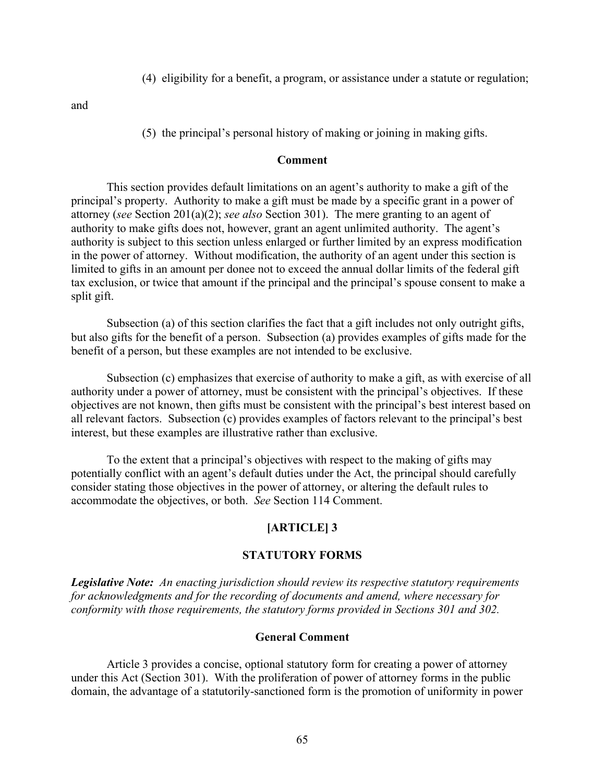(4) eligibility for a benefit, a program, or assistance under a statute or regulation;

and

(5) the principal's personal history of making or joining in making gifts.

## **Comment**

This section provides default limitations on an agent's authority to make a gift of the principal's property. Authority to make a gift must be made by a specific grant in a power of attorney (*see* Section 201(a)(2); *see also* Section 301). The mere granting to an agent of authority to make gifts does not, however, grant an agent unlimited authority. The agent's authority is subject to this section unless enlarged or further limited by an express modification in the power of attorney. Without modification, the authority of an agent under this section is limited to gifts in an amount per donee not to exceed the annual dollar limits of the federal gift tax exclusion, or twice that amount if the principal and the principal's spouse consent to make a split gift.

Subsection (a) of this section clarifies the fact that a gift includes not only outright gifts, but also gifts for the benefit of a person. Subsection (a) provides examples of gifts made for the benefit of a person, but these examples are not intended to be exclusive.

Subsection (c) emphasizes that exercise of authority to make a gift, as with exercise of all authority under a power of attorney, must be consistent with the principal's objectives. If these objectives are not known, then gifts must be consistent with the principal's best interest based on all relevant factors. Subsection (c) provides examples of factors relevant to the principal's best interest, but these examples are illustrative rather than exclusive.

To the extent that a principal's objectives with respect to the making of gifts may potentially conflict with an agent's default duties under the Act, the principal should carefully consider stating those objectives in the power of attorney, or altering the default rules to accommodate the objectives, or both. *See* Section 114 Comment.

## **[ARTICLE] 3**

#### **STATUTORY FORMS**

*Legislative Note: An enacting jurisdiction should review its respective statutory requirements for acknowledgments and for the recording of documents and amend, where necessary for conformity with those requirements, the statutory forms provided in Sections 301 and 302.*

## **General Comment**

Article 3 provides a concise, optional statutory form for creating a power of attorney under this Act (Section 301). With the proliferation of power of attorney forms in the public domain, the advantage of a statutorily-sanctioned form is the promotion of uniformity in power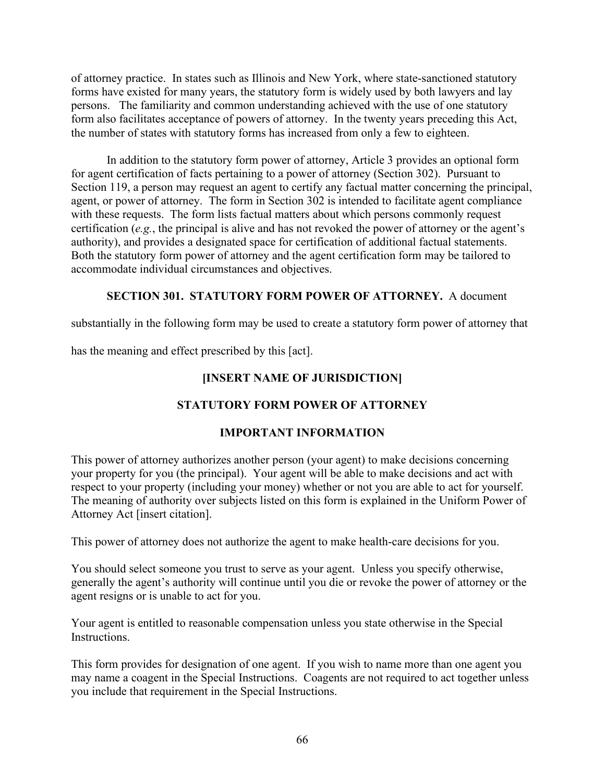of attorney practice. In states such as Illinois and New York, where state-sanctioned statutory forms have existed for many years, the statutory form is widely used by both lawyers and lay persons. The familiarity and common understanding achieved with the use of one statutory form also facilitates acceptance of powers of attorney. In the twenty years preceding this Act, the number of states with statutory forms has increased from only a few to eighteen.

In addition to the statutory form power of attorney, Article 3 provides an optional form for agent certification of facts pertaining to a power of attorney (Section 302). Pursuant to Section 119, a person may request an agent to certify any factual matter concerning the principal, agent, or power of attorney. The form in Section 302 is intended to facilitate agent compliance with these requests. The form lists factual matters about which persons commonly request certification (*e.g.*, the principal is alive and has not revoked the power of attorney or the agent's authority), and provides a designated space for certification of additional factual statements. Both the statutory form power of attorney and the agent certification form may be tailored to accommodate individual circumstances and objectives.

# **SECTION 301. STATUTORY FORM POWER OF ATTORNEY.** A document

substantially in the following form may be used to create a statutory form power of attorney that

has the meaning and effect prescribed by this [act].

# **[INSERT NAME OF JURISDICTION]**

# **STATUTORY FORM POWER OF ATTORNEY**

# **IMPORTANT INFORMATION**

This power of attorney authorizes another person (your agent) to make decisions concerning your property for you (the principal). Your agent will be able to make decisions and act with respect to your property (including your money) whether or not you are able to act for yourself. The meaning of authority over subjects listed on this form is explained in the Uniform Power of Attorney Act [insert citation].

This power of attorney does not authorize the agent to make health-care decisions for you.

You should select someone you trust to serve as your agent. Unless you specify otherwise, generally the agent's authority will continue until you die or revoke the power of attorney or the agent resigns or is unable to act for you.

Your agent is entitled to reasonable compensation unless you state otherwise in the Special Instructions.

This form provides for designation of one agent. If you wish to name more than one agent you may name a coagent in the Special Instructions. Coagents are not required to act together unless you include that requirement in the Special Instructions.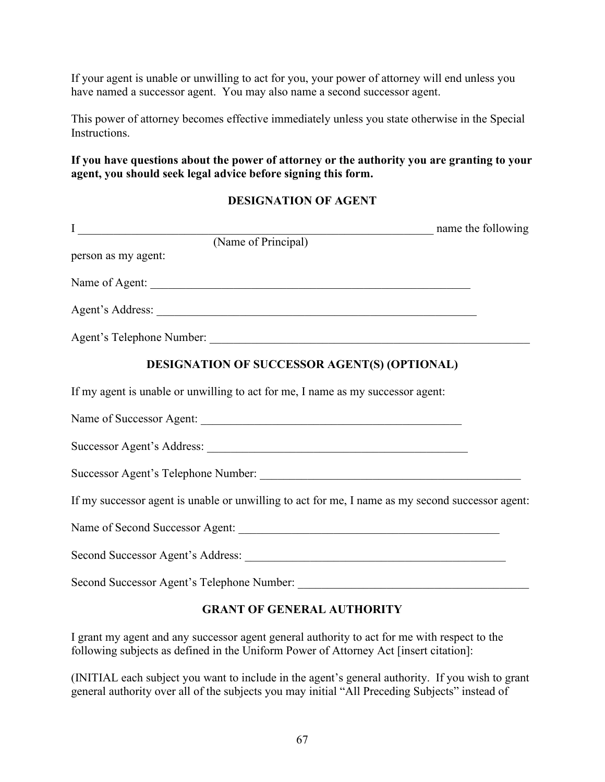If your agent is unable or unwilling to act for you, your power of attorney will end unless you have named a successor agent. You may also name a second successor agent.

This power of attorney becomes effective immediately unless you state otherwise in the Special Instructions.

# **If you have questions about the power of attorney or the authority you are granting to your agent, you should seek legal advice before signing this form.**

# **DESIGNATION OF AGENT**

| name the following                                                                               |  |
|--------------------------------------------------------------------------------------------------|--|
| I (Name of Principal)                                                                            |  |
| person as my agent:                                                                              |  |
| Name of Agent:                                                                                   |  |
|                                                                                                  |  |
|                                                                                                  |  |
| <b>DESIGNATION OF SUCCESSOR AGENT(S) (OPTIONAL)</b>                                              |  |
| If my agent is unable or unwilling to act for me, I name as my successor agent:                  |  |
|                                                                                                  |  |
|                                                                                                  |  |
|                                                                                                  |  |
| If my successor agent is unable or unwilling to act for me, I name as my second successor agent: |  |
|                                                                                                  |  |
|                                                                                                  |  |
|                                                                                                  |  |

# **GRANT OF GENERAL AUTHORITY**

I grant my agent and any successor agent general authority to act for me with respect to the following subjects as defined in the Uniform Power of Attorney Act [insert citation]:

(INITIAL each subject you want to include in the agent's general authority. If you wish to grant general authority over all of the subjects you may initial "All Preceding Subjects" instead of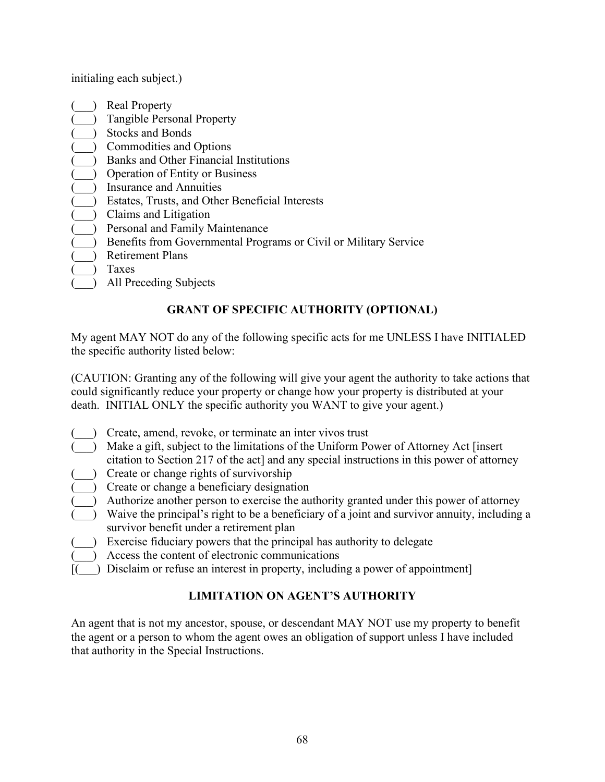initialing each subject.)

- (\_\_\_) Real Property
- ) Tangible Personal Property
- (\_\_\_) Stocks and Bonds
- (\_\_\_) Commodities and Options
- (\_\_\_) Banks and Other Financial Institutions
- (\_\_\_) Operation of Entity or Business
- (b) Insurance and Annuities
- (\_\_\_) Estates, Trusts, and Other Beneficial Interests
- (\_\_\_) Claims and Litigation
- (b) Personal and Family Maintenance
- (b) Benefits from Governmental Programs or Civil or Military Service
- ) Retirement Plans
- (\_\_\_) Taxes
	- ) All Preceding Subjects

# **GRANT OF SPECIFIC AUTHORITY (OPTIONAL)**

My agent MAY NOT do any of the following specific acts for me UNLESS I have INITIALED the specific authority listed below:

(CAUTION: Granting any of the following will give your agent the authority to take actions that could significantly reduce your property or change how your property is distributed at your death. INITIAL ONLY the specific authority you WANT to give your agent.)

- (\_\_\_) Create, amend, revoke, or terminate an inter vivos trust
- (e) Make a gift, subject to the limitations of the Uniform Power of Attorney Act [insert citation to Section 217 of the act] and any special instructions in this power of attorney
- (b) Create or change rights of survivorship
- (e) Create or change a beneficiary designation
- $\overline{(\ )}$  Authorize another person to exercise the authority granted under this power of attorney
- (\_\_\_) Waive the principal's right to be a beneficiary of a joint and survivor annuity, including a survivor benefit under a retirement plan
- (\_\_\_) Exercise fiduciary powers that the principal has authority to delegate
- (\_\_\_) Access the content of electronic communications
- [(\_\_\_) Disclaim or refuse an interest in property, including a power of appointment]

# **LIMITATION ON AGENT'S AUTHORITY**

An agent that is not my ancestor, spouse, or descendant MAY NOT use my property to benefit the agent or a person to whom the agent owes an obligation of support unless I have included that authority in the Special Instructions.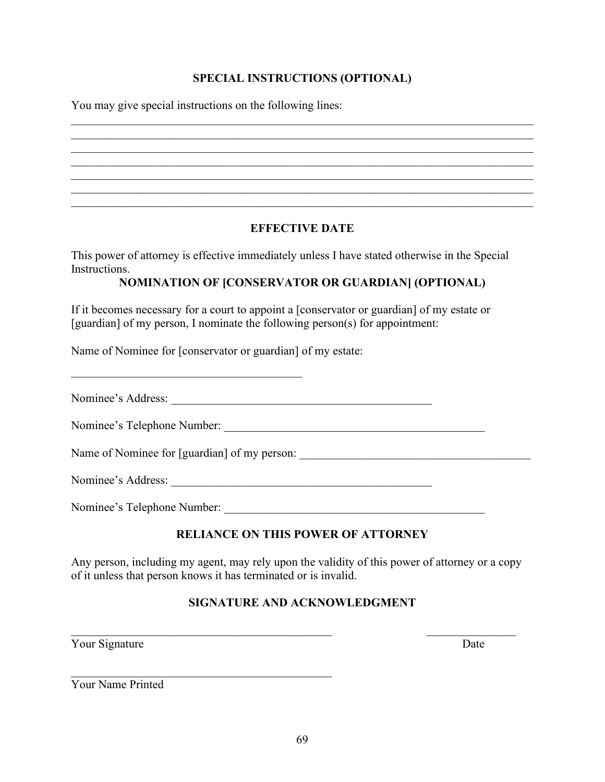## **SPECIAL INSTRUCTIONS (OPTIONAL)**

\_\_\_\_\_\_\_\_\_\_\_\_\_\_\_\_\_\_\_\_\_\_\_\_\_\_\_\_\_\_\_\_\_\_\_\_\_\_\_\_\_\_\_\_\_\_\_\_\_\_\_\_\_\_\_\_\_\_\_\_\_\_\_\_\_\_\_\_\_\_\_\_\_\_\_\_\_\_ \_\_\_\_\_\_\_\_\_\_\_\_\_\_\_\_\_\_\_\_\_\_\_\_\_\_\_\_\_\_\_\_\_\_\_\_\_\_\_\_\_\_\_\_\_\_\_\_\_\_\_\_\_\_\_\_\_\_\_\_\_\_\_\_\_\_\_\_\_\_\_\_\_\_\_\_\_\_ \_\_\_\_\_\_\_\_\_\_\_\_\_\_\_\_\_\_\_\_\_\_\_\_\_\_\_\_\_\_\_\_\_\_\_\_\_\_\_\_\_\_\_\_\_\_\_\_\_\_\_\_\_\_\_\_\_\_\_\_\_\_\_\_\_\_\_\_\_\_\_\_\_\_\_\_\_\_  $\_$  , and the contribution of the contribution of the contribution of the contribution of  $\mathcal{L}_\text{max}$ 

You may give special instructions on the following lines:

### **EFFECTIVE DATE**

\_\_\_\_\_\_\_\_\_\_\_\_\_\_\_\_\_\_\_\_\_\_\_\_\_\_\_\_\_\_\_\_\_\_\_\_\_\_\_\_\_\_\_\_\_\_\_\_\_\_\_\_\_\_\_\_\_\_\_\_\_\_\_\_\_\_\_\_\_\_\_\_\_\_\_\_\_\_ \_\_\_\_\_\_\_\_\_\_\_\_\_\_\_\_\_\_\_\_\_\_\_\_\_\_\_\_\_\_\_\_\_\_\_\_\_\_\_\_\_\_\_\_\_\_\_\_\_\_\_\_\_\_\_\_\_\_\_\_\_\_\_\_\_\_\_\_\_\_\_\_\_\_\_\_\_\_

This power of attorney is effective immediately unless I have stated otherwise in the Special Instructions.

#### **NOMINATION OF [CONSERVATOR OR GUARDIAN] (OPTIONAL)**

If it becomes necessary for a court to appoint a [conservator or guardian] of my estate or [guardian] of my person, I nominate the following person(s) for appointment:

Name of Nominee for [conservator or guardian] of my estate:

Nominee's Address: \_\_\_\_\_\_\_\_\_\_\_\_\_\_\_\_\_\_\_\_\_\_\_\_\_\_\_\_\_\_\_\_\_\_\_\_\_\_\_\_\_\_\_\_

Nominee's Telephone Number: \_\_\_\_\_\_\_\_\_\_\_\_\_\_\_\_\_\_\_\_\_\_\_\_\_\_\_\_\_\_\_\_\_\_\_\_\_\_\_\_\_\_\_\_

Name of Nominee for [guardian] of my person: \_\_\_\_\_\_\_\_\_\_\_\_\_\_\_\_\_\_\_\_\_\_\_\_\_\_\_\_\_\_\_\_\_\_\_

 $\mathcal{L}_\mathcal{L}$  , which is a set of the set of the set of the set of the set of the set of the set of the set of the set of the set of the set of the set of the set of the set of the set of the set of the set of the set of

\_\_\_\_\_\_\_\_\_\_\_\_\_\_\_\_\_\_\_\_\_\_\_\_\_\_\_\_\_\_\_\_\_\_\_\_\_\_\_

Nominee's Address: \_\_\_\_\_\_\_\_\_\_\_\_\_\_\_\_\_\_\_\_\_\_\_\_\_\_\_\_\_\_\_\_\_\_\_\_\_\_\_\_\_\_\_\_

Nominee's Telephone Number:

## **RELIANCE ON THIS POWER OF ATTORNEY**

Any person, including my agent, may rely upon the validity of this power of attorney or a copy of it unless that person knows it has terminated or is invalid.

### **SIGNATURE AND ACKNOWLEDGMENT**

 $\_$  , and the set of the set of the set of the set of the set of the set of the set of the set of the set of the set of the set of the set of the set of the set of the set of the set of the set of the set of the set of th

**The Value Signature** Date Date

Your Name Printed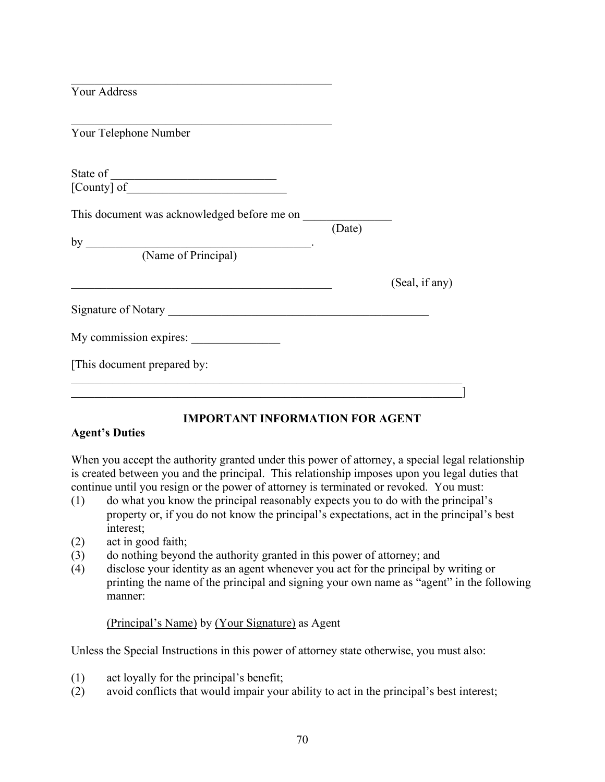| <b>Your Address</b>                                                         |        |                |
|-----------------------------------------------------------------------------|--------|----------------|
| Your Telephone Number                                                       |        |                |
| State of<br><u> 1989 - Johann Barn, fransk politik amerikansk politik (</u> |        |                |
|                                                                             |        |                |
| This document was acknowledged before me on                                 | (Date) |                |
| by                                                                          |        |                |
| (Name of Principal)                                                         |        |                |
|                                                                             |        | (Seal, if any) |
| Signature of Notary                                                         |        |                |
| My commission expires:                                                      |        |                |
| [This document prepared by:                                                 |        |                |
|                                                                             |        |                |

### **IMPORTANT INFORMATION FOR AGENT**

### **Agent's Duties**

When you accept the authority granted under this power of attorney, a special legal relationship is created between you and the principal. This relationship imposes upon you legal duties that continue until you resign or the power of attorney is terminated or revoked. You must:

- (1) do what you know the principal reasonably expects you to do with the principal's property or, if you do not know the principal's expectations, act in the principal's best interest;
- (2) act in good faith;
- (3) do nothing beyond the authority granted in this power of attorney; and
- (4) disclose your identity as an agent whenever you act for the principal by writing or printing the name of the principal and signing your own name as "agent" in the following manner:

#### (Principal's Name) by (Your Signature) as Agent

Unless the Special Instructions in this power of attorney state otherwise, you must also:

- (1) act loyally for the principal's benefit;
- (2) avoid conflicts that would impair your ability to act in the principal's best interest;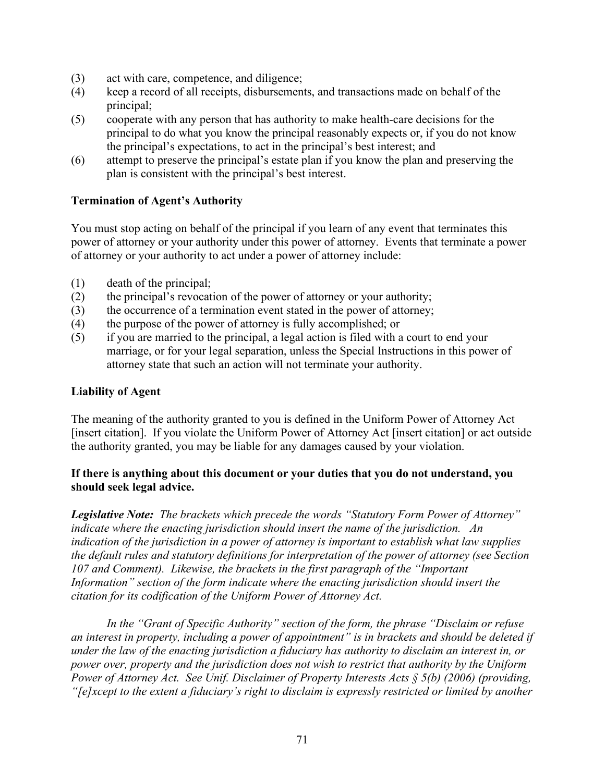- (3) act with care, competence, and diligence;
- (4) keep a record of all receipts, disbursements, and transactions made on behalf of the principal;
- (5) cooperate with any person that has authority to make health-care decisions for the principal to do what you know the principal reasonably expects or, if you do not know the principal's expectations, to act in the principal's best interest; and
- (6) attempt to preserve the principal's estate plan if you know the plan and preserving the plan is consistent with the principal's best interest.

### **Termination of Agent's Authority**

You must stop acting on behalf of the principal if you learn of any event that terminates this power of attorney or your authority under this power of attorney. Events that terminate a power of attorney or your authority to act under a power of attorney include:

- (1) death of the principal;
- (2) the principal's revocation of the power of attorney or your authority;
- (3) the occurrence of a termination event stated in the power of attorney;
- (4) the purpose of the power of attorney is fully accomplished; or
- (5) if you are married to the principal, a legal action is filed with a court to end your marriage, or for your legal separation, unless the Special Instructions in this power of attorney state that such an action will not terminate your authority.

#### **Liability of Agent**

The meaning of the authority granted to you is defined in the Uniform Power of Attorney Act [insert citation]. If you violate the Uniform Power of Attorney Act [insert citation] or act outside the authority granted, you may be liable for any damages caused by your violation.

#### **If there is anything about this document or your duties that you do not understand, you should seek legal advice.**

*Legislative Note: The brackets which precede the words "Statutory Form Power of Attorney" indicate where the enacting jurisdiction should insert the name of the jurisdiction. An indication of the jurisdiction in a power of attorney is important to establish what law supplies the default rules and statutory definitions for interpretation of the power of attorney (see Section 107 and Comment). Likewise, the brackets in the first paragraph of the "Important Information" section of the form indicate where the enacting jurisdiction should insert the citation for its codification of the Uniform Power of Attorney Act.* 

*In the "Grant of Specific Authority" section of the form, the phrase "Disclaim or refuse an interest in property, including a power of appointment" is in brackets and should be deleted if under the law of the enacting jurisdiction a fiduciary has authority to disclaim an interest in, or power over, property and the jurisdiction does not wish to restrict that authority by the Uniform Power of Attorney Act. See Unif. Disclaimer of Property Interests Acts § 5(b) (2006) (providing, "[e]xcept to the extent a fiduciary's right to disclaim is expressly restricted or limited by another*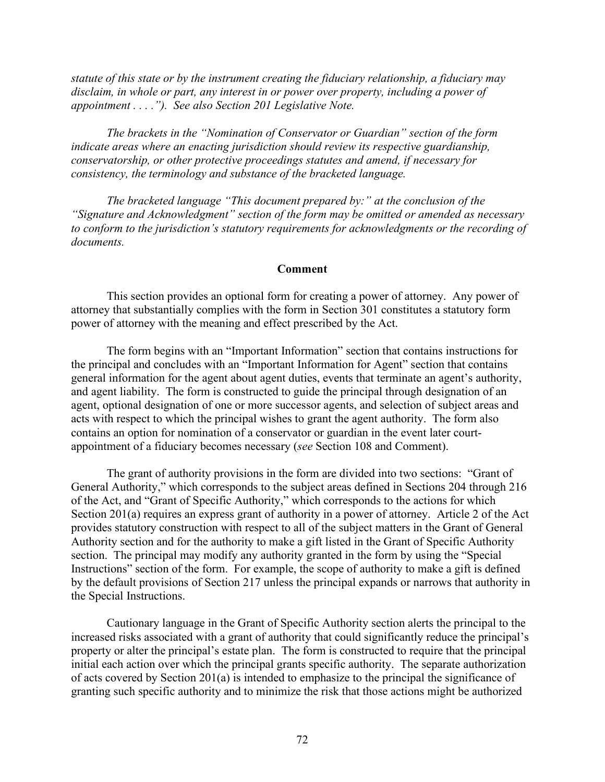*statute of this state or by the instrument creating the fiduciary relationship, a fiduciary may disclaim, in whole or part, any interest in or power over property, including a power of appointment . . . ."). See also Section 201 Legislative Note.*

*The brackets in the "Nomination of Conservator or Guardian" section of the form indicate areas where an enacting jurisdiction should review its respective guardianship, conservatorship, or other protective proceedings statutes and amend, if necessary for consistency, the terminology and substance of the bracketed language.*

*The bracketed language "This document prepared by:" at the conclusion of the "Signature and Acknowledgment" section of the form may be omitted or amended as necessary to conform to the jurisdiction's statutory requirements for acknowledgments or the recording of documents.*

#### **Comment**

This section provides an optional form for creating a power of attorney. Any power of attorney that substantially complies with the form in Section 301 constitutes a statutory form power of attorney with the meaning and effect prescribed by the Act.

The form begins with an "Important Information" section that contains instructions for the principal and concludes with an "Important Information for Agent" section that contains general information for the agent about agent duties, events that terminate an agent's authority, and agent liability. The form is constructed to guide the principal through designation of an agent, optional designation of one or more successor agents, and selection of subject areas and acts with respect to which the principal wishes to grant the agent authority. The form also contains an option for nomination of a conservator or guardian in the event later courtappointment of a fiduciary becomes necessary (*see* Section 108 and Comment).

The grant of authority provisions in the form are divided into two sections: "Grant of General Authority," which corresponds to the subject areas defined in Sections 204 through 216 of the Act, and "Grant of Specific Authority," which corresponds to the actions for which Section 201(a) requires an express grant of authority in a power of attorney. Article 2 of the Act provides statutory construction with respect to all of the subject matters in the Grant of General Authority section and for the authority to make a gift listed in the Grant of Specific Authority section. The principal may modify any authority granted in the form by using the "Special Instructions" section of the form. For example, the scope of authority to make a gift is defined by the default provisions of Section 217 unless the principal expands or narrows that authority in the Special Instructions.

Cautionary language in the Grant of Specific Authority section alerts the principal to the increased risks associated with a grant of authority that could significantly reduce the principal's property or alter the principal's estate plan. The form is constructed to require that the principal initial each action over which the principal grants specific authority. The separate authorization of acts covered by Section 201(a) is intended to emphasize to the principal the significance of granting such specific authority and to minimize the risk that those actions might be authorized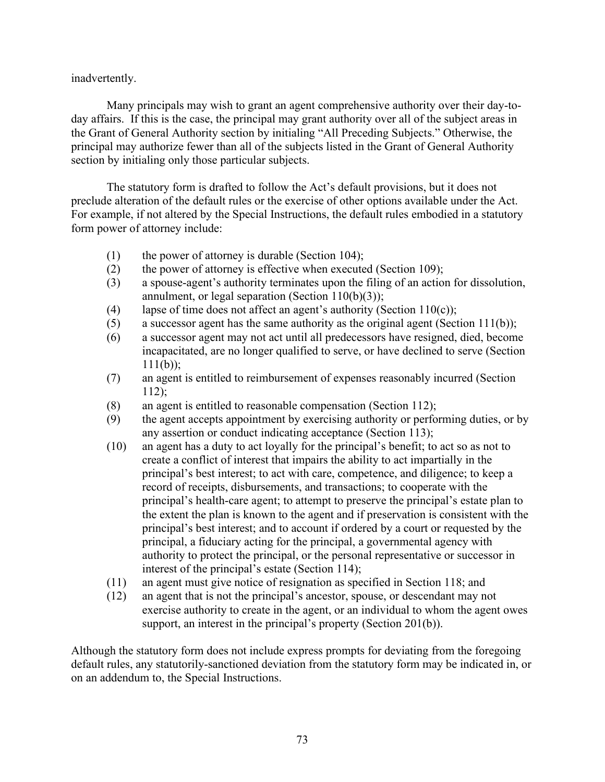#### inadvertently.

Many principals may wish to grant an agent comprehensive authority over their day-today affairs. If this is the case, the principal may grant authority over all of the subject areas in the Grant of General Authority section by initialing "All Preceding Subjects." Otherwise, the principal may authorize fewer than all of the subjects listed in the Grant of General Authority section by initialing only those particular subjects.

The statutory form is drafted to follow the Act's default provisions, but it does not preclude alteration of the default rules or the exercise of other options available under the Act. For example, if not altered by the Special Instructions, the default rules embodied in a statutory form power of attorney include:

- (1) the power of attorney is durable (Section 104);
- (2) the power of attorney is effective when executed (Section 109);
- (3) a spouse-agent's authority terminates upon the filing of an action for dissolution, annulment, or legal separation (Section 110(b)(3));
- (4) lapse of time does not affect an agent's authority (Section 110(c));
- (5) a successor agent has the same authority as the original agent (Section 111(b));
- (6) a successor agent may not act until all predecessors have resigned, died, become incapacitated, are no longer qualified to serve, or have declined to serve (Section  $111(b)$ :
- (7) an agent is entitled to reimbursement of expenses reasonably incurred (Section 112);
- (8) an agent is entitled to reasonable compensation (Section 112);
- (9) the agent accepts appointment by exercising authority or performing duties, or by any assertion or conduct indicating acceptance (Section 113);
- (10) an agent has a duty to act loyally for the principal's benefit; to act so as not to create a conflict of interest that impairs the ability to act impartially in the principal's best interest; to act with care, competence, and diligence; to keep a record of receipts, disbursements, and transactions; to cooperate with the principal's health-care agent; to attempt to preserve the principal's estate plan to the extent the plan is known to the agent and if preservation is consistent with the principal's best interest; and to account if ordered by a court or requested by the principal, a fiduciary acting for the principal, a governmental agency with authority to protect the principal, or the personal representative or successor in interest of the principal's estate (Section 114);
- (11) an agent must give notice of resignation as specified in Section 118; and
- (12) an agent that is not the principal's ancestor, spouse, or descendant may not exercise authority to create in the agent, or an individual to whom the agent owes support, an interest in the principal's property (Section 201(b)).

Although the statutory form does not include express prompts for deviating from the foregoing default rules, any statutorily-sanctioned deviation from the statutory form may be indicated in, or on an addendum to, the Special Instructions.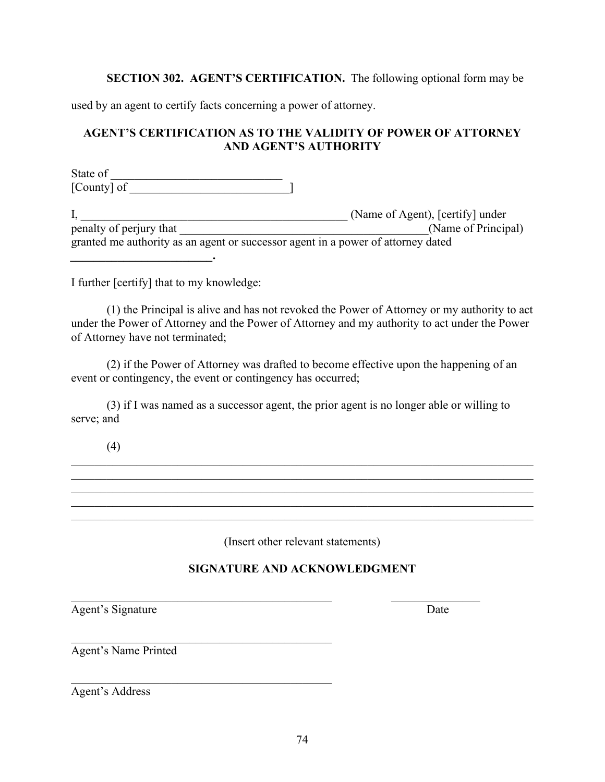#### **SECTION 302. AGENT'S CERTIFICATION.** The following optional form may be

used by an agent to certify facts concerning a power of attorney.

### **AGENT'S CERTIFICATION AS TO THE VALIDITY OF POWER OF ATTORNEY AND AGENT'S AUTHORITY**

State of [County] of  $\Box$ 

I, \_\_\_\_\_\_\_\_\_\_\_\_\_\_\_\_\_\_\_\_\_\_\_\_\_\_\_\_\_\_\_\_\_\_\_\_\_\_\_\_\_\_\_\_\_ (Name of Agent), [certify] under penalty of perjury that \_\_\_\_\_\_\_\_\_\_\_\_\_\_\_\_\_\_\_\_\_\_\_\_\_\_\_\_\_\_\_\_\_\_\_\_\_\_\_\_\_\_(Name of Principal) granted me authority as an agent or successor agent in a power of attorney dated

I further [certify] that to my knowledge:

*\_\_\_\_\_\_\_\_\_\_\_\_\_\_\_\_\_\_\_\_\_\_\_\_.*

(1) the Principal is alive and has not revoked the Power of Attorney or my authority to act under the Power of Attorney and the Power of Attorney and my authority to act under the Power of Attorney have not terminated;

(2) if the Power of Attorney was drafted to become effective upon the happening of an event or contingency, the event or contingency has occurred;

(3) if I was named as a successor agent, the prior agent is no longer able or willing to serve; and

(4)

(Insert other relevant statements)

\_\_\_\_\_\_\_\_\_\_\_\_\_\_\_\_\_\_\_\_\_\_\_\_\_\_\_\_\_\_\_\_\_\_\_\_\_\_\_\_\_\_\_\_\_\_\_\_\_\_\_\_\_\_\_\_\_\_\_\_\_\_\_\_\_\_\_\_\_\_\_\_\_\_\_\_\_\_ \_\_\_\_\_\_\_\_\_\_\_\_\_\_\_\_\_\_\_\_\_\_\_\_\_\_\_\_\_\_\_\_\_\_\_\_\_\_\_\_\_\_\_\_\_\_\_\_\_\_\_\_\_\_\_\_\_\_\_\_\_\_\_\_\_\_\_\_\_\_\_\_\_\_\_\_\_\_ \_\_\_\_\_\_\_\_\_\_\_\_\_\_\_\_\_\_\_\_\_\_\_\_\_\_\_\_\_\_\_\_\_\_\_\_\_\_\_\_\_\_\_\_\_\_\_\_\_\_\_\_\_\_\_\_\_\_\_\_\_\_\_\_\_\_\_\_\_\_\_\_\_\_\_\_\_\_  $\mathcal{L}_\mathcal{L} = \mathcal{L}_\mathcal{L} = \mathcal{L}_\mathcal{L} = \mathcal{L}_\mathcal{L} = \mathcal{L}_\mathcal{L} = \mathcal{L}_\mathcal{L} = \mathcal{L}_\mathcal{L} = \mathcal{L}_\mathcal{L} = \mathcal{L}_\mathcal{L} = \mathcal{L}_\mathcal{L} = \mathcal{L}_\mathcal{L} = \mathcal{L}_\mathcal{L} = \mathcal{L}_\mathcal{L} = \mathcal{L}_\mathcal{L} = \mathcal{L}_\mathcal{L} = \mathcal{L}_\mathcal{L} = \mathcal{L}_\mathcal{L}$ 

#### **SIGNATURE AND ACKNOWLEDGMENT**

 $\frac{1}{2}$  ,  $\frac{1}{2}$  ,  $\frac{1}{2}$  ,  $\frac{1}{2}$  ,  $\frac{1}{2}$  ,  $\frac{1}{2}$  ,  $\frac{1}{2}$  ,  $\frac{1}{2}$  ,  $\frac{1}{2}$  ,  $\frac{1}{2}$  ,  $\frac{1}{2}$  ,  $\frac{1}{2}$  ,  $\frac{1}{2}$  ,  $\frac{1}{2}$  ,  $\frac{1}{2}$  ,  $\frac{1}{2}$  ,  $\frac{1}{2}$  ,  $\frac{1}{2}$  ,  $\frac{1$ 

Agent's Signature Date

Agent's Name Printed

 $\mathcal{L}_\text{max}$  and  $\mathcal{L}_\text{max}$  and  $\mathcal{L}_\text{max}$  and  $\mathcal{L}_\text{max}$  and  $\mathcal{L}_\text{max}$ 

 $\mathcal{L}_\mathcal{L}$  , which is a set of the set of the set of the set of the set of the set of the set of the set of the set of the set of the set of the set of the set of the set of the set of the set of the set of the set of

Agent's Address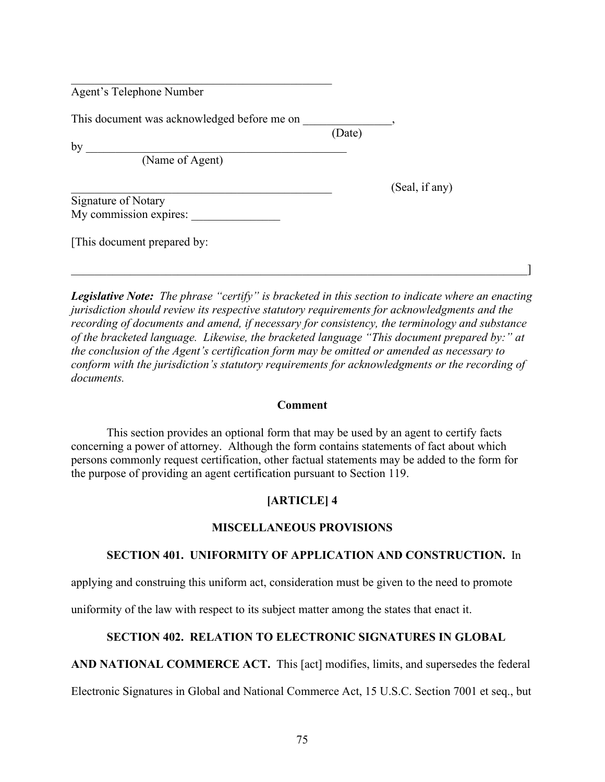| Agent's Telephone Number                    |        |                |
|---------------------------------------------|--------|----------------|
| This document was acknowledged before me on |        |                |
|                                             | (Date) |                |
| by                                          |        |                |
| (Name of Agent)                             |        |                |
|                                             |        | (Seal, if any) |
| Signature of Notary                         |        |                |
| My commission expires:                      |        |                |
| [This document prepared by:                 |        |                |
|                                             |        |                |
|                                             |        |                |

*Legislative Note: The phrase "certify" is bracketed in this section to indicate where an enacting jurisdiction should review its respective statutory requirements for acknowledgments and the recording of documents and amend, if necessary for consistency, the terminology and substance of the bracketed language. Likewise, the bracketed language "This document prepared by:" at the conclusion of the Agent's certification form may be omitted or amended as necessary to conform with the jurisdiction's statutory requirements for acknowledgments or the recording of documents.* 

#### **Comment**

This section provides an optional form that may be used by an agent to certify facts concerning a power of attorney. Although the form contains statements of fact about which persons commonly request certification, other factual statements may be added to the form for the purpose of providing an agent certification pursuant to Section 119.

### **[ARTICLE] 4**

#### **MISCELLANEOUS PROVISIONS**

#### **SECTION 401. UNIFORMITY OF APPLICATION AND CONSTRUCTION.** In

applying and construing this uniform act, consideration must be given to the need to promote

uniformity of the law with respect to its subject matter among the states that enact it.

#### **SECTION 402. RELATION TO ELECTRONIC SIGNATURES IN GLOBAL**

**AND NATIONAL COMMERCE ACT.** This [act] modifies, limits, and supersedes the federal

Electronic Signatures in Global and National Commerce Act, 15 U.S.C. Section 7001 et seq., but